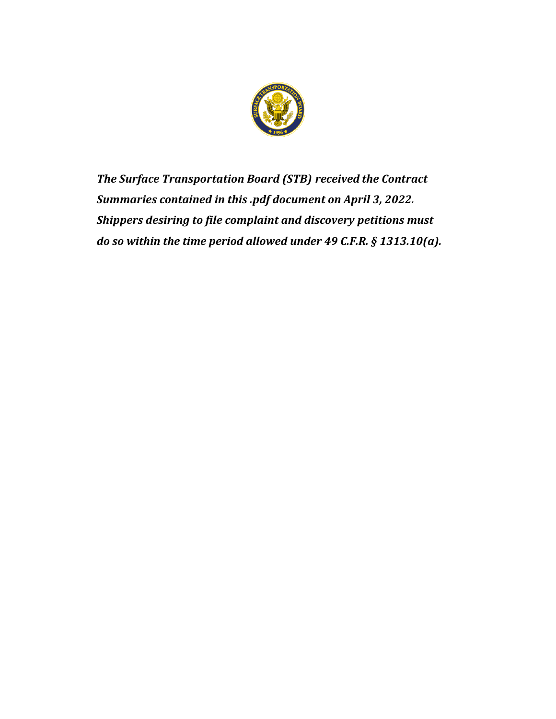

*The Surface Transportation Board (STB) received the Contract Summaries contained in this .pdf document on April 3, 2022. Shippers desiring to file complaint and discovery petitions must do so within the time period allowed under 49 C.F.R. § 1313.10(a).*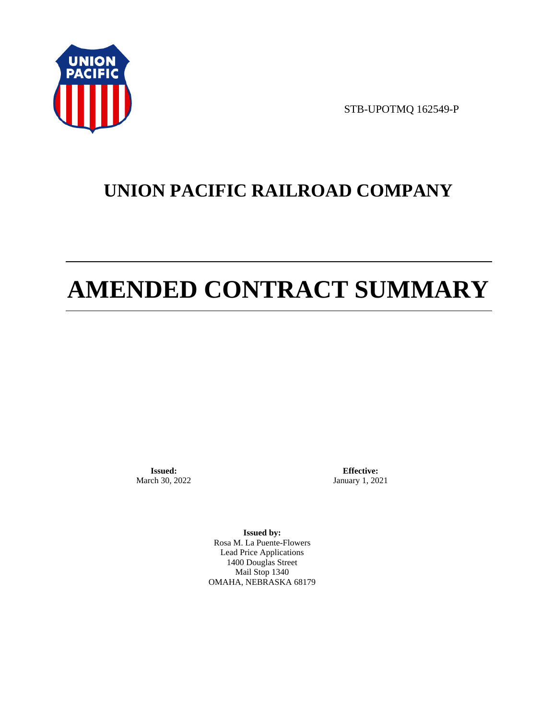

STB-UPOTMQ 162549-P

# **UNION PACIFIC RAILROAD COMPANY**

# **AMENDED CONTRACT SUMMARY**

**Issued:**  March 30, 2022

**Effective:** January 1, 2021

**Issued by:**  Rosa M. La Puente-Flowers Lead Price Applications 1400 Douglas Street Mail Stop 1340 OMAHA, NEBRASKA 68179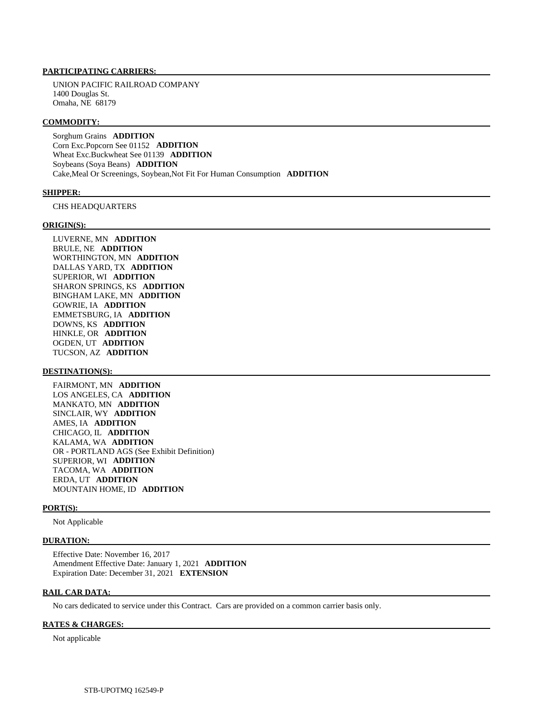# **PARTICIPATING CARRIERS:**

 UNION PACIFIC RAILROAD COMPANY 1400 Douglas St. Omaha, NE 68179

#### **COMMODITY:**

 Sorghum Grains **ADDITION**  Corn Exc.Popcorn See 01152 **ADDITION**  Wheat Exc.Buckwheat See 01139 **ADDITION**  Soybeans (Soya Beans) **ADDITION**  Cake,Meal Or Screenings, Soybean,Not Fit For Human Consumption **ADDITION** 

#### **SHIPPER:**

CHS HEADQUARTERS

#### **ORIGIN(S):**

 LUVERNE, MN **ADDITION**  BRULE, NE **ADDITION**  WORTHINGTON, MN **ADDITION**  DALLAS YARD, TX **ADDITION**  SUPERIOR, WI **ADDITION**  SHARON SPRINGS, KS **ADDITION**  BINGHAM LAKE, MN **ADDITION**  GOWRIE, IA **ADDITION**  EMMETSBURG, IA **ADDITION**  DOWNS, KS **ADDITION**  HINKLE, OR **ADDITION**  OGDEN, UT **ADDITION**  TUCSON, AZ **ADDITION** 

### **DESTINATION(S):**

 FAIRMONT, MN **ADDITION**  LOS ANGELES, CA **ADDITION**  MANKATO, MN **ADDITION**  SINCLAIR, WY **ADDITION**  AMES, IA **ADDITION**  CHICAGO, IL **ADDITION**  KALAMA, WA **ADDITION**  OR - PORTLAND AGS (See Exhibit Definition) SUPERIOR, WI **ADDITION**  TACOMA, WA **ADDITION**  ERDA, UT **ADDITION**  MOUNTAIN HOME, ID **ADDITION** 

### **PORT(S):**

Not Applicable

### **DURATION:**

 Effective Date: November 16, 2017 Amendment Effective Date: January 1, 2021 **ADDITION**  Expiration Date: December 31, 2021 **EXTENSION** 

# **RAIL CAR DATA:**

No cars dedicated to service under this Contract. Cars are provided on a common carrier basis only.

#### **RATES & CHARGES:**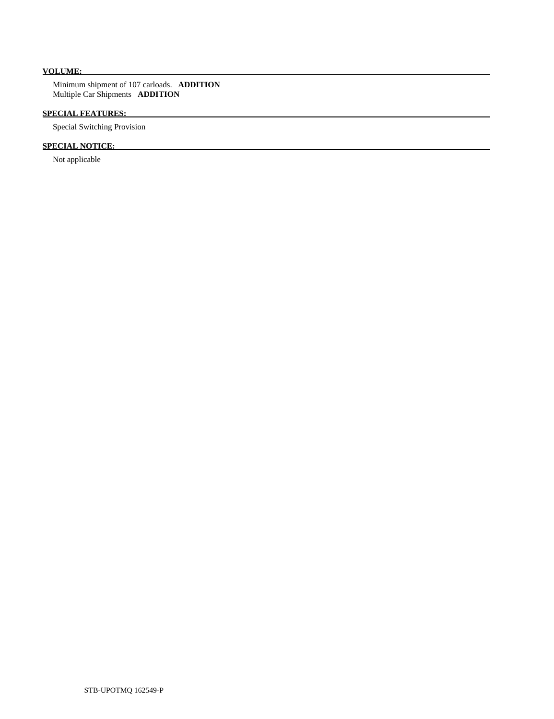# **VOLUME:**

 Minimum shipment of 107 carloads. **ADDITION**  Multiple Car Shipments **ADDITION** 

# **SPECIAL FEATURES:**

Special Switching Provision

# **SPECIAL NOTICE:**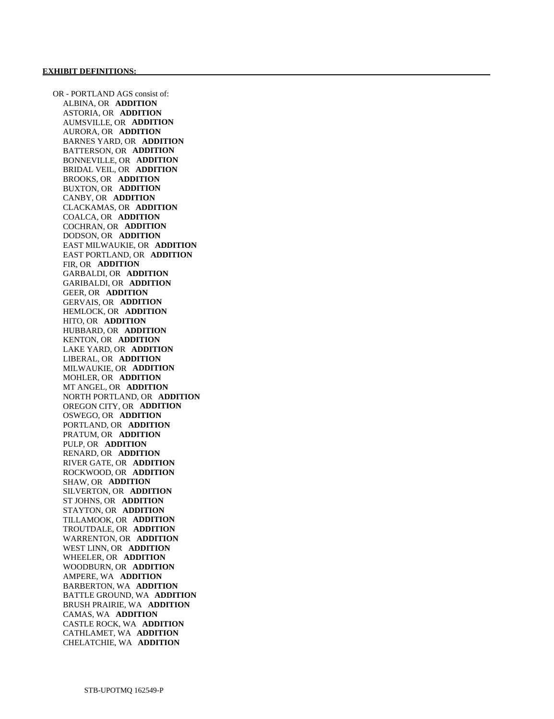OR - PORTLAND AGS consist of: ALBINA, OR **ADDITION**  ASTORIA, OR **ADDITION**  AUMSVILLE, OR **ADDITION**  AURORA, OR **ADDITION**  BARNES YARD, OR **ADDITION**  BATTERSON, OR **ADDITION**  BONNEVILLE, OR **ADDITION**  BRIDAL VEIL, OR **ADDITION**  BROOKS, OR **ADDITION**  BUXTON, OR **ADDITION**  CANBY, OR **ADDITION**  CLACKAMAS, OR **ADDITION**  COALCA, OR **ADDITION**  COCHRAN, OR **ADDITION**  DODSON, OR **ADDITION**  EAST MILWAUKIE, OR **ADDITION**  EAST PORTLAND, OR **ADDITION**  FIR, OR **ADDITION**  GARBALDI, OR **ADDITION**  GARIBALDI, OR **ADDITION**  GEER, OR **ADDITION**  GERVAIS, OR **ADDITION**  HEMLOCK, OR **ADDITION**  HITO, OR **ADDITION**  HUBBARD, OR **ADDITION**  KENTON, OR **ADDITION**  LAKE YARD, OR **ADDITION**  LIBERAL, OR **ADDITION**  MILWAUKIE, OR **ADDITION**  MOHLER, OR **ADDITION**  MT ANGEL, OR **ADDITION**  NORTH PORTLAND, OR **ADDITION**  OREGON CITY, OR **ADDITION**  OSWEGO, OR **ADDITION**  PORTLAND, OR **ADDITION**  PRATUM, OR **ADDITION**  PULP, OR **ADDITION**  RENARD, OR **ADDITION**  RIVER GATE, OR **ADDITION**  ROCKWOOD, OR **ADDITION**  SHAW, OR **ADDITION**  SILVERTON, OR **ADDITION**  ST JOHNS, OR **ADDITION**  STAYTON, OR **ADDITION**  TILLAMOOK, OR **ADDITION**  TROUTDALE, OR **ADDITION**  WARRENTON, OR **ADDITION**  WEST LINN, OR **ADDITION**  WHEELER, OR **ADDITION**  WOODBURN, OR **ADDITION**  AMPERE, WA **ADDITION**  BARBERTON, WA **ADDITION**  BATTLE GROUND, WA **ADDITION**  BRUSH PRAIRIE, WA **ADDITION**  CAMAS, WA **ADDITION**  CASTLE ROCK, WA **ADDITION**  CATHLAMET, WA **ADDITION**  CHELATCHIE, WA **ADDITION**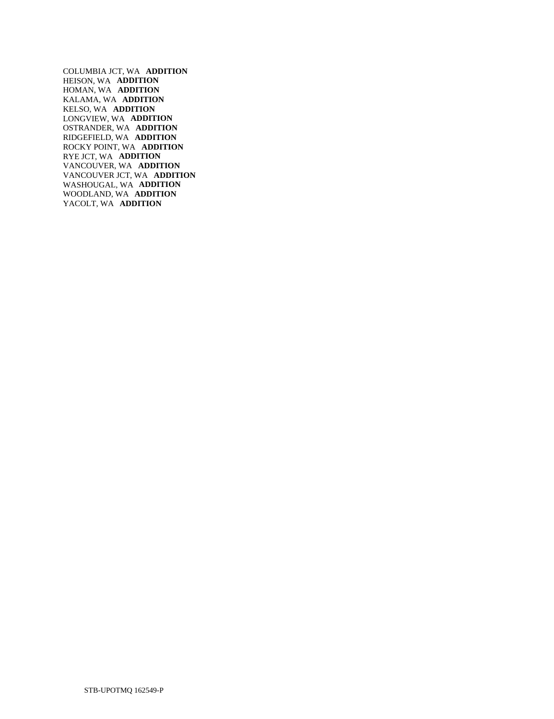COLUMBIA JCT, WA **ADDITION**  HEISON, WA **ADDITION**  HOMAN, WA **ADDITION**  KALAMA, WA **ADDITION**  KELSO, WA **ADDITION**  LONGVIEW, WA **ADDITION**  OSTRANDER, WA **ADDITION**  RIDGEFIELD, WA **ADDITION**  ROCKY POINT, WA **ADDITION**  RYE JCT, WA **ADDITION**  VANCOUVER, WA **ADDITION**  VANCOUVER JCT, WA **ADDITION**  WASHOUGAL, WA **ADDITION**  WOODLAND, WA **ADDITION**  YACOLT, WA **ADDITION**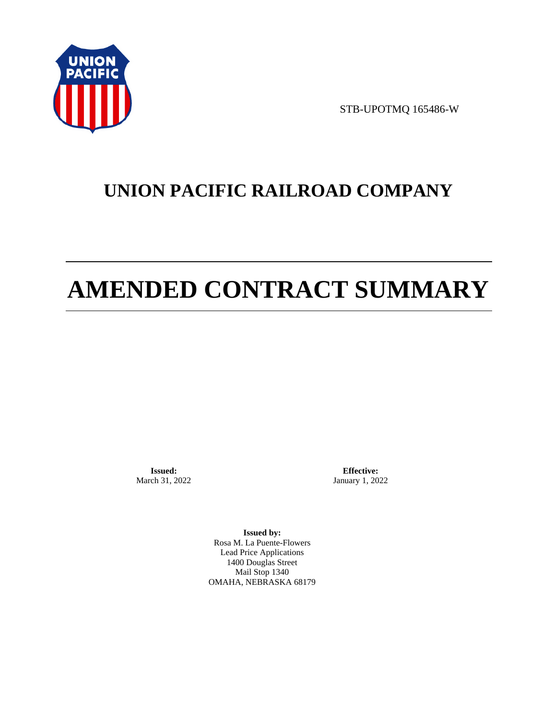

STB-UPOTMQ 165486-W

# **UNION PACIFIC RAILROAD COMPANY**

# **AMENDED CONTRACT SUMMARY**

**Issued:**  March 31, 2022

**Effective:** January 1, 2022

**Issued by:**  Rosa M. La Puente-Flowers Lead Price Applications 1400 Douglas Street Mail Stop 1340 OMAHA, NEBRASKA 68179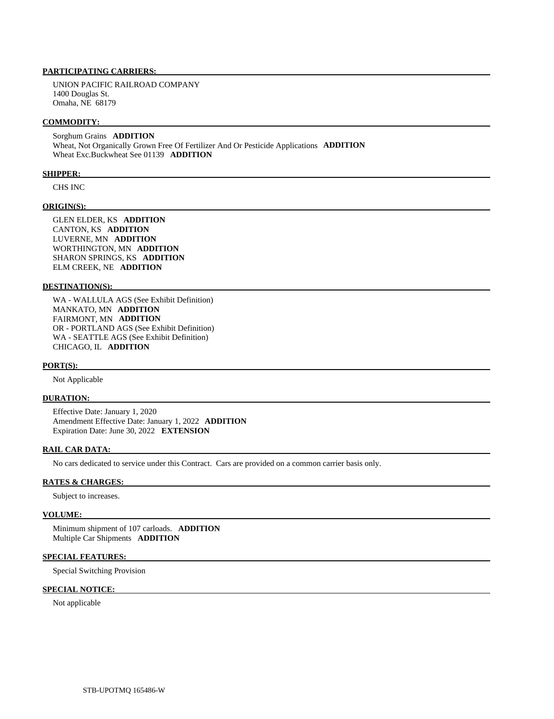# **PARTICIPATING CARRIERS:**

 UNION PACIFIC RAILROAD COMPANY 1400 Douglas St. Omaha, NE 68179

#### **COMMODITY:**

 Sorghum Grains **ADDITION**  Wheat, Not Organically Grown Free Of Fertilizer And Or Pesticide Applications **ADDITION**  Wheat Exc.Buckwheat See 01139 **ADDITION** 

#### **SHIPPER:**

CHS INC

# **ORIGIN(S):**

 GLEN ELDER, KS **ADDITION**  CANTON, KS **ADDITION**  LUVERNE, MN **ADDITION**  WORTHINGTON, MN **ADDITION**  SHARON SPRINGS, KS **ADDITION**  ELM CREEK, NE **ADDITION** 

### **DESTINATION(S):**

 WA - WALLULA AGS (See Exhibit Definition) MANKATO, MN **ADDITION**  FAIRMONT, MN **ADDITION**  OR - PORTLAND AGS (See Exhibit Definition) WA - SEATTLE AGS (See Exhibit Definition) CHICAGO, IL **ADDITION** 

#### **PORT(S):**

Not Applicable

# **DURATION:**

 Effective Date: January 1, 2020 Amendment Effective Date: January 1, 2022 **ADDITION**  Expiration Date: June 30, 2022 **EXTENSION** 

# **RAIL CAR DATA:**

No cars dedicated to service under this Contract. Cars are provided on a common carrier basis only.

# **RATES & CHARGES:**

Subject to increases.

#### **VOLUME:**

 Minimum shipment of 107 carloads. **ADDITION**  Multiple Car Shipments **ADDITION** 

# **SPECIAL FEATURES:**

Special Switching Provision

# **SPECIAL NOTICE:**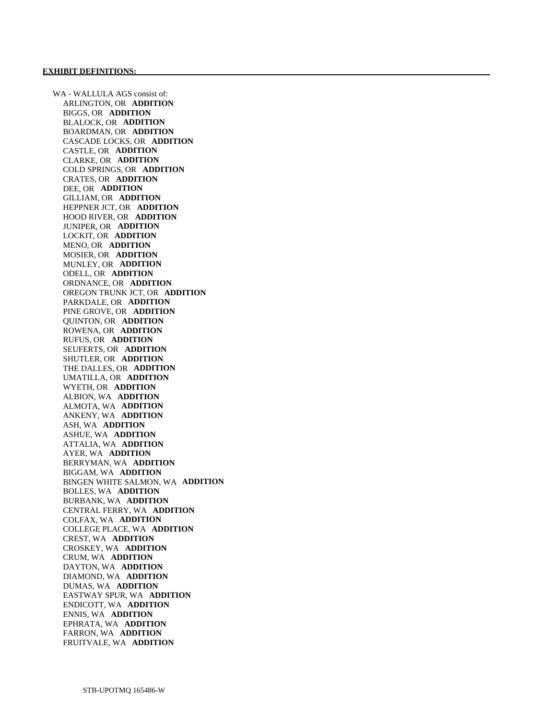WA - WALLULA AGS consist of: ARLINGTON, OR **ADDITION**  BIGGS, OR **ADDITION**  BLALOCK, OR **ADDITION**  BOARDMAN, OR **ADDITION**  CASCADE LOCKS, OR **ADDITION**  CASTLE, OR **ADDITION**  CLARKE, OR **ADDITION**  COLD SPRINGS, OR **ADDITION**  CRATES, OR **ADDITION**  DEE, OR **ADDITION**  GILLIAM, OR **ADDITION**  HEPPNER JCT, OR **ADDITION**  HOOD RIVER, OR **ADDITION**  JUNIPER, OR **ADDITION**  LOCKIT, OR **ADDITION**  MENO, OR **ADDITION**  MOSIER, OR **ADDITION**  MUNLEY, OR **ADDITION**  ODELL, OR **ADDITION**  ORDNANCE, OR **ADDITION**  OREGON TRUNK JCT, OR **ADDITION**  PARKDALE, OR **ADDITION**  PINE GROVE, OR **ADDITION**  QUINTON, OR **ADDITION**  ROWENA, OR **ADDITION**  RUFUS, OR **ADDITION**  SEUFERTS, OR **ADDITION**  SHUTLER, OR **ADDITION**  THE DALLES, OR **ADDITION**  UMATILLA, OR **ADDITION**  WYETH, OR **ADDITION**  ALBION, WA **ADDITION**  ALMOTA, WA **ADDITION**  ANKENY, WA **ADDITION**  ASH, WA **ADDITION**  ASHUE, WA **ADDITION**  ATTALIA, WA **ADDITION**  AYER, WA **ADDITION**  BERRYMAN, WA **ADDITION**  BIGGAM, WA **ADDITION**  BINGEN WHITE SALMON, WA **ADDITION**  BOLLES, WA **ADDITION**  BURBANK, WA **ADDITION**  CENTRAL FERRY, WA **ADDITION**  COLFAX, WA **ADDITION**  COLLEGE PLACE, WA **ADDITION**  CREST, WA **ADDITION**  CROSKEY, WA **ADDITION**  CRUM, WA **ADDITION**  DAYTON, WA **ADDITION**  DIAMOND, WA **ADDITION**  DUMAS, WA **ADDITION**  EASTWAY SPUR, WA **ADDITION**  ENDICOTT, WA **ADDITION**  ENNIS, WA **ADDITION**  EPHRATA, WA **ADDITION**  FARRON, WA **ADDITION**  FRUITVALE, WA **ADDITION**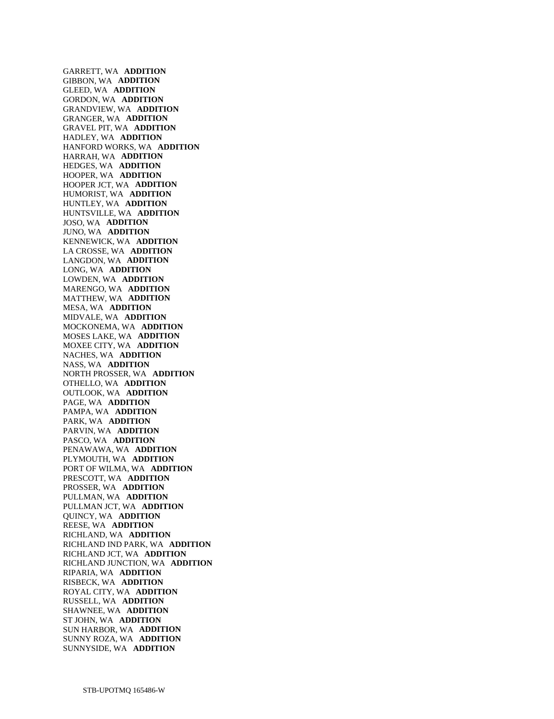GARRETT, WA **ADDITION**  GIBBON, WA **ADDITION**  GLEED, WA **ADDITION**  GORDON, WA **ADDITION**  GRANDVIEW, WA **ADDITION**  GRANGER, WA **ADDITION**  GRAVEL PIT, WA **ADDITION**  HADLEY, WA **ADDITION**  HANFORD WORKS, WA **ADDITION**  HARRAH, WA **ADDITION**  HEDGES, WA **ADDITION**  HOOPER, WA **ADDITION**  HOOPER JCT, WA **ADDITION**  HUMORIST, WA **ADDITION**  HUNTLEY, WA **ADDITION**  HUNTSVILLE, WA **ADDITION**  JOSO, WA **ADDITION**  JUNO, WA **ADDITION**  KENNEWICK, WA **ADDITION**  LA CROSSE, WA **ADDITION**  LANGDON, WA **ADDITION**  LONG, WA **ADDITION**  LOWDEN, WA **ADDITION**  MARENGO, WA **ADDITION**  MATTHEW, WA **ADDITION**  MESA, WA **ADDITION**  MIDVALE, WA **ADDITION**  MOCKONEMA, WA **ADDITION**  MOSES LAKE, WA **ADDITION**  MOXEE CITY, WA **ADDITION**  NACHES, WA **ADDITION**  NASS, WA **ADDITION**  NORTH PROSSER, WA **ADDITION**  OTHELLO, WA **ADDITION**  OUTLOOK, WA **ADDITION**  PAGE, WA **ADDITION**  PAMPA, WA **ADDITION**  PARK, WA **ADDITION**  PARVIN, WA **ADDITION**  PASCO, WA **ADDITION**  PENAWAWA, WA **ADDITION**  PLYMOUTH, WA **ADDITION**  PORT OF WILMA, WA **ADDITION**  PRESCOTT, WA **ADDITION**  PROSSER, WA **ADDITION**  PULLMAN, WA **ADDITION**  PULLMAN JCT, WA **ADDITION**  QUINCY, WA **ADDITION**  REESE, WA **ADDITION**  RICHLAND, WA **ADDITION**  RICHLAND IND PARK, WA **ADDITION**  RICHLAND JCT, WA **ADDITION**  RICHLAND JUNCTION, WA **ADDITION**  RIPARIA, WA **ADDITION**  RISBECK, WA **ADDITION**  ROYAL CITY, WA **ADDITION**  RUSSELL, WA **ADDITION**  SHAWNEE, WA **ADDITION**  ST JOHN, WA **ADDITION**  SUN HARBOR, WA **ADDITION**  SUNNY ROZA, WA **ADDITION**  SUNNYSIDE, WA **ADDITION**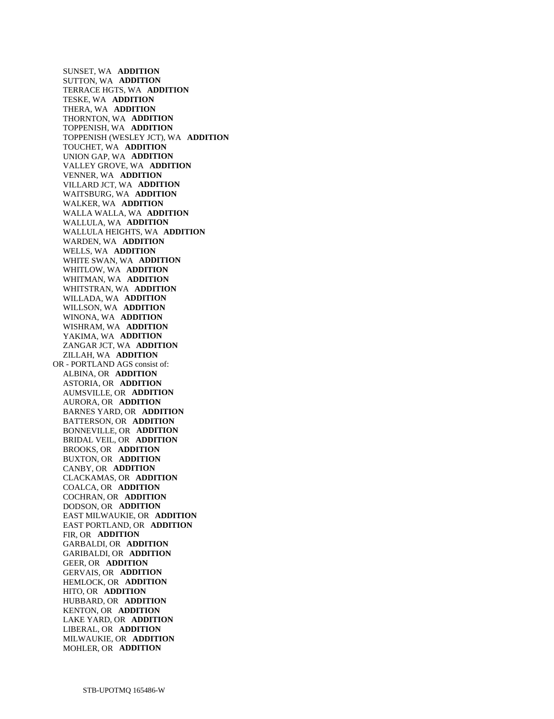SUNSET, WA **ADDITION**  SUTTON, WA **ADDITION**  TERRACE HGTS, WA **ADDITION**  TESKE, WA **ADDITION**  THERA, WA **ADDITION**  THORNTON, WA **ADDITION**  TOPPENISH, WA **ADDITION**  TOPPENISH (WESLEY JCT), WA **ADDITION**  TOUCHET, WA **ADDITION**  UNION GAP, WA **ADDITION**  VALLEY GROVE, WA **ADDITION**  VENNER, WA **ADDITION**  VILLARD JCT, WA **ADDITION**  WAITSBURG, WA **ADDITION**  WALKER, WA **ADDITION**  WALLA WALLA, WA **ADDITION**  WALLULA, WA **ADDITION**  WALLULA HEIGHTS, WA **ADDITION**  WARDEN, WA **ADDITION**  WELLS, WA **ADDITION**  WHITE SWAN, WA **ADDITION**  WHITLOW, WA **ADDITION**  WHITMAN, WA **ADDITION**  WHITSTRAN, WA **ADDITION**  WILLADA, WA **ADDITION**  WILLSON, WA **ADDITION**  WINONA, WA **ADDITION**  WISHRAM, WA **ADDITION**  YAKIMA, WA **ADDITION**  ZANGAR JCT, WA **ADDITION**  ZILLAH, WA **ADDITION**  OR - PORTLAND AGS consist of: ALBINA, OR **ADDITION**  ASTORIA, OR **ADDITION**  AUMSVILLE, OR **ADDITION**  AURORA, OR **ADDITION**  BARNES YARD, OR **ADDITION**  BATTERSON, OR **ADDITION**  BONNEVILLE, OR **ADDITION**  BRIDAL VEIL, OR **ADDITION**  BROOKS, OR **ADDITION**  BUXTON, OR **ADDITION**  CANBY, OR **ADDITION**  CLACKAMAS, OR **ADDITION**  COALCA, OR **ADDITION**  COCHRAN, OR **ADDITION**  DODSON, OR **ADDITION**  EAST MILWAUKIE, OR **ADDITION**  EAST PORTLAND, OR **ADDITION**  FIR, OR **ADDITION**  GARBALDI, OR **ADDITION**  GARIBALDI, OR **ADDITION**  GEER, OR **ADDITION**  GERVAIS, OR **ADDITION**  HEMLOCK, OR **ADDITION**  HITO, OR **ADDITION**  HUBBARD, OR **ADDITION**  KENTON, OR **ADDITION**  LAKE YARD, OR **ADDITION**  LIBERAL, OR **ADDITION**  MILWAUKIE, OR **ADDITION**  MOHLER, OR **ADDITION**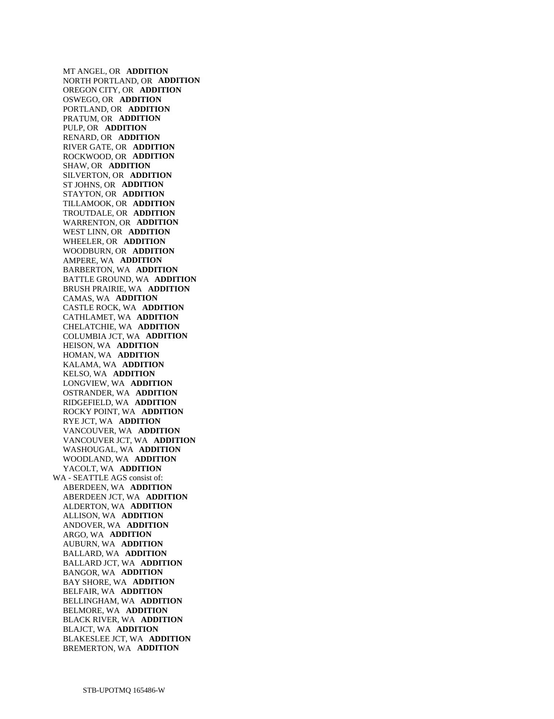MT ANGEL, OR **ADDITION**  NORTH PORTLAND, OR **ADDITION**  OREGON CITY, OR **ADDITION**  OSWEGO, OR **ADDITION**  PORTLAND, OR **ADDITION**  PRATUM, OR **ADDITION**  PULP, OR **ADDITION**  RENARD, OR **ADDITION**  RIVER GATE, OR **ADDITION**  ROCKWOOD, OR **ADDITION**  SHAW, OR **ADDITION**  SILVERTON, OR **ADDITION**  ST JOHNS, OR **ADDITION**  STAYTON, OR **ADDITION**  TILLAMOOK, OR **ADDITION**  TROUTDALE, OR **ADDITION**  WARRENTON, OR **ADDITION**  WEST LINN, OR **ADDITION**  WHEELER, OR **ADDITION**  WOODBURN, OR **ADDITION**  AMPERE, WA **ADDITION**  BARBERTON, WA **ADDITION**  BATTLE GROUND, WA **ADDITION**  BRUSH PRAIRIE, WA **ADDITION**  CAMAS, WA **ADDITION**  CASTLE ROCK, WA **ADDITION**  CATHLAMET, WA **ADDITION**  CHELATCHIE, WA **ADDITION**  COLUMBIA JCT, WA **ADDITION**  HEISON, WA **ADDITION**  HOMAN, WA **ADDITION**  KALAMA, WA **ADDITION**  KELSO, WA **ADDITION**  LONGVIEW, WA **ADDITION**  OSTRANDER, WA **ADDITION**  RIDGEFIELD, WA **ADDITION**  ROCKY POINT, WA **ADDITION**  RYE JCT, WA **ADDITION**  VANCOUVER, WA **ADDITION**  VANCOUVER JCT, WA **ADDITION**  WASHOUGAL, WA **ADDITION**  WOODLAND, WA **ADDITION**  YACOLT, WA **ADDITION**  WA - SEATTLE AGS consist of: ABERDEEN, WA **ADDITION**  ABERDEEN JCT, WA **ADDITION**  ALDERTON, WA **ADDITION**  ALLISON, WA **ADDITION**  ANDOVER, WA **ADDITION**  ARGO, WA **ADDITION**  AUBURN, WA **ADDITION**  BALLARD, WA **ADDITION**  BALLARD JCT, WA **ADDITION**  BANGOR, WA **ADDITION**  BAY SHORE, WA **ADDITION**  BELFAIR, WA **ADDITION**  BELLINGHAM, WA **ADDITION**  BELMORE, WA **ADDITION**  BLACK RIVER, WA **ADDITION**  BLAJCT, WA **ADDITION**  BLAKESLEE JCT, WA **ADDITION**  BREMERTON, WA **ADDITION**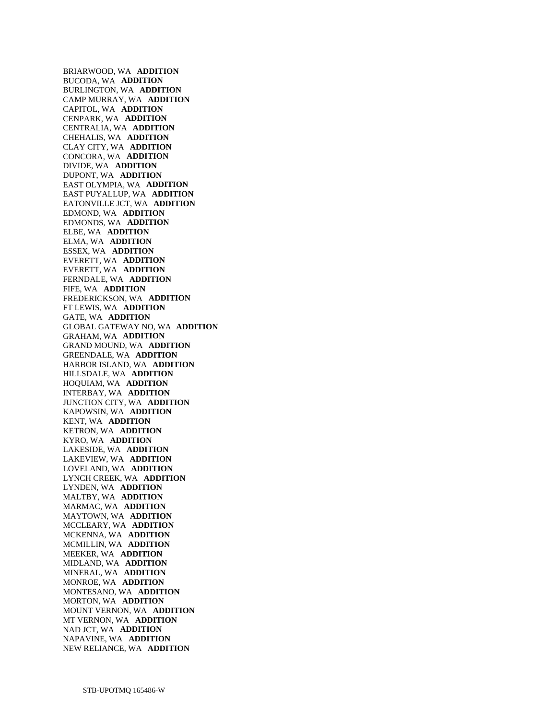BRIARWOOD, WA **ADDITION**  BUCODA, WA **ADDITION**  BURLINGTON, WA **ADDITION**  CAMP MURRAY, WA **ADDITION**  CAPITOL, WA **ADDITION**  CENPARK, WA **ADDITION**  CENTRALIA, WA **ADDITION**  CHEHALIS, WA **ADDITION**  CLAY CITY, WA **ADDITION**  CONCORA, WA **ADDITION**  DIVIDE, WA **ADDITION**  DUPONT, WA **ADDITION**  EAST OLYMPIA, WA **ADDITION**  EAST PUYALLUP, WA **ADDITION**  EATONVILLE JCT, WA **ADDITION**  EDMOND, WA **ADDITION**  EDMONDS, WA **ADDITION**  ELBE, WA **ADDITION**  ELMA, WA **ADDITION**  ESSEX, WA **ADDITION**  EVERETT, WA **ADDITION**  EVERETT, WA **ADDITION**  FERNDALE, WA **ADDITION**  FIFE, WA **ADDITION**  FREDERICKSON, WA **ADDITION**  FT LEWIS, WA **ADDITION**  GATE, WA **ADDITION**  GLOBAL GATEWAY NO, WA **ADDITION**  GRAHAM, WA **ADDITION**  GRAND MOUND, WA **ADDITION**  GREENDALE, WA **ADDITION**  HARBOR ISLAND, WA **ADDITION**  HILLSDALE, WA **ADDITION**  HOQUIAM, WA **ADDITION**  INTERBAY, WA **ADDITION**  JUNCTION CITY, WA **ADDITION**  KAPOWSIN, WA **ADDITION**  KENT, WA **ADDITION**  KETRON, WA **ADDITION**  KYRO, WA **ADDITION**  LAKESIDE, WA **ADDITION**  LAKEVIEW, WA **ADDITION**  LOVELAND, WA **ADDITION**  LYNCH CREEK, WA **ADDITION**  LYNDEN, WA **ADDITION**  MALTBY, WA **ADDITION**  MARMAC, WA **ADDITION**  MAYTOWN, WA **ADDITION**  MCCLEARY, WA **ADDITION**  MCKENNA, WA **ADDITION**  MCMILLIN, WA **ADDITION**  MEEKER, WA **ADDITION**  MIDLAND, WA **ADDITION**  MINERAL, WA **ADDITION**  MONROE, WA **ADDITION**  MONTESANO, WA **ADDITION**  MORTON, WA **ADDITION**  MOUNT VERNON, WA **ADDITION**  MT VERNON, WA **ADDITION**  NAD JCT, WA **ADDITION**  NAPAVINE, WA **ADDITION**  NEW RELIANCE, WA **ADDITION**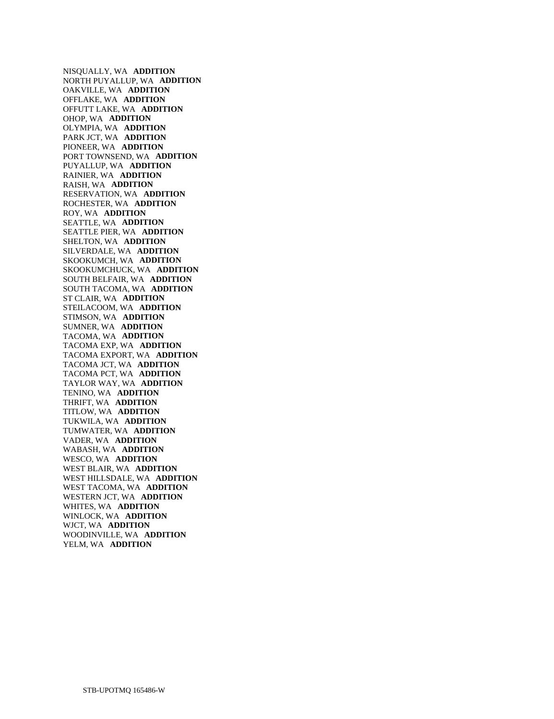NISQUALLY, WA **ADDITION**  NORTH PUYALLUP, WA **ADDITION**  OAKVILLE, WA **ADDITION**  OFFLAKE, WA **ADDITION**  OFFUTT LAKE, WA **ADDITION**  OHOP, WA **ADDITION**  OLYMPIA, WA **ADDITION**  PARK JCT, WA **ADDITION**  PIONEER, WA **ADDITION**  PORT TOWNSEND, WA **ADDITION**  PUYALLUP, WA **ADDITION**  RAINIER, WA **ADDITION**  RAISH, WA **ADDITION**  RESERVATION, WA **ADDITION**  ROCHESTER, WA **ADDITION**  ROY, WA **ADDITION**  SEATTLE, WA **ADDITION**  SEATTLE PIER, WA **ADDITION**  SHELTON, WA **ADDITION**  SILVERDALE, WA **ADDITION**  SKOOKUMCH, WA **ADDITION**  SKOOKUMCHUCK, WA **ADDITION**  SOUTH BELFAIR, WA **ADDITION**  SOUTH TACOMA, WA **ADDITION**  ST CLAIR, WA **ADDITION**  STEILACOOM, WA **ADDITION**  STIMSON, WA **ADDITION**  SUMNER, WA **ADDITION**  TACOMA, WA **ADDITION**  TACOMA EXP, WA **ADDITION**  TACOMA EXPORT, WA **ADDITION**  TACOMA JCT, WA **ADDITION**  TACOMA PCT, WA **ADDITION**  TAYLOR WAY, WA **ADDITION**  TENINO, WA **ADDITION**  THRIFT, WA **ADDITION**  TITLOW, WA **ADDITION**  TUKWILA, WA **ADDITION**  TUMWATER, WA **ADDITION**  VADER, WA **ADDITION**  WABASH, WA **ADDITION**  WESCO, WA **ADDITION**  WEST BLAIR, WA **ADDITION**  WEST HILLSDALE, WA **ADDITION**  WEST TACOMA, WA **ADDITION**  WESTERN JCT, WA **ADDITION**  WHITES, WA **ADDITION**  WINLOCK, WA **ADDITION**  WJCT, WA **ADDITION**  WOODINVILLE, WA **ADDITION**  YELM, WA **ADDITION**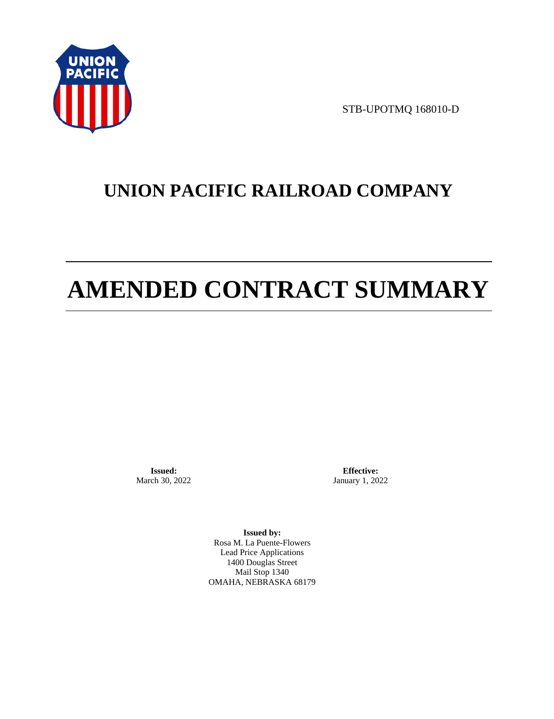

STB-UPOTMQ 168010-D

# **UNION PACIFIC RAILROAD COMPANY**

# **AMENDED CONTRACT SUMMARY**

**Issued:**  March 30, 2022

**Effective:** January 1, 2022

**Issued by:**  Rosa M. La Puente-Flowers Lead Price Applications 1400 Douglas Street Mail Stop 1340 OMAHA, NEBRASKA 68179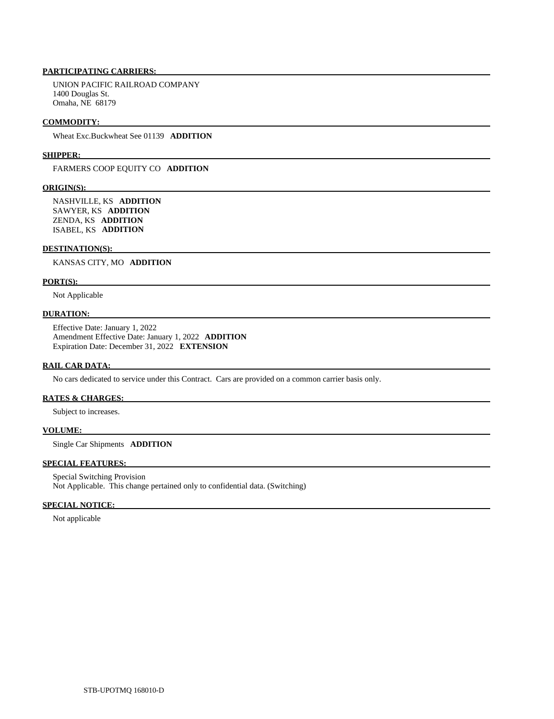# **PARTICIPATING CARRIERS:**

 UNION PACIFIC RAILROAD COMPANY 1400 Douglas St. Omaha, NE 68179

#### **COMMODITY:**

Wheat Exc.Buckwheat See 01139 **ADDITION** 

#### **SHIPPER:**

FARMERS COOP EQUITY CO **ADDITION** 

#### **ORIGIN(S):**

 NASHVILLE, KS **ADDITION**  SAWYER, KS **ADDITION**  ZENDA, KS **ADDITION**  ISABEL, KS **ADDITION** 

#### **DESTINATION(S):**

KANSAS CITY, MO **ADDITION** 

#### **PORT(S):**

Not Applicable

# **DURATION:**

 Effective Date: January 1, 2022 Amendment Effective Date: January 1, 2022 **ADDITION**  Expiration Date: December 31, 2022 **EXTENSION** 

#### **RAIL CAR DATA:**

No cars dedicated to service under this Contract. Cars are provided on a common carrier basis only.

#### **RATES & CHARGES:**

Subject to increases.

# **VOLUME:**

Single Car Shipments **ADDITION** 

# **SPECIAL FEATURES:**

 Special Switching Provision Not Applicable. This change pertained only to confidential data. (Switching)

#### **SPECIAL NOTICE:**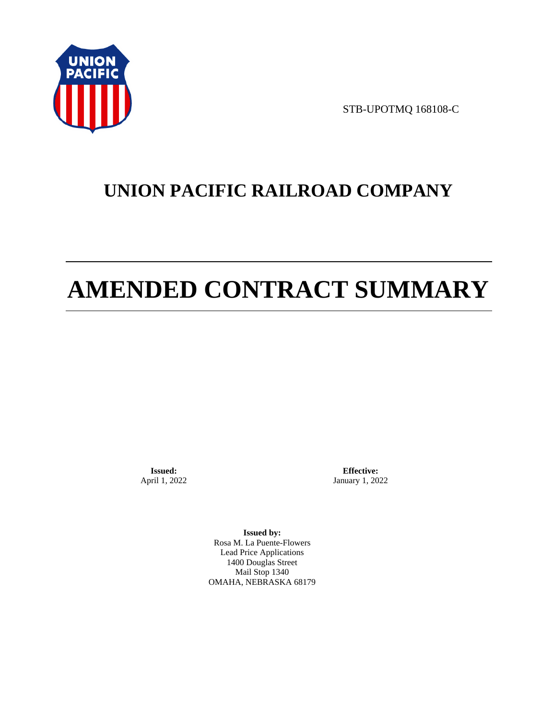

STB-UPOTMQ 168108-C

# **UNION PACIFIC RAILROAD COMPANY**

# **AMENDED CONTRACT SUMMARY**

**Issued:**  April 1, 2022

**Effective:** January 1, 2022

**Issued by:**  Rosa M. La Puente-Flowers Lead Price Applications 1400 Douglas Street Mail Stop 1340 OMAHA, NEBRASKA 68179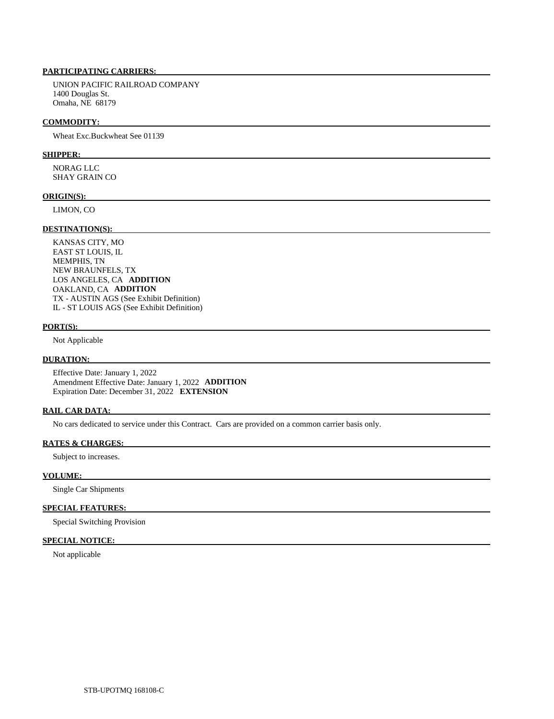# **PARTICIPATING CARRIERS:**

 UNION PACIFIC RAILROAD COMPANY 1400 Douglas St. Omaha, NE 68179

#### **COMMODITY:**

Wheat Exc.Buckwheat See 01139

#### **SHIPPER:**

 NORAG LLC SHAY GRAIN CO

#### **ORIGIN(S):**

LIMON, CO

#### **DESTINATION(S):**

 KANSAS CITY, MO EAST ST LOUIS, IL MEMPHIS, TN NEW BRAUNFELS, TX LOS ANGELES, CA **ADDITION**  OAKLAND, CA **ADDITION**  TX - AUSTIN AGS (See Exhibit Definition) IL - ST LOUIS AGS (See Exhibit Definition)

# **PORT(S):**

Not Applicable

### **DURATION:**

 Effective Date: January 1, 2022 Amendment Effective Date: January 1, 2022 **ADDITION**  Expiration Date: December 31, 2022 **EXTENSION** 

#### **RAIL CAR DATA:**

No cars dedicated to service under this Contract. Cars are provided on a common carrier basis only.

# **RATES & CHARGES:**

Subject to increases.

### **VOLUME:**

Single Car Shipments

# **SPECIAL FEATURES:**

Special Switching Provision

# **SPECIAL NOTICE:**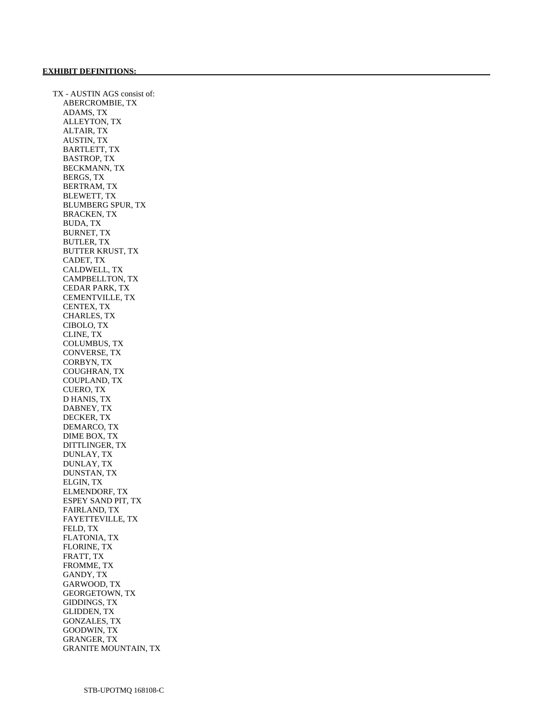TX - AUSTIN AGS consist of: ABERCROMBIE, TX ADAMS, TX ALLEYTON, TX ALTAIR, TX AUSTIN, TX BARTLETT, TX BASTROP, TX BECKMANN, TX BERGS, TX BERTRAM, TX BLEWETT, TX BLUMBERG SPUR, TX BRACKEN, TX BUDA, TX BURNET, TX BUTLER, TX BUTTER KRUST, TX CADET, TX CALDWELL, TX CAMPBELLTON, TX CEDAR PARK, TX CEMENTVILLE, TX CENTEX, TX CHARLES, TX CIBOLO, TX CLINE, TX COLUMBUS, TX CONVERSE, TX CORBYN, TX COUGHRAN, TX COUPLAND, TX CUERO, TX D HANIS, TX DABNEY, TX DECKER, TX DEMARCO, TX DIME BOX, TX DITTLINGER, TX DUNLAY, TX DUNLAY, TX DUNSTAN, TX ELGIN, TX ELMENDORF, TX ESPEY SAND PIT, TX FAIRLAND, TX FAYETTEVILLE, TX FELD, TX FLATONIA, TX FLORINE, TX FRATT, TX FROMME, TX GANDY, TX GARWOOD, TX GEORGETOWN, TX GIDDINGS, TX GLIDDEN, TX GONZALES, TX GOODWIN, TX GRANGER, TX GRANITE MOUNTAIN, TX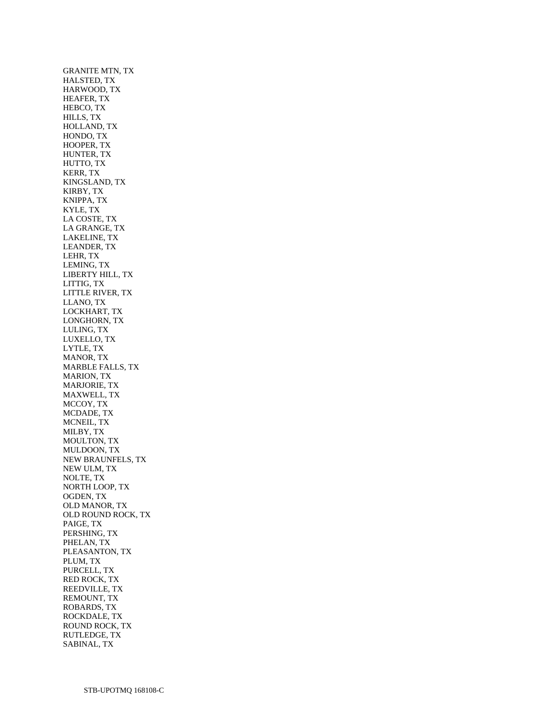GRANITE MTN, TX HALSTED, TX HARWOOD, TX HEAFER, TX HEBCO, TX HILLS, TX HOLLAND, TX HONDO, TX HOOPER, TX HUNTER, TX HUTTO, TX KERR, TX KINGSLAND, TX KIRBY, TX KNIPPA, TX KYLE, TX LA COSTE, TX LA GRANGE, TX LAKELINE, TX LEANDER, TX LEHR, TX LEMING, TX LIBERTY HILL, TX LITTIG, TX LITTLE RIVER, TX LLANO, TX LOCKHART, TX LONGHORN, TX LULING, TX LUXELLO, TX LYTLE, TX MANOR, TX MARBLE FALLS, TX MARION, TX MARJORIE, TX MAXWELL, TX MCCOY, TX MCDADE, TX MCNEIL, TX MILBY, TX MOULTON, TX MULDOON, TX NEW BRAUNFELS, TX NEW ULM, TX NOLTE, TX NORTH LOOP, TX OGDEN, TX OLD MANOR, TX OLD ROUND ROCK, TX PAIGE, TX PERSHING, TX PHELAN, TX PLEASANTON, TX PLUM, TX PURCELL, TX RED ROCK, TX REEDVILLE, TX REMOUNT, TX ROBARDS, TX ROCKDALE, TX ROUND ROCK, TX RUTLEDGE, TX SABINAL, TX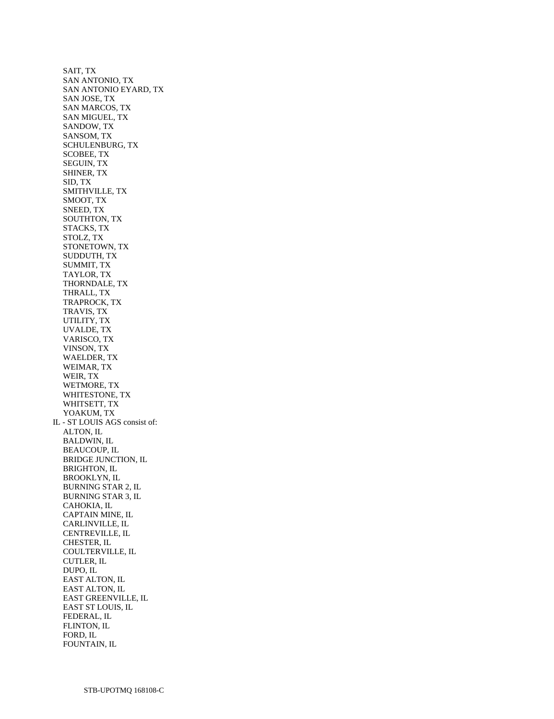SAIT, TX SAN ANTONIO, TX SAN ANTONIO EYARD, TX SAN JOSE, TX SAN MARCOS, TX SAN MIGUEL, TX SANDOW, TX SANSOM, TX SCHULENBURG, TX SCOBEE, TX SEGUIN, TX SHINER, TX SID, TX SMITHVILLE, TX SMOOT, TX SNEED, TX SOUTHTON, TX STACKS, TX STOLZ, TX STONETOWN, TX SUDDUTH, TX SUMMIT, TX TAYLOR, TX THORNDALE, TX THRALL, TX TRAPROCK, TX TRAVIS, TX UTILITY, TX UVALDE, TX VARISCO, TX VINSON, TX WAELDER, TX WEIMAR, TX WEIR, TX WETMORE, TX WHITESTONE, TX WHITSETT, TX YOAKUM, TX IL - ST LOUIS AGS consist of: ALTON, IL BALDWIN, IL BEAUCOUP, IL BRIDGE JUNCTION, IL BRIGHTON, IL BROOKLYN, IL BURNING STAR 2, IL BURNING STAR 3, IL CAHOKIA, IL CAPTAIN MINE, IL CARLINVILLE, IL CENTREVILLE, IL CHESTER, IL COULTERVILLE, IL CUTLER, IL DUPO, IL EAST ALTON, IL EAST ALTON, IL EAST GREENVILLE, IL EAST ST LOUIS, IL FEDERAL, IL FLINTON, IL FORD, IL FOUNTAIN, IL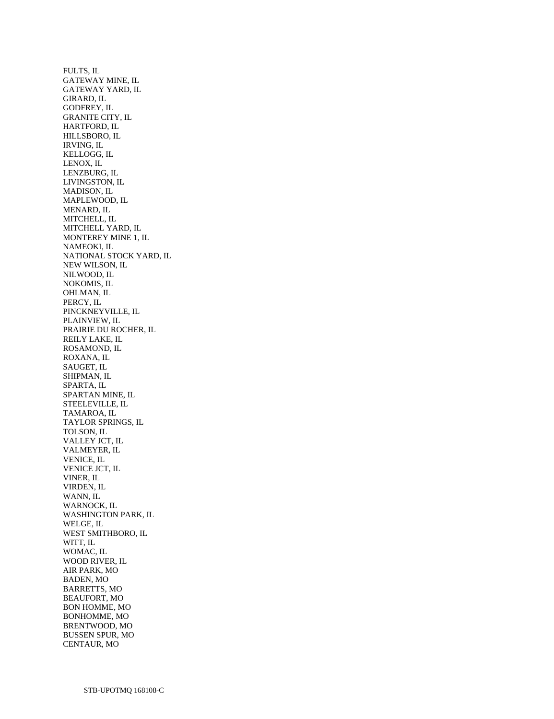FULTS, IL GATEWAY MINE, IL GATEWAY YARD, IL GIRARD, IL GODFREY, IL GRANITE CITY, IL HARTFORD, IL HILLSBORO, IL IRVING, IL KELLOGG, IL LENOX, IL LENZBURG, IL LIVINGSTON, IL MADISON, IL MAPLEWOOD, IL MENARD, IL MITCHELL, IL MITCHELL YARD, IL MONTEREY MINE 1, IL NAMEOKI, IL NATIONAL STOCK YARD, IL NEW WILSON, IL NILWOOD, IL NOKOMIS, IL OHLMAN, IL PERCY, IL PINCKNEYVILLE, IL PLAINVIEW, IL PRAIRIE DU ROCHER, IL REILY LAKE, IL ROSAMOND, IL ROXANA, IL SAUGET, IL SHIPMAN, IL SPARTA, IL SPARTAN MINE, IL STEELEVILLE, IL TAMAROA, IL TAYLOR SPRINGS, IL TOLSON, IL VALLEY JCT, IL VALMEYER, IL VENICE, IL VENICE JCT, IL VINER, IL VIRDEN, IL WANN, IL WARNOCK, IL WASHINGTON PARK, IL WELGE, IL WEST SMITHBORO, IL WITT, IL WOMAC, IL WOOD RIVER, IL AIR PARK, MO BADEN, MO BARRETTS, MO BEAUFORT, MO BON HOMME, MO BONHOMME, MO BRENTWOOD, MO BUSSEN SPUR, MO CENTAUR, MO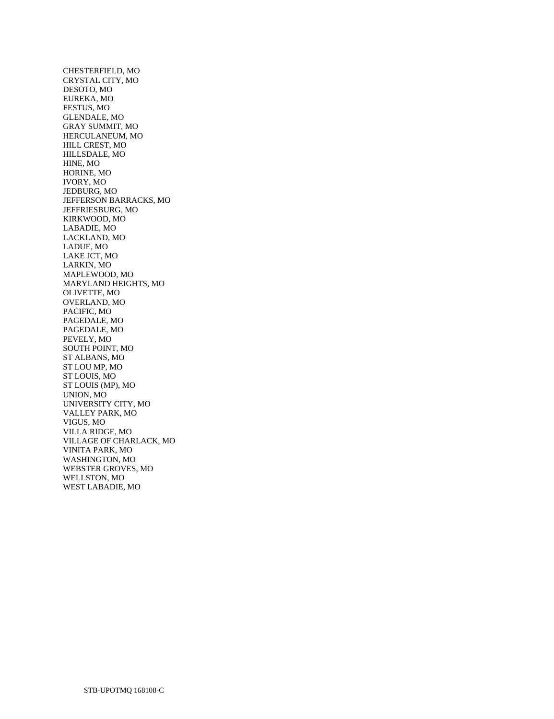CHESTERFIELD, MO CRYSTAL CITY, MO DESOTO, MO EUREKA, MO FESTUS, MO GLENDALE, MO GRAY SUMMIT, MO HERCULANEUM, MO HILL CREST, MO HILLSDALE, MO HINE, MO HORINE, MO IVORY, MO JEDBURG, MO JEFFERSON BARRACKS, MO JEFFRIESBURG, MO KIRKWOOD, MO LABADIE, MO LACKLAND, MO LADUE, MO LAKE JCT, MO LARKIN, MO MAPLEWOOD, MO MARYLAND HEIGHTS, MO OLIVETTE, MO OVERLAND, MO PACIFIC, MO PAGEDALE, MO PAGEDALE, MO PEVELY, MO SOUTH POINT, MO ST ALBANS, MO ST LOU MP, MO ST LOUIS, MO ST LOUIS (MP), MO UNION, MO UNIVERSITY CITY, MO VALLEY PARK, MO VIGUS, MO VILLA RIDGE, MO VILLAGE OF CHARLACK, MO VINITA PARK, MO WASHINGTON, MO WEBSTER GROVES, MO WELLSTON, MO WEST LABADIE, MO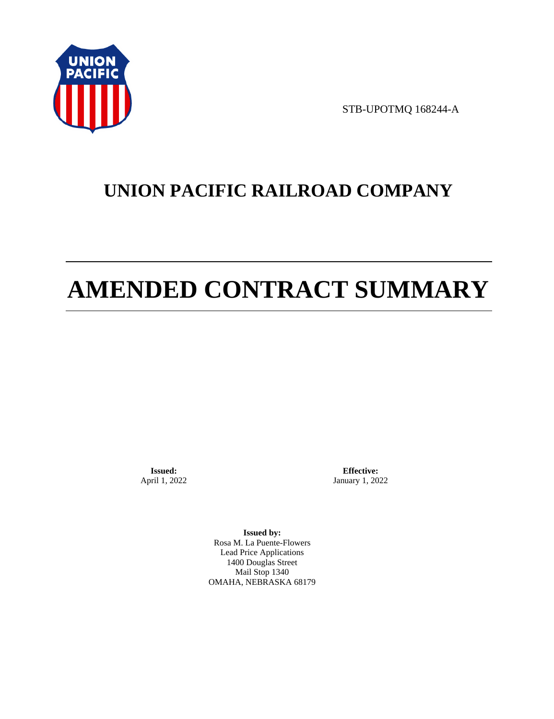

STB-UPOTMQ 168244-A

# **UNION PACIFIC RAILROAD COMPANY**

# **AMENDED CONTRACT SUMMARY**

**Issued:**  April 1, 2022

**Effective:** January 1, 2022

**Issued by:**  Rosa M. La Puente-Flowers Lead Price Applications 1400 Douglas Street Mail Stop 1340 OMAHA, NEBRASKA 68179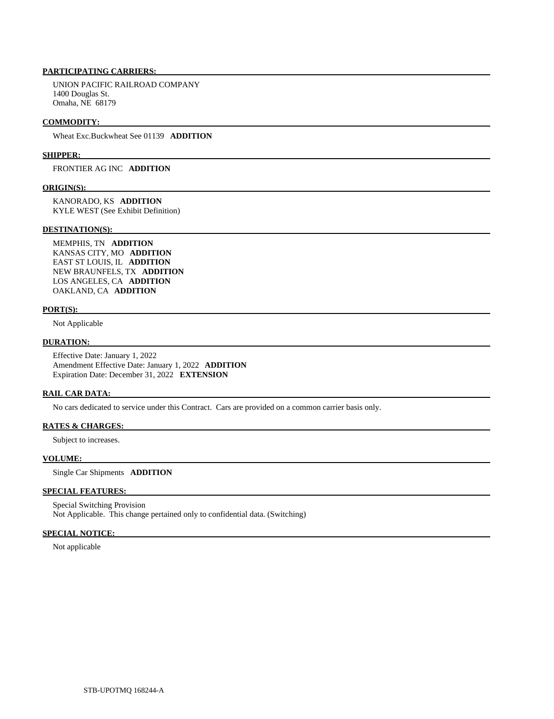# **PARTICIPATING CARRIERS:**

 UNION PACIFIC RAILROAD COMPANY 1400 Douglas St. Omaha, NE 68179

#### **COMMODITY:**

Wheat Exc.Buckwheat See 01139 **ADDITION** 

#### **SHIPPER:**

FRONTIER AG INC **ADDITION** 

#### **ORIGIN(S):**

 KANORADO, KS **ADDITION**  KYLE WEST (See Exhibit Definition)

#### **DESTINATION(S):**

 MEMPHIS, TN **ADDITION**  KANSAS CITY, MO **ADDITION**  EAST ST LOUIS, IL **ADDITION**  NEW BRAUNFELS, TX **ADDITION**  LOS ANGELES, CA **ADDITION**  OAKLAND, CA **ADDITION** 

### **PORT(S):**

Not Applicable

#### **DURATION:**

 Effective Date: January 1, 2022 Amendment Effective Date: January 1, 2022 **ADDITION**  Expiration Date: December 31, 2022 **EXTENSION** 

#### **RAIL CAR DATA:**

No cars dedicated to service under this Contract. Cars are provided on a common carrier basis only.

# **RATES & CHARGES:**

Subject to increases.

## **VOLUME:**

Single Car Shipments **ADDITION** 

# **SPECIAL FEATURES:**

 Special Switching Provision Not Applicable. This change pertained only to confidential data. (Switching)

### **SPECIAL NOTICE:**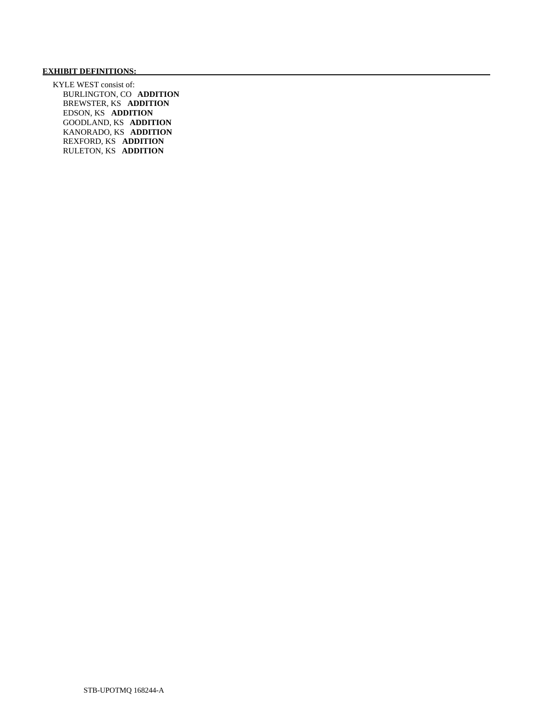# **EXHIBIT DEFINITIONS:**

 KYLE WEST consist of: BURLINGTON, CO **ADDITION**  BREWSTER, KS **ADDITION**  EDSON, KS **ADDITION**  GOODLAND, KS **ADDITION**  KANORADO, KS **ADDITION**  REXFORD, KS **ADDITION**  RULETON, KS **ADDITION**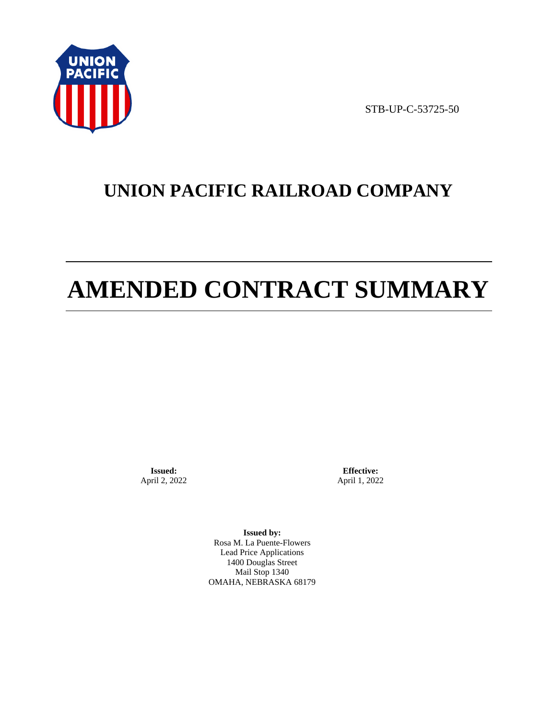

STB-UP-C-53725-50

# **UNION PACIFIC RAILROAD COMPANY**

# **AMENDED CONTRACT SUMMARY**

**Issued:**  April 2, 2022

**Effective:** April 1, 2022

**Issued by:**  Rosa M. La Puente-Flowers Lead Price Applications 1400 Douglas Street Mail Stop 1340 OMAHA, NEBRASKA 68179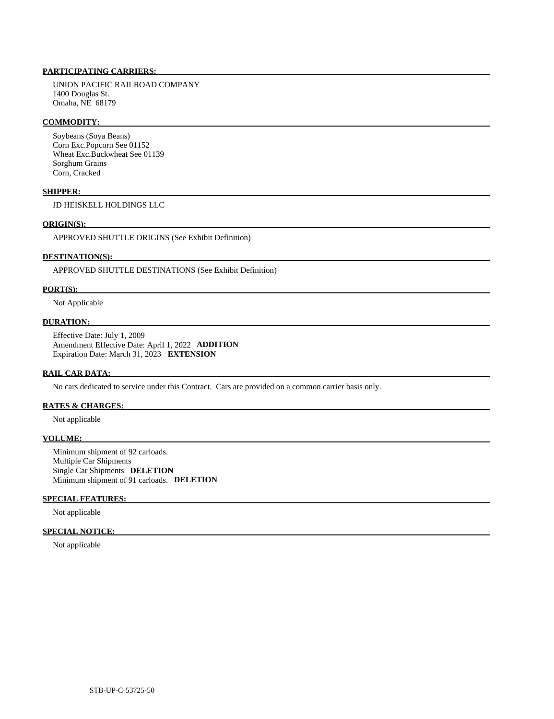# **PARTICIPATING CARRIERS:**

 UNION PACIFIC RAILROAD COMPANY 1400 Douglas St. Omaha, NE 68179

#### **COMMODITY:**

 Soybeans (Soya Beans) Corn Exc.Popcorn See 01152 Wheat Exc.Buckwheat See 01139 Sorghum Grains Corn, Cracked

## **SHIPPER:**

JD HEISKELL HOLDINGS LLC

#### **ORIGIN(S):**

APPROVED SHUTTLE ORIGINS (See Exhibit Definition)

# **DESTINATION(S):**

APPROVED SHUTTLE DESTINATIONS (See Exhibit Definition)

#### **PORT(S):**

Not Applicable

# **DURATION:**

 Effective Date: July 1, 2009 Amendment Effective Date: April 1, 2022 **ADDITION**  Expiration Date: March 31, 2023 **EXTENSION** 

#### **RAIL CAR DATA:**

No cars dedicated to service under this Contract. Cars are provided on a common carrier basis only.

# **RATES & CHARGES:**

Not applicable

### **VOLUME:**

 Minimum shipment of 92 carloads. Multiple Car Shipments Single Car Shipments **DELETION**  Minimum shipment of 91 carloads. **DELETION** 

# **SPECIAL FEATURES:**

Not applicable

#### **SPECIAL NOTICE:**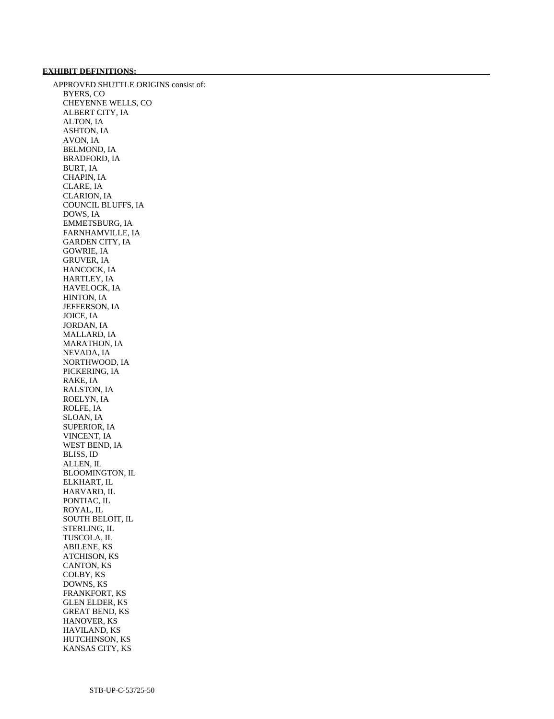# **EXHIBIT DEFINITIONS:**

 APPROVED SHUTTLE ORIGINS consist of: BYERS, CO CHEYENNE WELLS, CO ALBERT CITY, IA ALTON, IA ASHTON, IA AVON, IA BELMOND, IA BRADFORD, IA BURT, IA CHAPIN, IA CLARE, IA CLARION, IA COUNCIL BLUFFS, IA DOWS, IA EMMETSBURG, IA FARNHAMVILLE, IA GARDEN CITY, IA GOWRIE, IA GRUVER, IA HANCOCK, IA HARTLEY, IA HAVELOCK, IA HINTON, IA JEFFERSON, IA JOICE, IA JORDAN, IA MALLARD, IA MARATHON, IA NEVADA, IA NORTHWOOD, IA PICKERING, IA RAKE, IA RALSTON, IA ROELYN, IA ROLFE, IA SLOAN, IA SUPERIOR, IA VINCENT, IA WEST BEND, IA BLISS, ID ALLEN, IL BLOOMINGTON, IL ELKHART, IL HARVARD, IL PONTIAC, IL ROYAL, IL SOUTH BELOIT, IL STERLING, IL TUSCOLA, IL ABILENE, KS ATCHISON, KS CANTON, KS COLBY, KS DOWNS, KS FRANKFORT, KS GLEN ELDER, KS GREAT BEND, KS HANOVER, KS HAVILAND, KS HUTCHINSON, KS KANSAS CITY, KS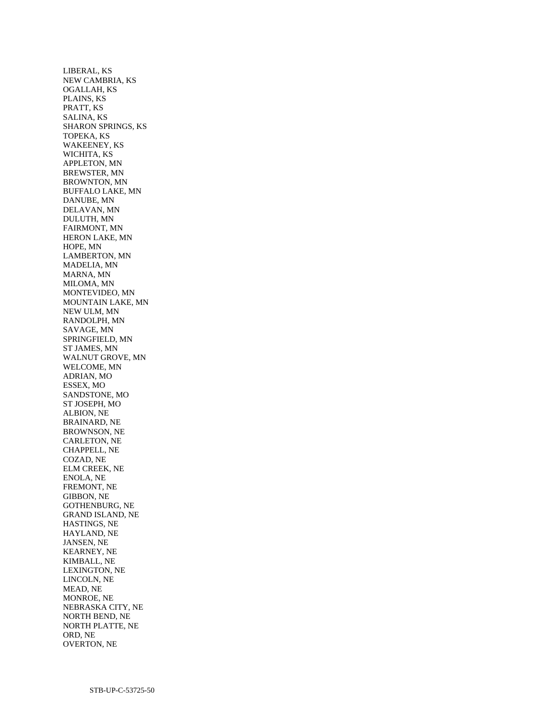LIBERAL, KS NEW CAMBRIA, KS OGALLAH, KS PLAINS, KS PRATT, KS SALINA, KS SHARON SPRINGS, KS TOPEKA, KS WAKEENEY, KS WICHITA, KS APPLETON, MN BREWSTER, MN BROWNTON, MN BUFFALO LAKE, MN DANUBE, MN DELAVAN, MN DULUTH, MN FAIRMONT, MN HERON LAKE, MN HOPE, MN LAMBERTON, MN MADELIA, MN MARNA, MN MILOMA, MN MONTEVIDEO, MN MOUNTAIN LAKE, MN NEW ULM, MN RANDOLPH, MN SAVAGE, MN SPRINGFIELD, MN ST JAMES, MN WALNUT GROVE, MN WELCOME, MN ADRIAN, MO ESSEX, MO SANDSTONE, MO ST JOSEPH, MO ALBION, NE BRAINARD, NE BROWNSON, NE CARLETON, NE CHAPPELL, NE COZAD, NE ELM CREEK, NE ENOLA, NE FREMONT, NE GIBBON, NE GOTHENBURG, NE GRAND ISLAND, NE HASTINGS, NE HAYLAND, NE JANSEN, NE KEARNEY, NE KIMBALL, NE LEXINGTON, NE LINCOLN, NE MEAD, NE MONROE, NE NEBRASKA CITY, NE NORTH BEND, NE NORTH PLATTE, NE ORD, NE OVERTON, NE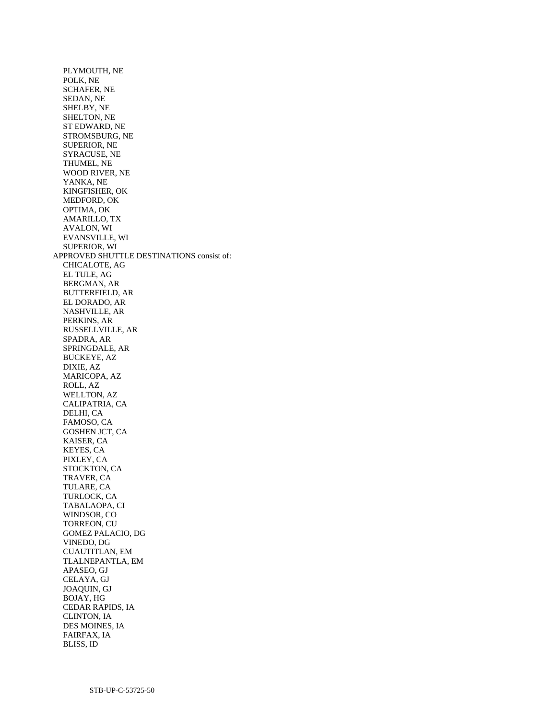PLYMOUTH, NE POLK, NE SCHAFER, NE SEDAN, NE SHELBY, NE SHELTON, NE ST EDWARD, NE STROMSBURG, NE SUPERIOR, NE SYRACUSE, NE THUMEL, NE WOOD RIVER, NE YANKA, NE KINGFISHER, OK MEDFORD, OK OPTIMA, OK AMARILLO, TX AVALON, WI EVANSVILLE, WI SUPERIOR, WI APPROVED SHUTTLE DESTINATIONS consist of: CHICALOTE, AG EL TULE, AG BERGMAN, AR BUTTERFIELD, AR EL DORADO, AR NASHVILLE, AR PERKINS, AR RUSSELLVILLE, AR SPADRA, AR SPRINGDALE, AR BUCKEYE, AZ DIXIE, AZ MARICOPA, AZ ROLL, AZ WELLTON, AZ CALIPATRIA, CA DELHI, CA FAMOSO, CA GOSHEN JCT, CA KAISER, CA KEYES, CA PIXLEY, CA STOCKTON, CA TRAVER, CA TULARE, CA TURLOCK, CA TABALAOPA, CI WINDSOR, CO TORREON, CU GOMEZ PALACIO, DG VINEDO, DG CUAUTITLAN, EM TLALNEPANTLA, EM APASEO, GJ CELAYA, GJ JOAQUIN, GJ BOJAY, HG CEDAR RAPIDS, IA CLINTON, IA DES MOINES, IA FAIRFAX, IA

BLISS, ID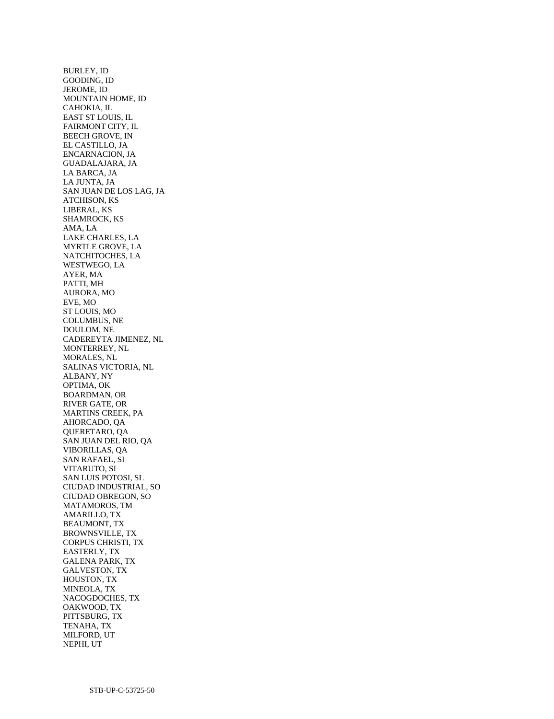BURLEY, ID GOODING, ID JEROME, ID MOUNTAIN HOME, ID CAHOKIA, IL EAST ST LOUIS, IL FAIRMONT CITY, IL BEECH GROVE, IN EL CASTILLO, JA ENCARNACION, JA GUADALAJARA, JA LA BARCA, JA LA JUNTA, JA SAN JUAN DE LOS LAG, JA ATCHISON, KS LIBERAL, KS SHAMROCK, KS AMA, LA LAKE CHARLES, LA MYRTLE GROVE, LA NATCHITOCHES, LA WESTWEGO, LA AYER, MA PATTI, MH AURORA, MO EVE, MO ST LOUIS, MO COLUMBUS, NE DOULOM, NE CADEREYTA JIMENEZ, NL MONTERREY, NL MORALES, NL SALINAS VICTORIA, NL ALBANY, NY OPTIMA, OK BOARDMAN, OR RIVER GATE, OR MARTINS CREEK, PA AHORCADO, QA QUERETARO, QA SAN JUAN DEL RIO, QA VIBORILLAS, QA SAN RAFAEL, SI VITARUTO, SI SAN LUIS POTOSI, SL CIUDAD INDUSTRIAL, SO CIUDAD OBREGON, SO MATAMOROS, TM AMARILLO, TX BEAUMONT, TX BROWNSVILLE, TX CORPUS CHRISTI, TX EASTERLY, TX GALENA PARK, TX GALVESTON, TX HOUSTON, TX MINEOLA, TX NACOGDOCHES, TX OAKWOOD, TX PITTSBURG, TX TENAHA, TX MILFORD, UT NEPHI, UT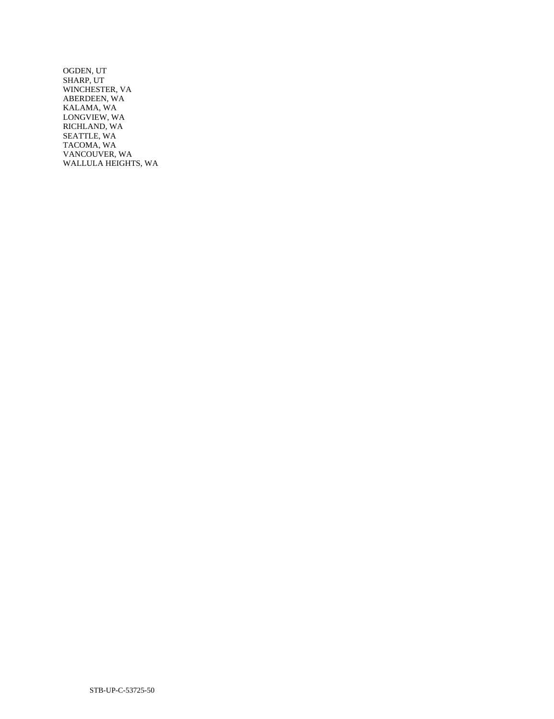OGDEN, UT SHARP, UT WINCHESTER, VA ABERDEEN, WA KALAMA, WA LONGVIEW, WA RICHLAND, WA SEATTLE, WA TACOMA, WA VANCOUVER, WA WALLULA HEIGHTS, WA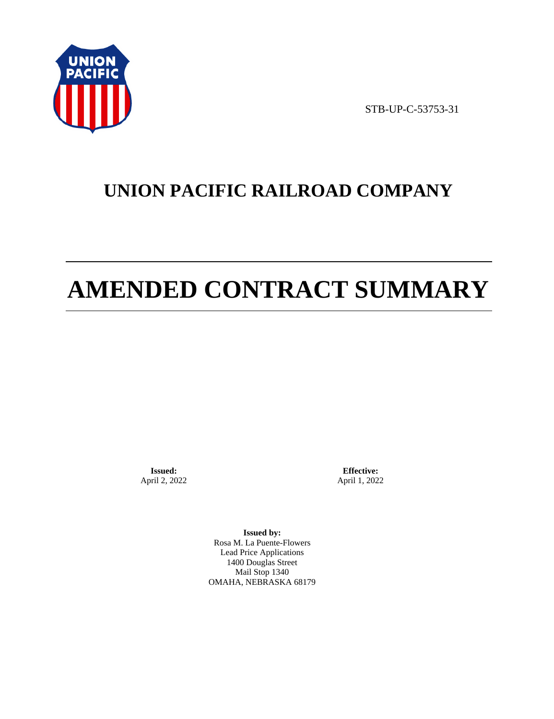

STB-UP-C-53753-31

# **UNION PACIFIC RAILROAD COMPANY**

# **AMENDED CONTRACT SUMMARY**

**Issued:**  April 2, 2022

**Effective:** April 1, 2022

**Issued by:**  Rosa M. La Puente-Flowers Lead Price Applications 1400 Douglas Street Mail Stop 1340 OMAHA, NEBRASKA 68179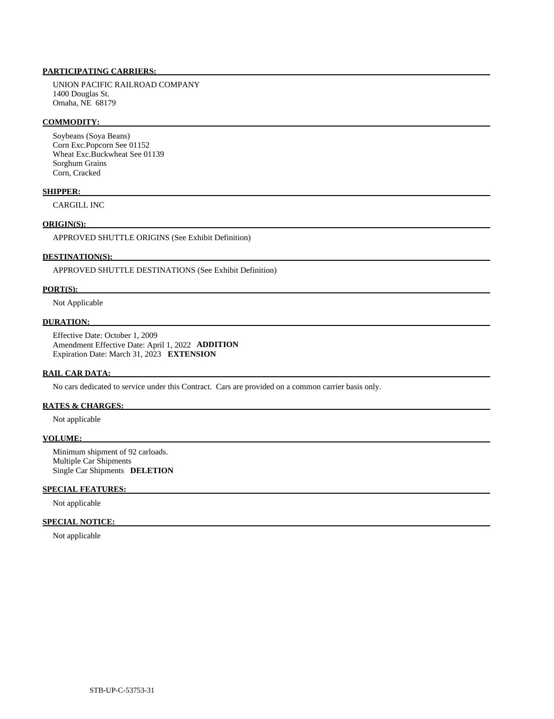# **PARTICIPATING CARRIERS:**

 UNION PACIFIC RAILROAD COMPANY 1400 Douglas St. Omaha, NE 68179

#### **COMMODITY:**

 Soybeans (Soya Beans) Corn Exc.Popcorn See 01152 Wheat Exc.Buckwheat See 01139 Sorghum Grains Corn, Cracked

#### **SHIPPER:**

CARGILL INC

# **ORIGIN(S):**

APPROVED SHUTTLE ORIGINS (See Exhibit Definition)

# **DESTINATION(S):**

APPROVED SHUTTLE DESTINATIONS (See Exhibit Definition)

#### **PORT(S):**

Not Applicable

# **DURATION:**

 Effective Date: October 1, 2009 Amendment Effective Date: April 1, 2022 **ADDITION**  Expiration Date: March 31, 2023 **EXTENSION** 

#### **RAIL CAR DATA:**

No cars dedicated to service under this Contract. Cars are provided on a common carrier basis only.

# **RATES & CHARGES:**

Not applicable

#### **VOLUME:**

 Minimum shipment of 92 carloads. Multiple Car Shipments Single Car Shipments **DELETION** 

# **SPECIAL FEATURES:**

Not applicable

# **SPECIAL NOTICE:**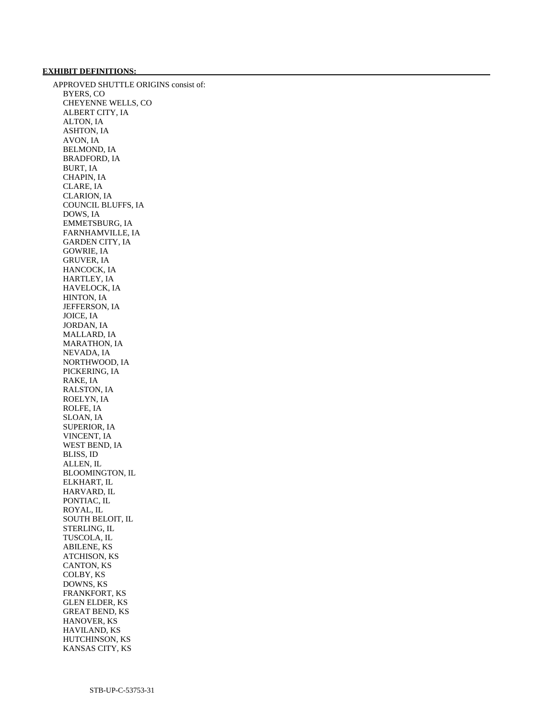# **EXHIBIT DEFINITIONS:**

 APPROVED SHUTTLE ORIGINS consist of: BYERS, CO CHEYENNE WELLS, CO ALBERT CITY, IA ALTON, IA ASHTON, IA AVON, IA BELMOND, IA BRADFORD, IA BURT, IA CHAPIN, IA CLARE, IA CLARION, IA COUNCIL BLUFFS, IA DOWS, IA EMMETSBURG, IA FARNHAMVILLE, IA GARDEN CITY, IA GOWRIE, IA GRUVER, IA HANCOCK, IA HARTLEY, IA HAVELOCK, IA HINTON, IA JEFFERSON, IA JOICE, IA JORDAN, IA MALLARD, IA MARATHON, IA NEVADA, IA NORTHWOOD, IA PICKERING, IA RAKE, IA RALSTON, IA ROELYN, IA ROLFE, IA SLOAN, IA SUPERIOR, IA VINCENT, IA WEST BEND, IA BLISS, ID ALLEN, IL BLOOMINGTON, IL ELKHART, IL HARVARD, IL PONTIAC, IL ROYAL, IL SOUTH BELOIT, IL STERLING, IL TUSCOLA, IL ABILENE, KS ATCHISON, KS CANTON, KS COLBY, KS DOWNS, KS FRANKFORT, KS GLEN ELDER, KS GREAT BEND, KS HANOVER, KS HAVILAND, KS HUTCHINSON, KS KANSAS CITY, KS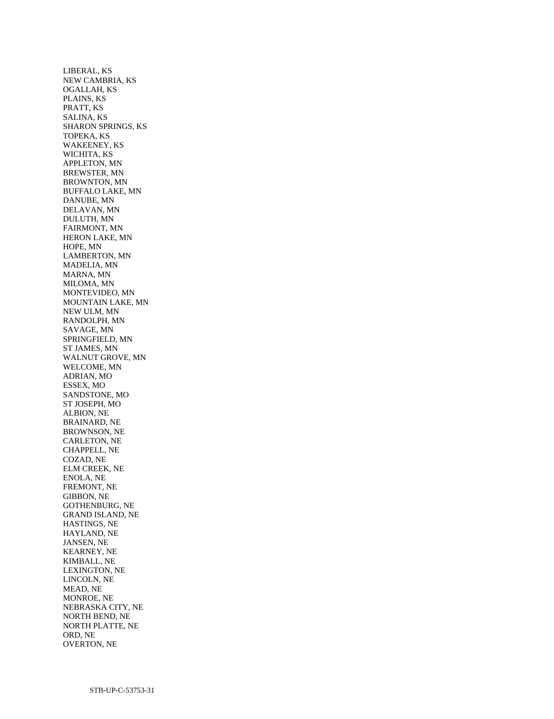LIBERAL, KS NEW CAMBRIA, KS OGALLAH, KS PLAINS, KS PRATT, KS SALINA, KS SHARON SPRINGS, KS TOPEKA, KS WAKEENEY, KS WICHITA, KS APPLETON, MN BREWSTER, MN BROWNTON, MN BUFFALO LAKE, MN DANUBE, MN DELAVAN, MN DULUTH, MN FAIRMONT, MN HERON LAKE, MN HOPE, MN LAMBERTON, MN MADELIA, MN MARNA, MN MILOMA, MN MONTEVIDEO, MN MOUNTAIN LAKE, MN NEW ULM, MN RANDOLPH, MN SAVAGE, MN SPRINGFIELD, MN ST JAMES, MN WALNUT GROVE, MN WELCOME, MN ADRIAN, MO ESSEX, MO SANDSTONE, MO ST JOSEPH, MO ALBION, NE BRAINARD, NE BROWNSON, NE CARLETON, NE CHAPPELL, NE COZAD, NE ELM CREEK, NE ENOLA, NE FREMONT, NE GIBBON, NE GOTHENBURG, NE GRAND ISLAND, NE HASTINGS, NE HAYLAND, NE JANSEN, NE KEARNEY, NE KIMBALL, NE LEXINGTON, NE LINCOLN, NE MEAD, NE MONROE, NE NEBRASKA CITY, NE NORTH BEND, NE NORTH PLATTE, NE ORD, NE OVERTON, NE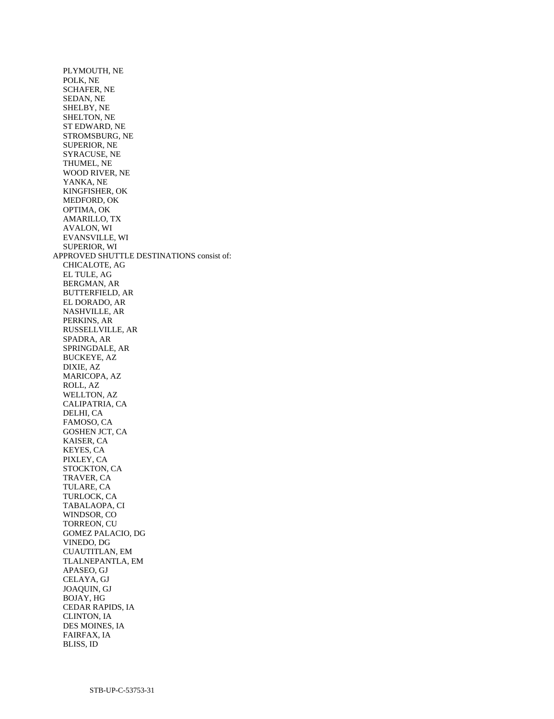PLYMOUTH, NE POLK, NE SCHAFER, NE SEDAN, NE SHELBY, NE SHELTON, NE ST EDWARD, NE STROMSBURG, NE SUPERIOR, NE SYRACUSE, NE THUMEL, NE WOOD RIVER, NE YANKA, NE KINGFISHER, OK MEDFORD, OK OPTIMA, OK AMARILLO, TX AVALON, WI EVANSVILLE, WI SUPERIOR, WI APPROVED SHUTTLE DESTINATIONS consist of: CHICALOTE, AG EL TULE, AG BERGMAN, AR BUTTERFIELD, AR EL DORADO, AR NASHVILLE, AR PERKINS, AR RUSSELLVILLE, AR SPADRA, AR SPRINGDALE, AR BUCKEYE, AZ DIXIE, AZ MARICOPA, AZ ROLL, AZ WELLTON, AZ CALIPATRIA, CA DELHI, CA FAMOSO, CA GOSHEN JCT, CA KAISER, CA KEYES, CA PIXLEY, CA STOCKTON, CA TRAVER, CA TULARE, CA TURLOCK, CA TABALAOPA, CI WINDSOR, CO TORREON, CU GOMEZ PALACIO, DG VINEDO, DG CUAUTITLAN, EM TLALNEPANTLA, EM APASEO, GJ CELAYA, GJ JOAQUIN, GJ BOJAY, HG CEDAR RAPIDS, IA CLINTON, IA DES MOINES, IA FAIRFAX, IA

BLISS, ID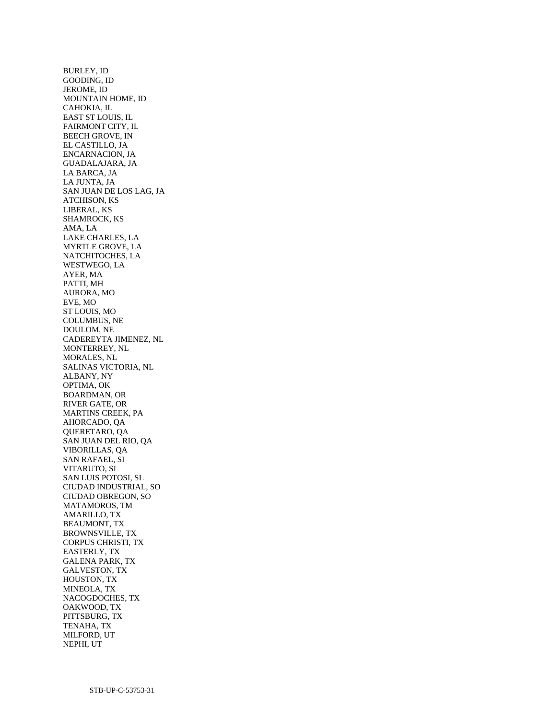BURLEY, ID GOODING, ID JEROME, ID MOUNTAIN HOME, ID CAHOKIA, IL EAST ST LOUIS, IL FAIRMONT CITY, IL BEECH GROVE, IN EL CASTILLO, JA ENCARNACION, JA GUADALAJARA, JA LA BARCA, JA LA JUNTA, JA SAN JUAN DE LOS LAG, JA ATCHISON, KS LIBERAL, KS SHAMROCK, KS AMA, LA LAKE CHARLES, LA MYRTLE GROVE, LA NATCHITOCHES, LA WESTWEGO, LA AYER, MA PATTI, MH AURORA, MO EVE, MO ST LOUIS, MO COLUMBUS, NE DOULOM, NE CADEREYTA JIMENEZ, NL MONTERREY, NL MORALES, NL SALINAS VICTORIA, NL ALBANY, NY OPTIMA, OK BOARDMAN, OR RIVER GATE, OR MARTINS CREEK, PA AHORCADO, QA QUERETARO, QA SAN JUAN DEL RIO, QA VIBORILLAS, QA SAN RAFAEL, SI VITARUTO, SI SAN LUIS POTOSI, SL CIUDAD INDUSTRIAL, SO CIUDAD OBREGON, SO MATAMOROS, TM AMARILLO, TX BEAUMONT, TX BROWNSVILLE, TX CORPUS CHRISTI, TX EASTERLY, TX GALENA PARK, TX GALVESTON, TX HOUSTON, TX MINEOLA, TX NACOGDOCHES, TX OAKWOOD, TX PITTSBURG, TX TENAHA, TX MILFORD, UT NEPHI, UT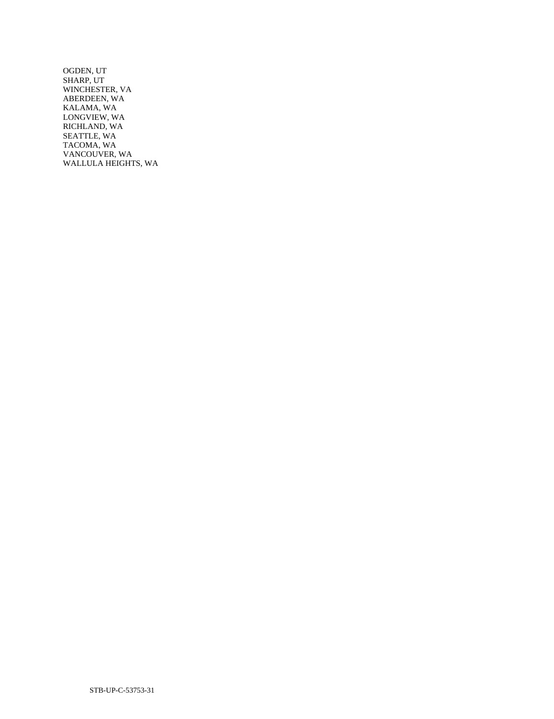OGDEN, UT SHARP, UT WINCHESTER, VA ABERDEEN, WA KALAMA, WA LONGVIEW, WA RICHLAND, WA SEATTLE, WA TACOMA, WA VANCOUVER, WA WALLULA HEIGHTS, WA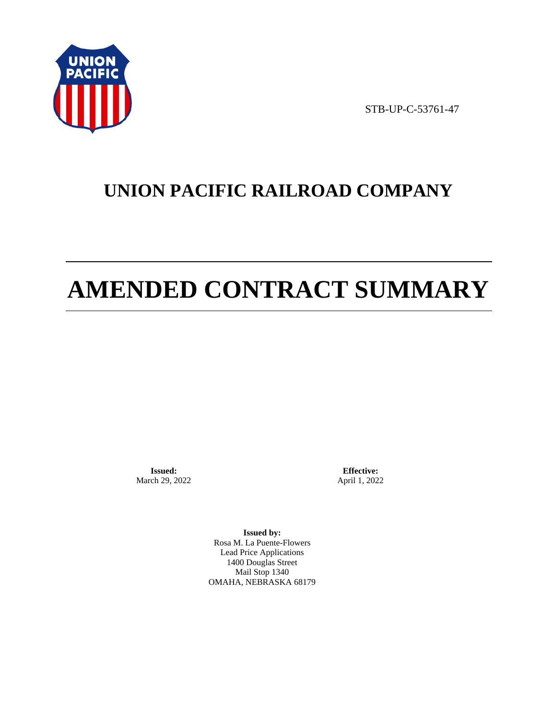

STB-UP-C-53761-47

# **UNION PACIFIC RAILROAD COMPANY**

# **AMENDED CONTRACT SUMMARY**

**Issued:**  March 29, 2022

**Effective:** April 1, 2022

**Issued by:**  Rosa M. La Puente-Flowers Lead Price Applications 1400 Douglas Street Mail Stop 1340 OMAHA, NEBRASKA 68179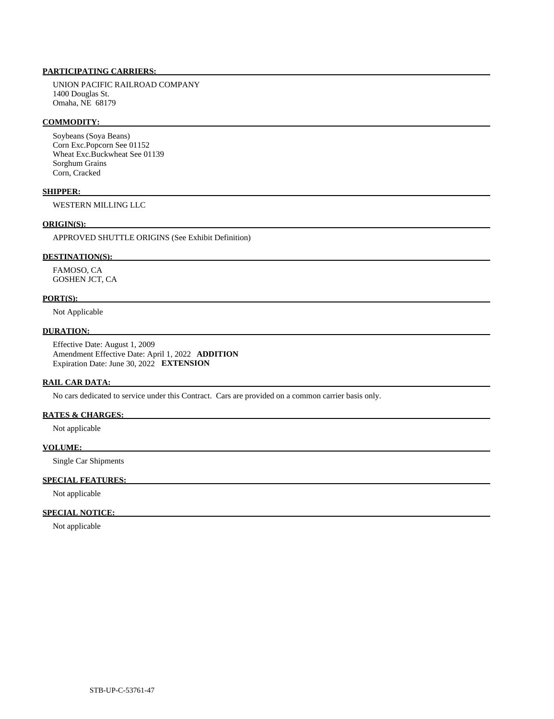# **PARTICIPATING CARRIERS:**

 UNION PACIFIC RAILROAD COMPANY 1400 Douglas St. Omaha, NE 68179

#### **COMMODITY:**

 Soybeans (Soya Beans) Corn Exc.Popcorn See 01152 Wheat Exc.Buckwheat See 01139 Sorghum Grains Corn, Cracked

#### **SHIPPER:**

WESTERN MILLING LLC

# **ORIGIN(S):**

APPROVED SHUTTLE ORIGINS (See Exhibit Definition)

#### **DESTINATION(S):**

 FAMOSO, CA GOSHEN JCT, CA

#### **PORT(S):**

Not Applicable

## **DURATION:**

 Effective Date: August 1, 2009 Amendment Effective Date: April 1, 2022 **ADDITION**  Expiration Date: June 30, 2022 **EXTENSION** 

### **RAIL CAR DATA:**

No cars dedicated to service under this Contract. Cars are provided on a common carrier basis only.

### **RATES & CHARGES:**

Not applicable

#### **VOLUME:**

Single Car Shipments

#### **SPECIAL FEATURES:**

Not applicable

# **SPECIAL NOTICE:**

Not applicable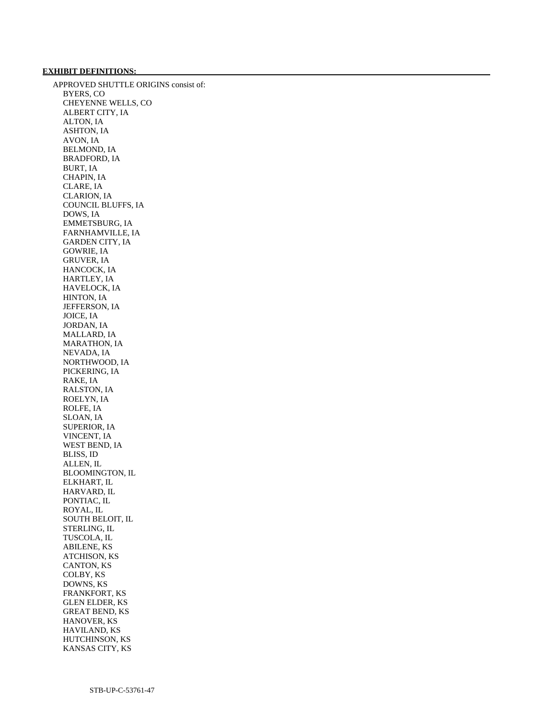# **EXHIBIT DEFINITIONS:**

 APPROVED SHUTTLE ORIGINS consist of: BYERS, CO CHEYENNE WELLS, CO ALBERT CITY, IA ALTON, IA ASHTON, IA AVON, IA BELMOND, IA BRADFORD, IA BURT, IA CHAPIN, IA CLARE, IA CLARION, IA COUNCIL BLUFFS, IA DOWS, IA EMMETSBURG, IA FARNHAMVILLE, IA GARDEN CITY, IA GOWRIE, IA GRUVER, IA HANCOCK, IA HARTLEY, IA HAVELOCK, IA HINTON, IA JEFFERSON, IA JOICE, IA JORDAN, IA MALLARD, IA MARATHON, IA NEVADA, IA NORTHWOOD, IA PICKERING, IA RAKE, IA RALSTON, IA ROELYN, IA ROLFE, IA SLOAN, IA SUPERIOR, IA VINCENT, IA WEST BEND, IA BLISS, ID ALLEN, IL BLOOMINGTON, IL ELKHART, IL HARVARD, IL PONTIAC, IL ROYAL, IL SOUTH BELOIT, IL STERLING, IL TUSCOLA, IL ABILENE, KS ATCHISON, KS CANTON, KS COLBY, KS DOWNS, KS FRANKFORT, KS GLEN ELDER, KS GREAT BEND, KS HANOVER, KS HAVILAND, KS HUTCHINSON, KS KANSAS CITY, KS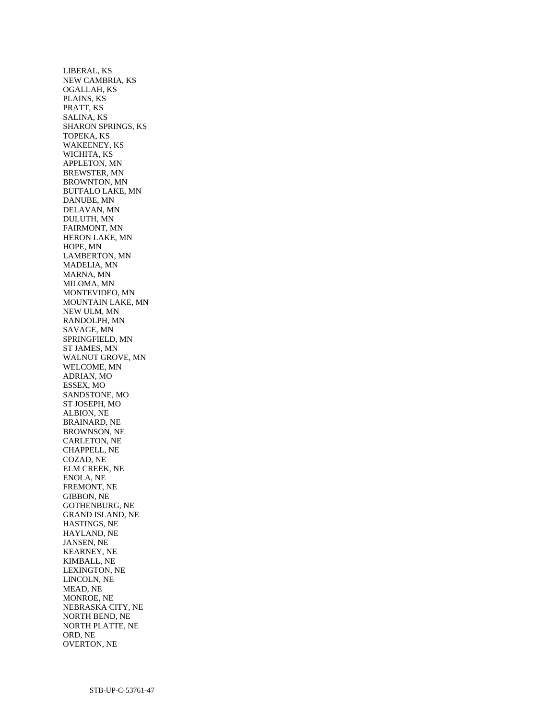LIBERAL, KS NEW CAMBRIA, KS OGALLAH, KS PLAINS, KS PRATT, KS SALINA, KS SHARON SPRINGS, KS TOPEKA, KS WAKEENEY, KS WICHITA, KS APPLETON, MN BREWSTER, MN BROWNTON, MN BUFFALO LAKE, MN DANUBE, MN DELAVAN, MN DULUTH, MN FAIRMONT, MN HERON LAKE, MN HOPE, MN LAMBERTON, MN MADELIA, MN MARNA, MN MILOMA, MN MONTEVIDEO, MN MOUNTAIN LAKE, MN NEW ULM, MN RANDOLPH, MN SAVAGE, MN SPRINGFIELD, MN ST JAMES, MN WALNUT GROVE, MN WELCOME, MN ADRIAN, MO ESSEX, MO SANDSTONE, MO ST JOSEPH, MO ALBION, NE BRAINARD, NE BROWNSON, NE CARLETON, NE CHAPPELL, NE COZAD, NE ELM CREEK, NE ENOLA, NE FREMONT, NE GIBBON, NE GOTHENBURG, NE GRAND ISLAND, NE HASTINGS, NE HAYLAND, NE JANSEN, NE KEARNEY, NE KIMBALL, NE LEXINGTON, NE LINCOLN, NE MEAD, NE MONROE, NE NEBRASKA CITY, NE NORTH BEND, NE NORTH PLATTE, NE ORD, NE OVERTON, NE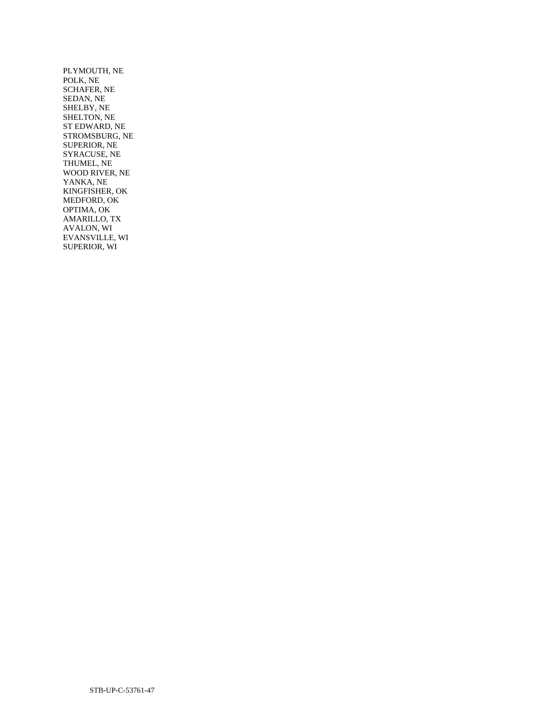PLYMOUTH, NE POLK, NE SCHAFER, NE SEDAN, NE SHELBY, NE SHELTON, NE ST EDWARD, NE STROMSBURG, NE SUPERIOR, NE SYRACUSE, NE THUMEL, NE WOOD RIVER, NE YANKA, NE KINGFISHER, OK MEDFORD, OK OPTIMA, OK AMARILLO, TX AVALON, WI EVANSVILLE, WI SUPERIOR, WI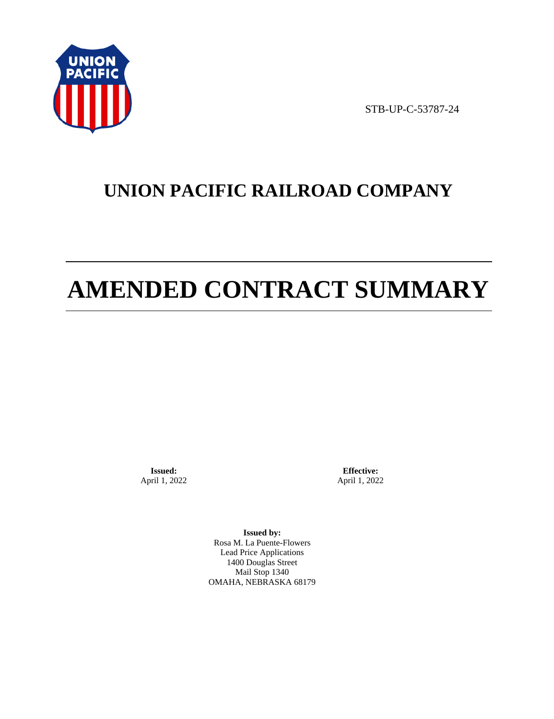

STB-UP-C-53787-24

# **UNION PACIFIC RAILROAD COMPANY**

# **AMENDED CONTRACT SUMMARY**

**Issued:**  April 1, 2022

**Effective:** April 1, 2022

**Issued by:**  Rosa M. La Puente-Flowers Lead Price Applications 1400 Douglas Street Mail Stop 1340 OMAHA, NEBRASKA 68179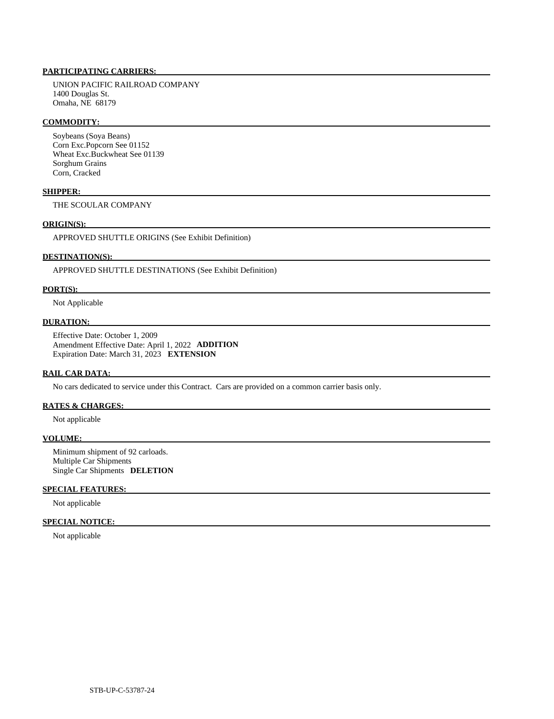# **PARTICIPATING CARRIERS:**

 UNION PACIFIC RAILROAD COMPANY 1400 Douglas St. Omaha, NE 68179

#### **COMMODITY:**

 Soybeans (Soya Beans) Corn Exc.Popcorn See 01152 Wheat Exc.Buckwheat See 01139 Sorghum Grains Corn, Cracked

#### **SHIPPER:**

THE SCOULAR COMPANY

#### **ORIGIN(S):**

APPROVED SHUTTLE ORIGINS (See Exhibit Definition)

# **DESTINATION(S):**

APPROVED SHUTTLE DESTINATIONS (See Exhibit Definition)

#### **PORT(S):**

Not Applicable

#### **DURATION:**

 Effective Date: October 1, 2009 Amendment Effective Date: April 1, 2022 **ADDITION**  Expiration Date: March 31, 2023 **EXTENSION** 

#### **RAIL CAR DATA:**

No cars dedicated to service under this Contract. Cars are provided on a common carrier basis only.

### **RATES & CHARGES:**

Not applicable

#### **VOLUME:**

 Minimum shipment of 92 carloads. Multiple Car Shipments Single Car Shipments **DELETION** 

### **SPECIAL FEATURES:**

Not applicable

#### **SPECIAL NOTICE:**

Not applicable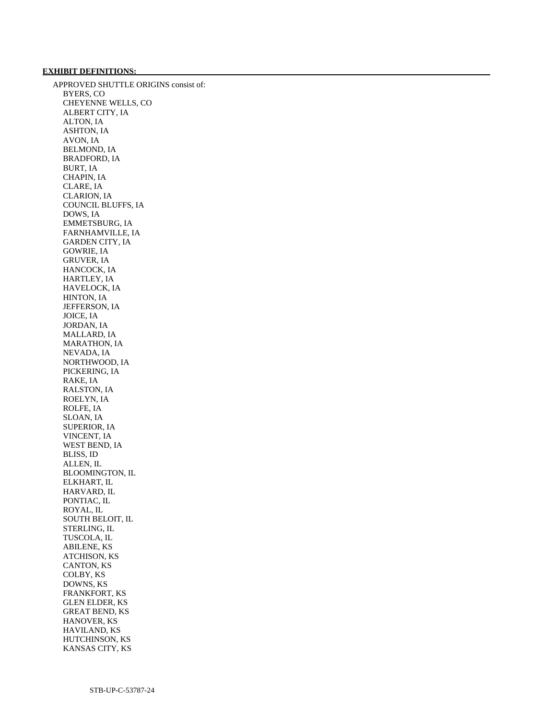# **EXHIBIT DEFINITIONS:**

 APPROVED SHUTTLE ORIGINS consist of: BYERS, CO CHEYENNE WELLS, CO ALBERT CITY, IA ALTON, IA ASHTON, IA AVON, IA BELMOND, IA BRADFORD, IA BURT, IA CHAPIN, IA CLARE, IA CLARION, IA COUNCIL BLUFFS, IA DOWS, IA EMMETSBURG, IA FARNHAMVILLE, IA GARDEN CITY, IA GOWRIE, IA GRUVER, IA HANCOCK, IA HARTLEY, IA HAVELOCK, IA HINTON, IA JEFFERSON, IA JOICE, IA JORDAN, IA MALLARD, IA MARATHON, IA NEVADA, IA NORTHWOOD, IA PICKERING, IA RAKE, IA RALSTON, IA ROELYN, IA ROLFE, IA SLOAN, IA SUPERIOR, IA VINCENT, IA WEST BEND, IA BLISS, ID ALLEN, IL BLOOMINGTON, IL ELKHART, IL HARVARD, IL PONTIAC, IL ROYAL, IL SOUTH BELOIT, IL STERLING, IL TUSCOLA, IL ABILENE, KS ATCHISON, KS CANTON, KS COLBY, KS DOWNS, KS FRANKFORT, KS GLEN ELDER, KS GREAT BEND, KS HANOVER, KS HAVILAND, KS HUTCHINSON, KS KANSAS CITY, KS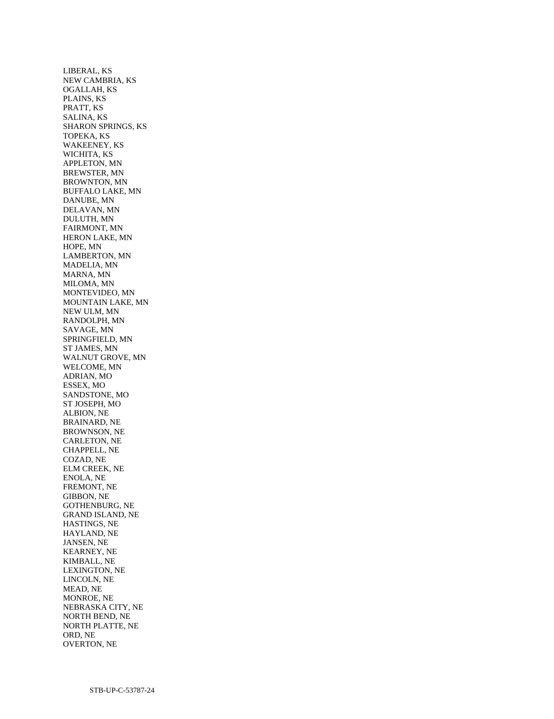LIBERAL, KS NEW CAMBRIA, KS OGALLAH, KS PLAINS, KS PRATT, KS SALINA, KS SHARON SPRINGS, KS TOPEKA, KS WAKEENEY, KS WICHITA, KS APPLETON, MN BREWSTER, MN BROWNTON, MN BUFFALO LAKE, MN DANUBE, MN DELAVAN, MN DULUTH, MN FAIRMONT, MN HERON LAKE, MN HOPE, MN LAMBERTON, MN MADELIA, MN MARNA, MN MILOMA, MN MONTEVIDEO, MN MOUNTAIN LAKE, MN NEW ULM, MN RANDOLPH, MN SAVAGE, MN SPRINGFIELD, MN ST JAMES, MN WALNUT GROVE, MN WELCOME, MN ADRIAN, MO ESSEX, MO SANDSTONE, MO ST JOSEPH, MO ALBION, NE BRAINARD, NE BROWNSON, NE CARLETON, NE CHAPPELL, NE COZAD, NE ELM CREEK, NE ENOLA, NE FREMONT, NE GIBBON, NE GOTHENBURG, NE GRAND ISLAND, NE HASTINGS, NE HAYLAND, NE JANSEN, NE KEARNEY, NE KIMBALL, NE LEXINGTON, NE LINCOLN, NE MEAD, NE MONROE, NE NEBRASKA CITY, NE NORTH BEND, NE NORTH PLATTE, NE ORD, NE OVERTON, NE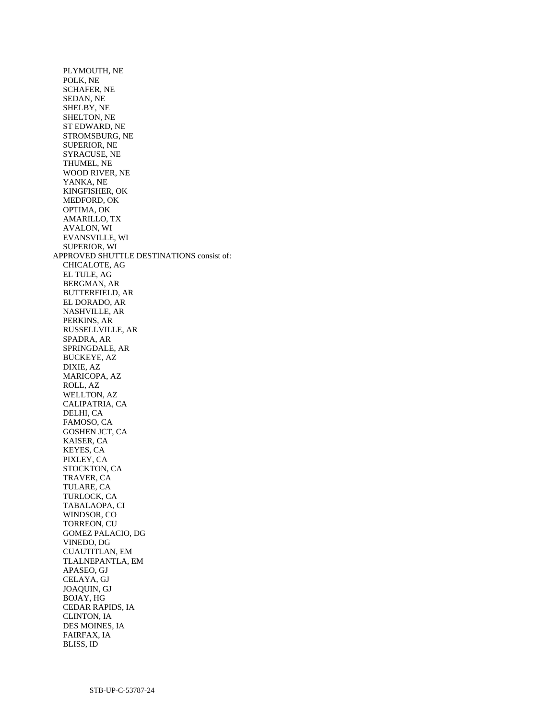PLYMOUTH, NE POLK, NE SCHAFER, NE SEDAN, NE SHELBY, NE SHELTON, NE ST EDWARD, NE STROMSBURG, NE SUPERIOR, NE SYRACUSE, NE THUMEL, NE WOOD RIVER, NE YANKA, NE KINGFISHER, OK MEDFORD, OK OPTIMA, OK AMARILLO, TX AVALON, WI EVANSVILLE, WI SUPERIOR, WI APPROVED SHUTTLE DESTINATIONS consist of: CHICALOTE, AG EL TULE, AG BERGMAN, AR BUTTERFIELD, AR EL DORADO, AR NASHVILLE, AR PERKINS, AR RUSSELLVILLE, AR SPADRA, AR SPRINGDALE, AR BUCKEYE, AZ DIXIE, AZ MARICOPA, AZ ROLL, AZ WELLTON, AZ CALIPATRIA, CA DELHI, CA FAMOSO, CA GOSHEN JCT, CA KAISER, CA KEYES, CA PIXLEY, CA STOCKTON, CA TRAVER, CA TULARE, CA TURLOCK, CA TABALAOPA, CI WINDSOR, CO TORREON, CU GOMEZ PALACIO, DG VINEDO, DG CUAUTITLAN, EM TLALNEPANTLA, EM APASEO, GJ CELAYA, GJ JOAQUIN, GJ BOJAY, HG CEDAR RAPIDS, IA CLINTON, IA DES MOINES, IA FAIRFAX, IA

BLISS, ID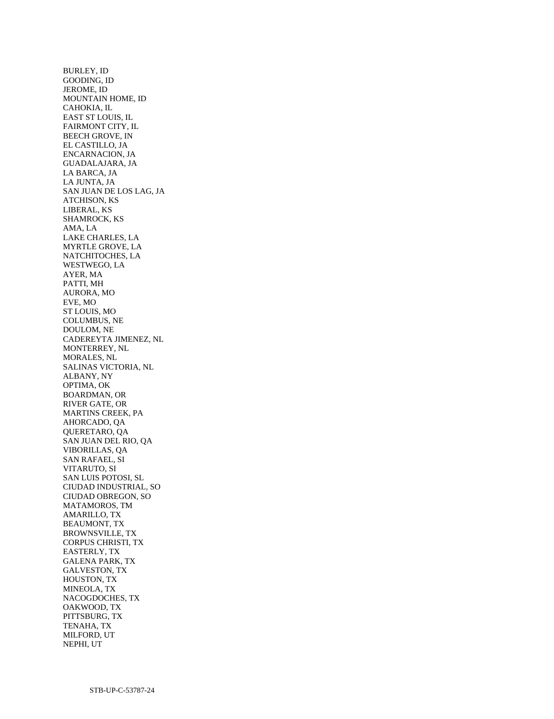BURLEY, ID GOODING, ID JEROME, ID MOUNTAIN HOME, ID CAHOKIA, IL EAST ST LOUIS, IL FAIRMONT CITY, IL BEECH GROVE, IN EL CASTILLO, JA ENCARNACION, JA GUADALAJARA, JA LA BARCA, JA LA JUNTA, JA SAN JUAN DE LOS LAG, JA ATCHISON, KS LIBERAL, KS SHAMROCK, KS AMA, LA LAKE CHARLES, LA MYRTLE GROVE, LA NATCHITOCHES, LA WESTWEGO, LA AYER, MA PATTI, MH AURORA, MO EVE, MO ST LOUIS, MO COLUMBUS, NE DOULOM, NE CADEREYTA JIMENEZ, NL MONTERREY, NL MORALES, NL SALINAS VICTORIA, NL ALBANY, NY OPTIMA, OK BOARDMAN, OR RIVER GATE, OR MARTINS CREEK, PA AHORCADO, QA QUERETARO, QA SAN JUAN DEL RIO, QA VIBORILLAS, QA SAN RAFAEL, SI VITARUTO, SI SAN LUIS POTOSI, SL CIUDAD INDUSTRIAL, SO CIUDAD OBREGON, SO MATAMOROS, TM AMARILLO, TX BEAUMONT, TX BROWNSVILLE, TX CORPUS CHRISTI, TX EASTERLY, TX GALENA PARK, TX GALVESTON, TX HOUSTON, TX MINEOLA, TX NACOGDOCHES, TX OAKWOOD, TX PITTSBURG, TX TENAHA, TX MILFORD, UT NEPHI, UT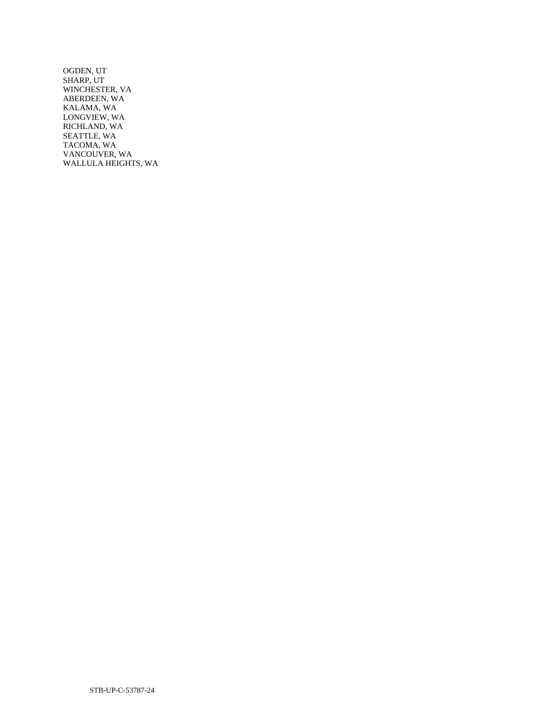OGDEN, UT SHARP, UT WINCHESTER, VA ABERDEEN, WA KALAMA, WA LONGVIEW, WA RICHLAND, WA SEATTLE, WA TACOMA, WA VANCOUVER, WA WALLULA HEIGHTS, WA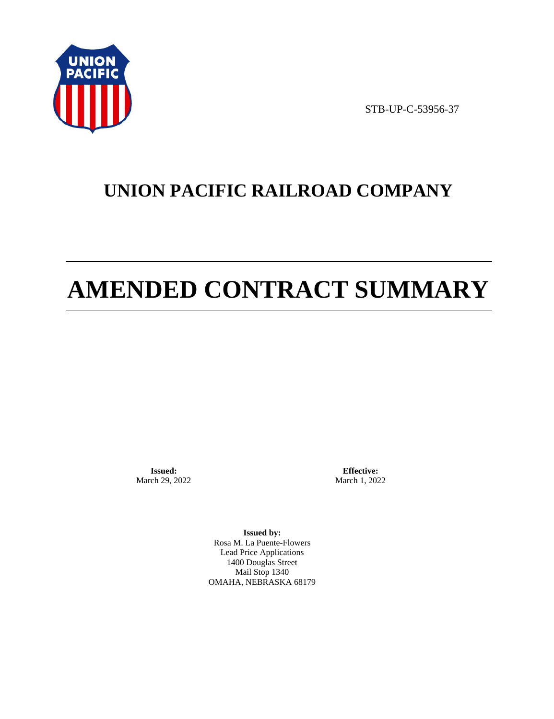

STB-UP-C-53956-37

# **UNION PACIFIC RAILROAD COMPANY**

# **AMENDED CONTRACT SUMMARY**

**Issued:**  March 29, 2022

**Effective:** March 1, 2022

**Issued by:**  Rosa M. La Puente-Flowers Lead Price Applications 1400 Douglas Street Mail Stop 1340 OMAHA, NEBRASKA 68179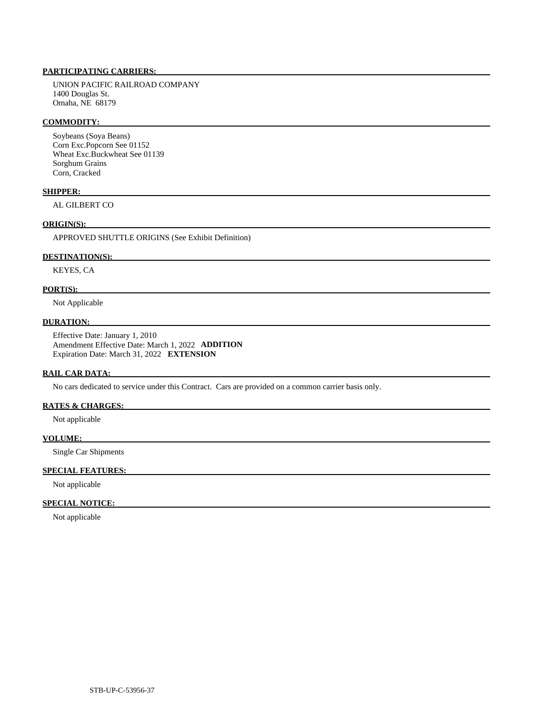# **PARTICIPATING CARRIERS:**

 UNION PACIFIC RAILROAD COMPANY 1400 Douglas St. Omaha, NE 68179

#### **COMMODITY:**

 Soybeans (Soya Beans) Corn Exc.Popcorn See 01152 Wheat Exc.Buckwheat See 01139 Sorghum Grains Corn, Cracked

#### **SHIPPER:**

AL GILBERT CO

# **ORIGIN(S):**

APPROVED SHUTTLE ORIGINS (See Exhibit Definition)

#### **DESTINATION(S):**

KEYES, CA

#### **PORT(S):**

Not Applicable

#### **DURATION:**

 Effective Date: January 1, 2010 Amendment Effective Date: March 1, 2022 **ADDITION**  Expiration Date: March 31, 2022 **EXTENSION** 

#### **RAIL CAR DATA:**

No cars dedicated to service under this Contract. Cars are provided on a common carrier basis only.

### **RATES & CHARGES:**

Not applicable

#### **VOLUME:**

Single Car Shipments

# **SPECIAL FEATURES:**

Not applicable

#### **SPECIAL NOTICE:**

Not applicable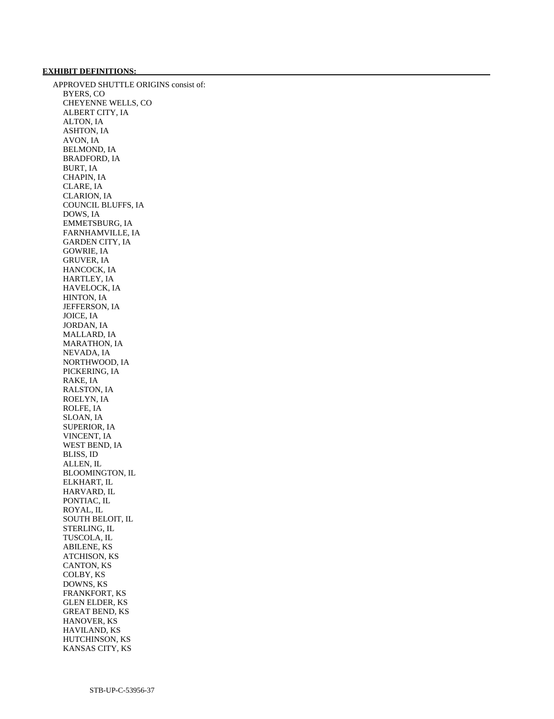# **EXHIBIT DEFINITIONS:**

 APPROVED SHUTTLE ORIGINS consist of: BYERS, CO CHEYENNE WELLS, CO ALBERT CITY, IA ALTON, IA ASHTON, IA AVON, IA BELMOND, IA BRADFORD, IA BURT, IA CHAPIN, IA CLARE, IA CLARION, IA COUNCIL BLUFFS, IA DOWS, IA EMMETSBURG, IA FARNHAMVILLE, IA GARDEN CITY, IA GOWRIE, IA GRUVER, IA HANCOCK, IA HARTLEY, IA HAVELOCK, IA HINTON, IA JEFFERSON, IA JOICE, IA JORDAN, IA MALLARD, IA MARATHON, IA NEVADA, IA NORTHWOOD, IA PICKERING, IA RAKE, IA RALSTON, IA ROELYN, IA ROLFE, IA SLOAN, IA SUPERIOR, IA VINCENT, IA WEST BEND, IA BLISS, ID ALLEN, IL BLOOMINGTON, IL ELKHART, IL HARVARD, IL PONTIAC, IL ROYAL, IL SOUTH BELOIT, IL STERLING, IL TUSCOLA, IL ABILENE, KS ATCHISON, KS CANTON, KS COLBY, KS DOWNS, KS FRANKFORT, KS GLEN ELDER, KS GREAT BEND, KS HANOVER, KS HAVILAND, KS HUTCHINSON, KS KANSAS CITY, KS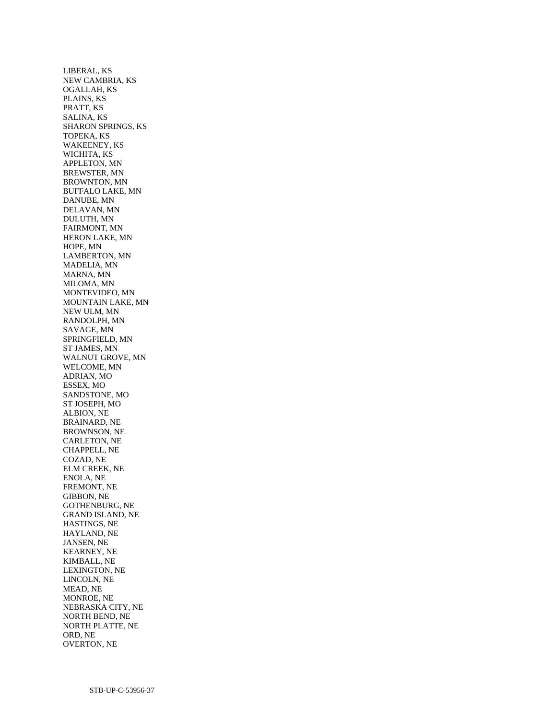LIBERAL, KS NEW CAMBRIA, KS OGALLAH, KS PLAINS, KS PRATT, KS SALINA, KS SHARON SPRINGS, KS TOPEKA, KS WAKEENEY, KS WICHITA, KS APPLETON, MN BREWSTER, MN BROWNTON, MN BUFFALO LAKE, MN DANUBE, MN DELAVAN, MN DULUTH, MN FAIRMONT, MN HERON LAKE, MN HOPE, MN LAMBERTON, MN MADELIA, MN MARNA, MN MILOMA, MN MONTEVIDEO, MN MOUNTAIN LAKE, MN NEW ULM, MN RANDOLPH, MN SAVAGE, MN SPRINGFIELD, MN ST JAMES, MN WALNUT GROVE, MN WELCOME, MN ADRIAN, MO ESSEX, MO SANDSTONE, MO ST JOSEPH, MO ALBION, NE BRAINARD, NE BROWNSON, NE CARLETON, NE CHAPPELL, NE COZAD, NE ELM CREEK, NE ENOLA, NE FREMONT, NE GIBBON, NE GOTHENBURG, NE GRAND ISLAND, NE HASTINGS, NE HAYLAND, NE JANSEN, NE KEARNEY, NE KIMBALL, NE LEXINGTON, NE LINCOLN, NE MEAD, NE MONROE, NE NEBRASKA CITY, NE NORTH BEND, NE NORTH PLATTE, NE ORD, NE OVERTON, NE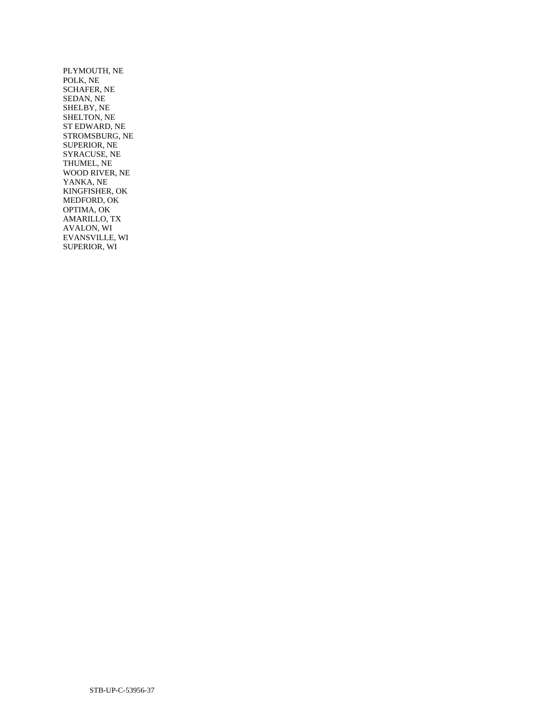PLYMOUTH, NE POLK, NE SCHAFER, NE SEDAN, NE SHELBY, NE SHELTON, NE ST EDWARD, NE STROMSBURG, NE SUPERIOR, NE SYRACUSE, NE THUMEL, NE WOOD RIVER, NE YANKA, NE KINGFISHER, OK MEDFORD, OK OPTIMA, OK AMARILLO, TX AVALON, WI EVANSVILLE, WI SUPERIOR, WI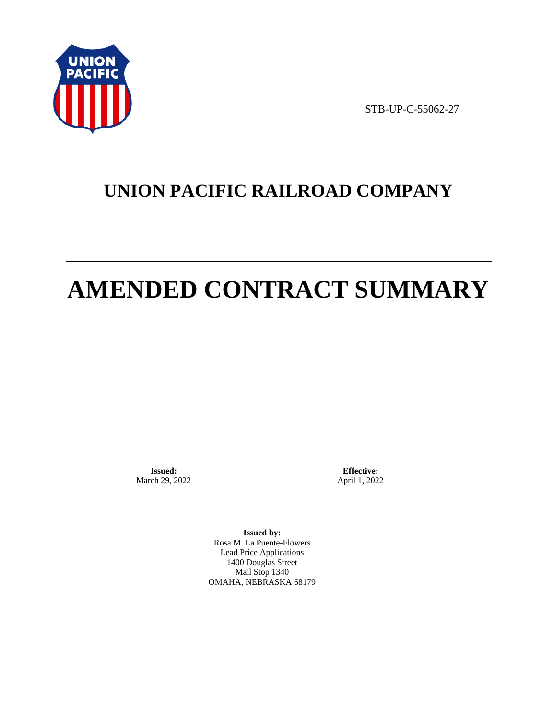

STB-UP-C-55062-27

# **UNION PACIFIC RAILROAD COMPANY**

# **AMENDED CONTRACT SUMMARY**

**Issued:**  March 29, 2022

**Effective:** April 1, 2022

**Issued by:**  Rosa M. La Puente-Flowers Lead Price Applications 1400 Douglas Street Mail Stop 1340 OMAHA, NEBRASKA 68179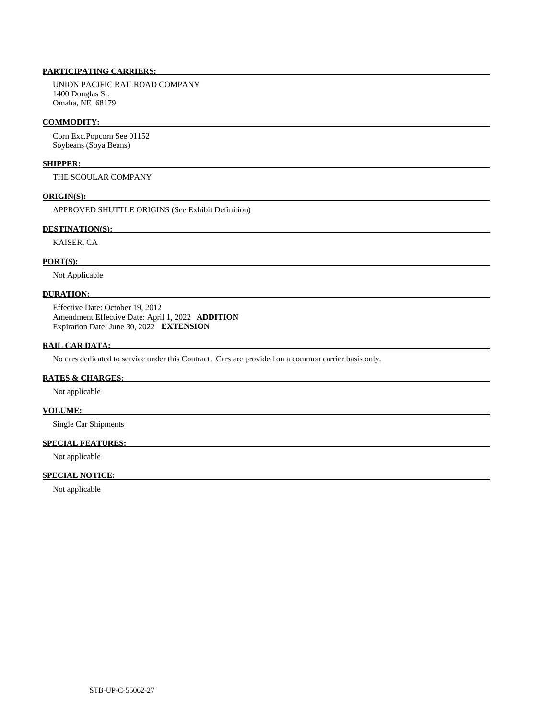# **PARTICIPATING CARRIERS:**

 UNION PACIFIC RAILROAD COMPANY 1400 Douglas St. Omaha, NE 68179

#### **COMMODITY:**

 Corn Exc.Popcorn See 01152 Soybeans (Soya Beans)

#### **SHIPPER:**

THE SCOULAR COMPANY

#### **ORIGIN(S):**

APPROVED SHUTTLE ORIGINS (See Exhibit Definition)

# **DESTINATION(S):**

KAISER, CA

#### **PORT(S):**

Not Applicable

# **DURATION:**

 Effective Date: October 19, 2012 Amendment Effective Date: April 1, 2022 **ADDITION**  Expiration Date: June 30, 2022 **EXTENSION** 

#### **RAIL CAR DATA:**

No cars dedicated to service under this Contract. Cars are provided on a common carrier basis only.

#### **RATES & CHARGES:**

Not applicable

#### **VOLUME:**

Single Car Shipments

### **SPECIAL FEATURES:**

Not applicable

# **SPECIAL NOTICE:**

Not applicable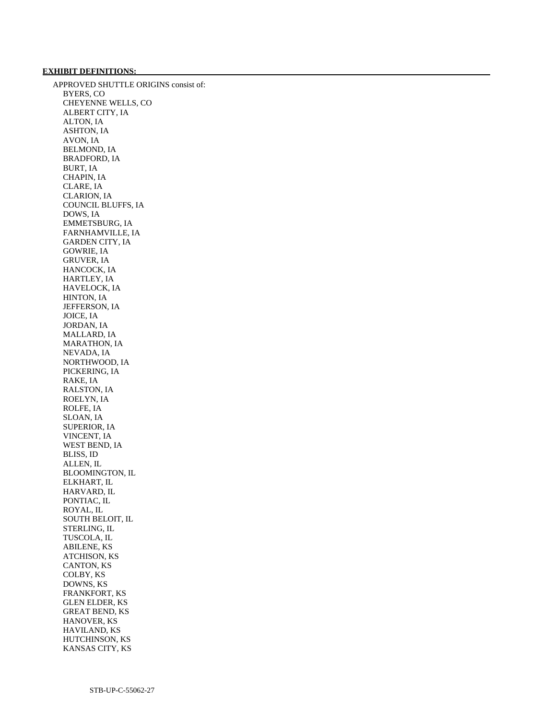# **EXHIBIT DEFINITIONS:**

 APPROVED SHUTTLE ORIGINS consist of: BYERS, CO CHEYENNE WELLS, CO ALBERT CITY, IA ALTON, IA ASHTON, IA AVON, IA BELMOND, IA BRADFORD, IA BURT, IA CHAPIN, IA CLARE, IA CLARION, IA COUNCIL BLUFFS, IA DOWS, IA EMMETSBURG, IA FARNHAMVILLE, IA GARDEN CITY, IA GOWRIE, IA GRUVER, IA HANCOCK, IA HARTLEY, IA HAVELOCK, IA HINTON, IA JEFFERSON, IA JOICE, IA JORDAN, IA MALLARD, IA MARATHON, IA NEVADA, IA NORTHWOOD, IA PICKERING, IA RAKE, IA RALSTON, IA ROELYN, IA ROLFE, IA SLOAN, IA SUPERIOR, IA VINCENT, IA WEST BEND, IA BLISS, ID ALLEN, IL BLOOMINGTON, IL ELKHART, IL HARVARD, IL PONTIAC, IL ROYAL, IL SOUTH BELOIT, IL STERLING, IL TUSCOLA, IL ABILENE, KS ATCHISON, KS CANTON, KS COLBY, KS DOWNS, KS FRANKFORT, KS GLEN ELDER, KS GREAT BEND, KS HANOVER, KS HAVILAND, KS HUTCHINSON, KS KANSAS CITY, KS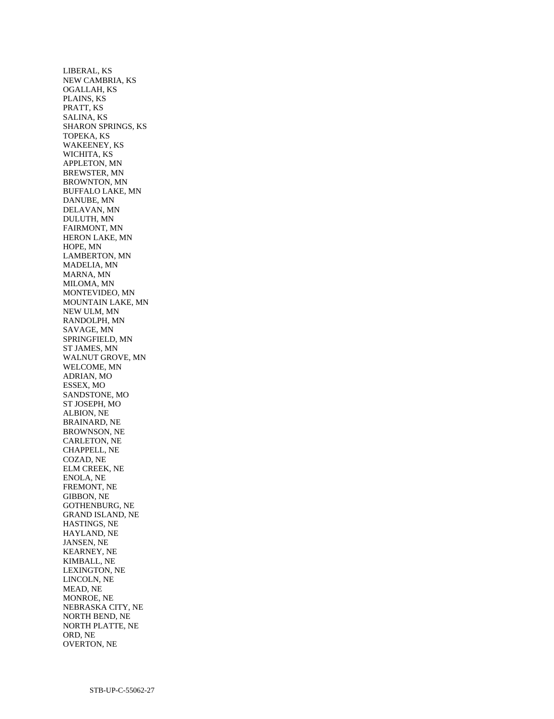LIBERAL, KS NEW CAMBRIA, KS OGALLAH, KS PLAINS, KS PRATT, KS SALINA, KS SHARON SPRINGS, KS TOPEKA, KS WAKEENEY, KS WICHITA, KS APPLETON, MN BREWSTER, MN BROWNTON, MN BUFFALO LAKE, MN DANUBE, MN DELAVAN, MN DULUTH, MN FAIRMONT, MN HERON LAKE, MN HOPE, MN LAMBERTON, MN MADELIA, MN MARNA, MN MILOMA, MN MONTEVIDEO, MN MOUNTAIN LAKE, MN NEW ULM, MN RANDOLPH, MN SAVAGE, MN SPRINGFIELD, MN ST JAMES, MN WALNUT GROVE, MN WELCOME, MN ADRIAN, MO ESSEX, MO SANDSTONE, MO ST JOSEPH, MO ALBION, NE BRAINARD, NE BROWNSON, NE CARLETON, NE CHAPPELL, NE COZAD, NE ELM CREEK, NE ENOLA, NE FREMONT, NE GIBBON, NE GOTHENBURG, NE GRAND ISLAND, NE HASTINGS, NE HAYLAND, NE JANSEN, NE KEARNEY, NE KIMBALL, NE LEXINGTON, NE LINCOLN, NE MEAD, NE MONROE, NE NEBRASKA CITY, NE NORTH BEND, NE NORTH PLATTE, NE ORD, NE OVERTON, NE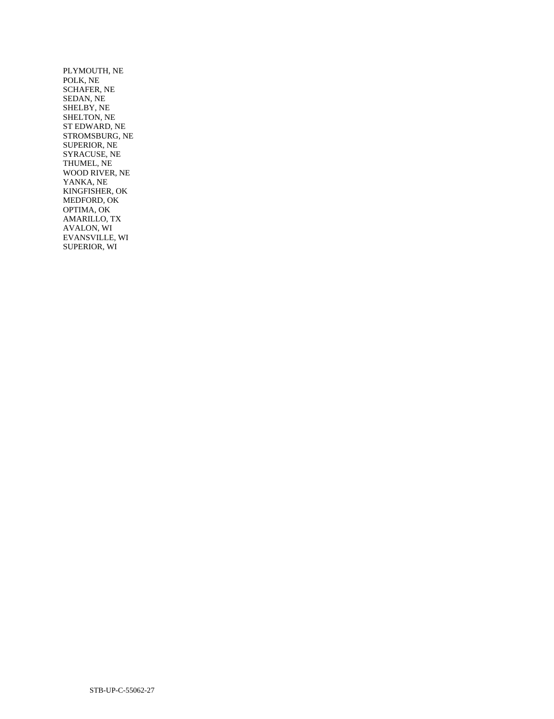PLYMOUTH, NE POLK, NE SCHAFER, NE SEDAN, NE SHELBY, NE SHELTON, NE ST EDWARD, NE STROMSBURG, NE SUPERIOR, NE SYRACUSE, NE THUMEL, NE WOOD RIVER, NE YANKA, NE KINGFISHER, OK MEDFORD, OK OPTIMA, OK AMARILLO, TX AVALON, WI EVANSVILLE, WI SUPERIOR, WI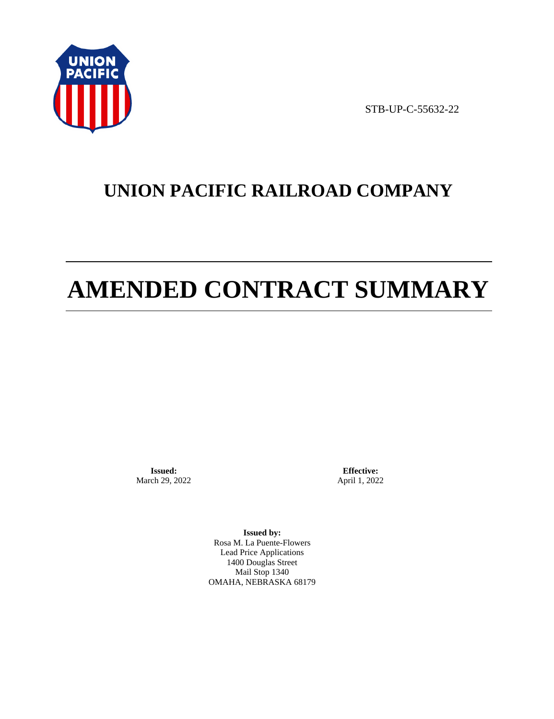

STB-UP-C-55632-22

# **UNION PACIFIC RAILROAD COMPANY**

# **AMENDED CONTRACT SUMMARY**

**Issued:**  March 29, 2022

**Effective:** April 1, 2022

**Issued by:**  Rosa M. La Puente-Flowers Lead Price Applications 1400 Douglas Street Mail Stop 1340 OMAHA, NEBRASKA 68179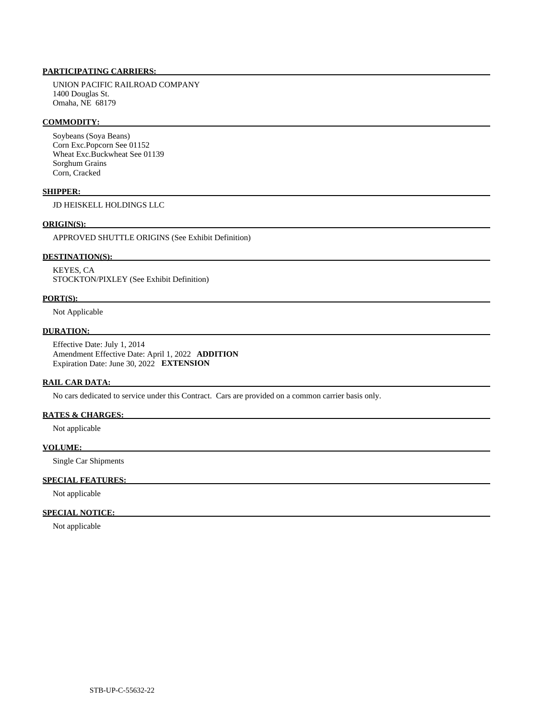# **PARTICIPATING CARRIERS:**

 UNION PACIFIC RAILROAD COMPANY 1400 Douglas St. Omaha, NE 68179

#### **COMMODITY:**

 Soybeans (Soya Beans) Corn Exc.Popcorn See 01152 Wheat Exc.Buckwheat See 01139 Sorghum Grains Corn, Cracked

#### **SHIPPER:**

JD HEISKELL HOLDINGS LLC

# **ORIGIN(S):**

APPROVED SHUTTLE ORIGINS (See Exhibit Definition)

# **DESTINATION(S):**

 KEYES, CA STOCKTON/PIXLEY (See Exhibit Definition)

#### **PORT(S):**

Not Applicable

### **DURATION:**

 Effective Date: July 1, 2014 Amendment Effective Date: April 1, 2022 **ADDITION**  Expiration Date: June 30, 2022 **EXTENSION** 

# **RAIL CAR DATA:**

No cars dedicated to service under this Contract. Cars are provided on a common carrier basis only.

### **RATES & CHARGES:**

Not applicable

#### **VOLUME:**

Single Car Shipments

#### **SPECIAL FEATURES:**

Not applicable

# **SPECIAL NOTICE:**

Not applicable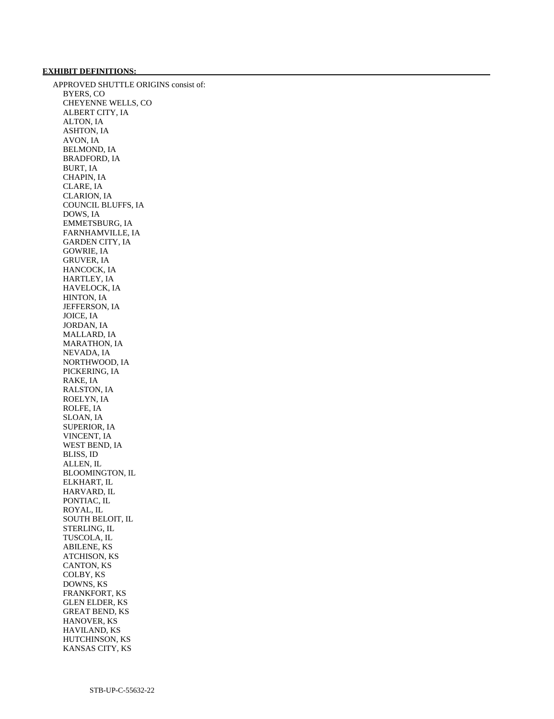# **EXHIBIT DEFINITIONS:**

 APPROVED SHUTTLE ORIGINS consist of: BYERS, CO CHEYENNE WELLS, CO ALBERT CITY, IA ALTON, IA ASHTON, IA AVON, IA BELMOND, IA BRADFORD, IA BURT, IA CHAPIN, IA CLARE, IA CLARION, IA COUNCIL BLUFFS, IA DOWS, IA EMMETSBURG, IA FARNHAMVILLE, IA GARDEN CITY, IA GOWRIE, IA GRUVER, IA HANCOCK, IA HARTLEY, IA HAVELOCK, IA HINTON, IA JEFFERSON, IA JOICE, IA JORDAN, IA MALLARD, IA MARATHON, IA NEVADA, IA NORTHWOOD, IA PICKERING, IA RAKE, IA RALSTON, IA ROELYN, IA ROLFE, IA SLOAN, IA SUPERIOR, IA VINCENT, IA WEST BEND, IA BLISS, ID ALLEN, IL BLOOMINGTON, IL ELKHART, IL HARVARD, IL PONTIAC, IL ROYAL, IL SOUTH BELOIT, IL STERLING, IL TUSCOLA, IL ABILENE, KS ATCHISON, KS CANTON, KS COLBY, KS DOWNS, KS FRANKFORT, KS GLEN ELDER, KS GREAT BEND, KS HANOVER, KS HAVILAND, KS HUTCHINSON, KS KANSAS CITY, KS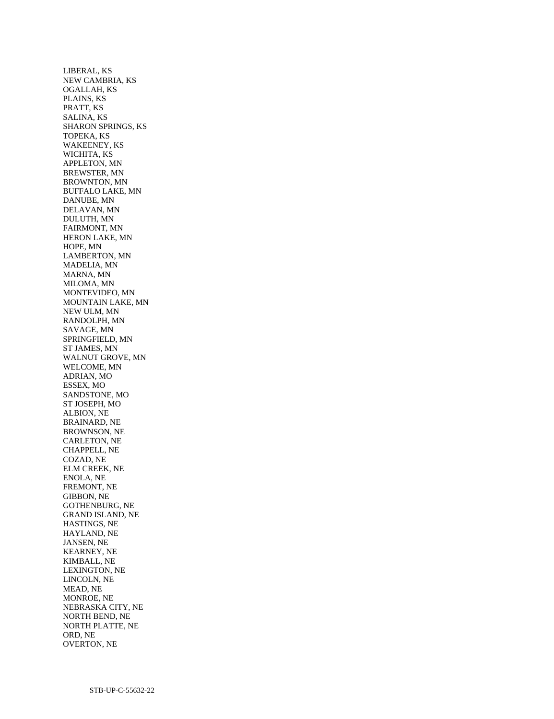LIBERAL, KS NEW CAMBRIA, KS OGALLAH, KS PLAINS, KS PRATT, KS SALINA, KS SHARON SPRINGS, KS TOPEKA, KS WAKEENEY, KS WICHITA, KS APPLETON, MN BREWSTER, MN BROWNTON, MN BUFFALO LAKE, MN DANUBE, MN DELAVAN, MN DULUTH, MN FAIRMONT, MN HERON LAKE, MN HOPE, MN LAMBERTON, MN MADELIA, MN MARNA, MN MILOMA, MN MONTEVIDEO, MN MOUNTAIN LAKE, MN NEW ULM, MN RANDOLPH, MN SAVAGE, MN SPRINGFIELD, MN ST JAMES, MN WALNUT GROVE, MN WELCOME, MN ADRIAN, MO ESSEX, MO SANDSTONE, MO ST JOSEPH, MO ALBION, NE BRAINARD, NE BROWNSON, NE CARLETON, NE CHAPPELL, NE COZAD, NE ELM CREEK, NE ENOLA, NE FREMONT, NE GIBBON, NE GOTHENBURG, NE GRAND ISLAND, NE HASTINGS, NE HAYLAND, NE JANSEN, NE KEARNEY, NE KIMBALL, NE LEXINGTON, NE LINCOLN, NE MEAD, NE MONROE, NE NEBRASKA CITY, NE NORTH BEND, NE NORTH PLATTE, NE ORD, NE OVERTON, NE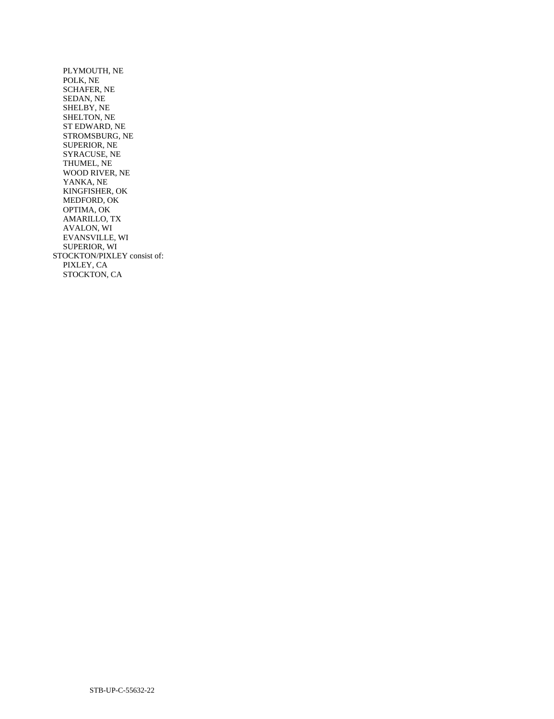PLYMOUTH, NE POLK, NE SCHAFER, NE SEDAN, NE SHELBY, NE SHELTON, NE ST EDWARD, NE STROMSBURG, NE SUPERIOR, NE SYRACUSE, NE THUMEL, NE WOOD RIVER, NE YANKA, NE KINGFISHER, OK MEDFORD, OK OPTIMA, OK AMARILLO, TX AVALON, WI EVANSVILLE, WI SUPERIOR, WI STOCKTON/PIXLEY consist of: PIXLEY, CA STOCKTON, CA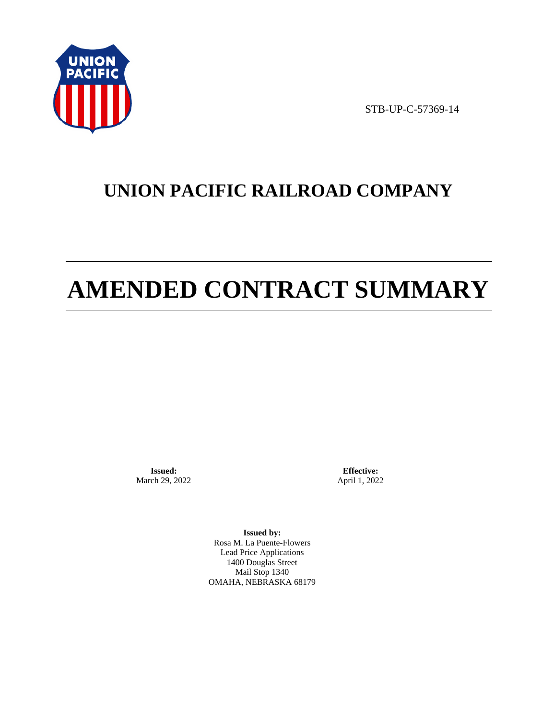

STB-UP-C-57369-14

# **UNION PACIFIC RAILROAD COMPANY**

# **AMENDED CONTRACT SUMMARY**

**Issued:**  March 29, 2022

**Effective:** April 1, 2022

**Issued by:**  Rosa M. La Puente-Flowers Lead Price Applications 1400 Douglas Street Mail Stop 1340 OMAHA, NEBRASKA 68179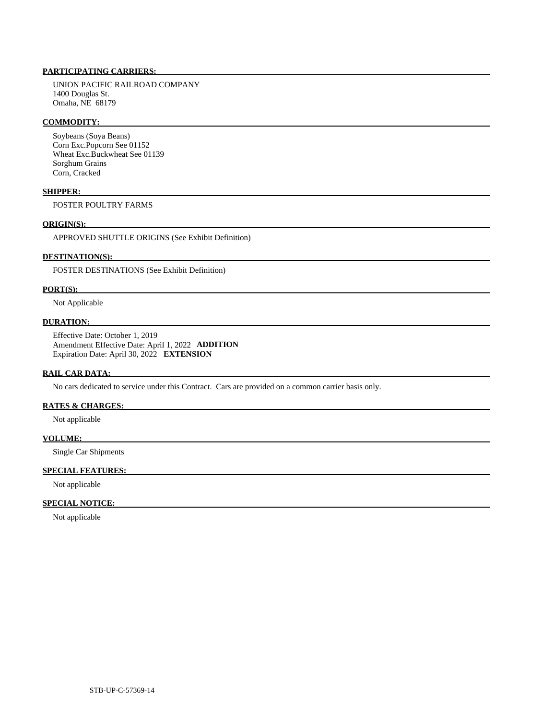# **PARTICIPATING CARRIERS:**

 UNION PACIFIC RAILROAD COMPANY 1400 Douglas St. Omaha, NE 68179

#### **COMMODITY:**

 Soybeans (Soya Beans) Corn Exc.Popcorn See 01152 Wheat Exc.Buckwheat See 01139 Sorghum Grains Corn, Cracked

#### **SHIPPER:**

FOSTER POULTRY FARMS

### **ORIGIN(S):**

APPROVED SHUTTLE ORIGINS (See Exhibit Definition)

#### **DESTINATION(S):**

FOSTER DESTINATIONS (See Exhibit Definition)

#### **PORT(S):**

Not Applicable

#### **DURATION:**

 Effective Date: October 1, 2019 Amendment Effective Date: April 1, 2022 **ADDITION**  Expiration Date: April 30, 2022 **EXTENSION** 

#### **RAIL CAR DATA:**

No cars dedicated to service under this Contract. Cars are provided on a common carrier basis only.

### **RATES & CHARGES:**

Not applicable

#### **VOLUME:**

Single Car Shipments

# **SPECIAL FEATURES:**

Not applicable

#### **SPECIAL NOTICE:**

Not applicable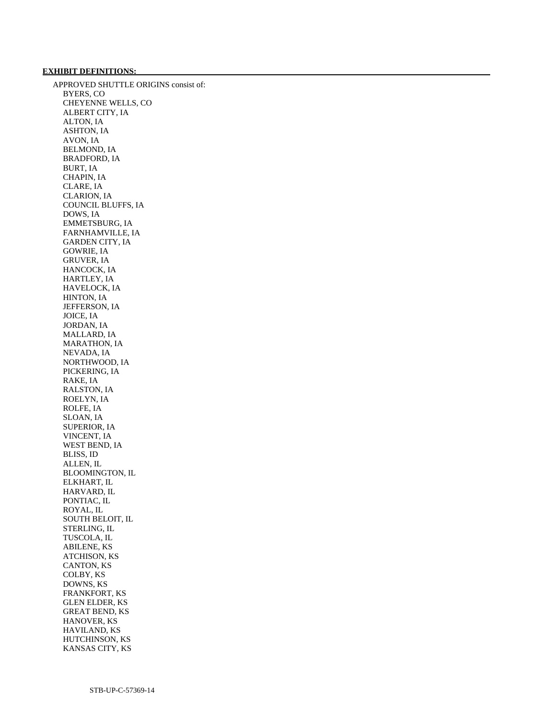## **EXHIBIT DEFINITIONS:**

 APPROVED SHUTTLE ORIGINS consist of: BYERS, CO CHEYENNE WELLS, CO ALBERT CITY, IA ALTON, IA ASHTON, IA AVON, IA BELMOND, IA BRADFORD, IA BURT, IA CHAPIN, IA CLARE, IA CLARION, IA COUNCIL BLUFFS, IA DOWS, IA EMMETSBURG, IA FARNHAMVILLE, IA GARDEN CITY, IA GOWRIE, IA GRUVER, IA HANCOCK, IA HARTLEY, IA HAVELOCK, IA HINTON, IA JEFFERSON, IA JOICE, IA JORDAN, IA MALLARD, IA MARATHON, IA NEVADA, IA NORTHWOOD, IA PICKERING, IA RAKE, IA RALSTON, IA ROELYN, IA ROLFE, IA SLOAN, IA SUPERIOR, IA VINCENT, IA WEST BEND, IA BLISS, ID ALLEN, IL BLOOMINGTON, IL ELKHART, IL HARVARD, IL PONTIAC, IL ROYAL, IL SOUTH BELOIT, IL STERLING, IL TUSCOLA, IL ABILENE, KS ATCHISON, KS CANTON, KS COLBY, KS DOWNS, KS FRANKFORT, KS GLEN ELDER, KS GREAT BEND, KS HANOVER, KS HAVILAND, KS HUTCHINSON, KS KANSAS CITY, KS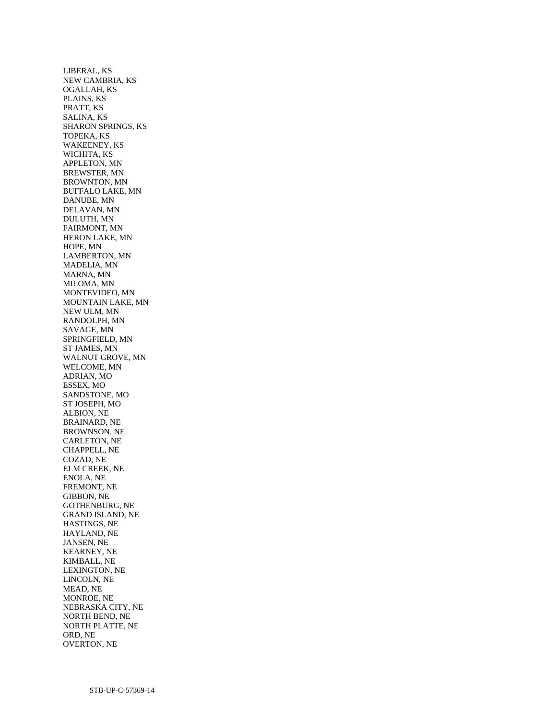LIBERAL, KS NEW CAMBRIA, KS OGALLAH, KS PLAINS, KS PRATT, KS SALINA, KS SHARON SPRINGS, KS TOPEKA, KS WAKEENEY, KS WICHITA, KS APPLETON, MN BREWSTER, MN BROWNTON, MN BUFFALO LAKE, MN DANUBE, MN DELAVAN, MN DULUTH, MN FAIRMONT, MN HERON LAKE, MN HOPE, MN LAMBERTON, MN MADELIA, MN MARNA, MN MILOMA, MN MONTEVIDEO, MN MOUNTAIN LAKE, MN NEW ULM, MN RANDOLPH, MN SAVAGE, MN SPRINGFIELD, MN ST JAMES, MN WALNUT GROVE, MN WELCOME, MN ADRIAN, MO ESSEX, MO SANDSTONE, MO ST JOSEPH, MO ALBION, NE BRAINARD, NE BROWNSON, NE CARLETON, NE CHAPPELL, NE COZAD, NE ELM CREEK, NE ENOLA, NE FREMONT, NE GIBBON, NE GOTHENBURG, NE GRAND ISLAND, NE HASTINGS, NE HAYLAND, NE JANSEN, NE KEARNEY, NE KIMBALL, NE LEXINGTON, NE LINCOLN, NE MEAD, NE MONROE, NE NEBRASKA CITY, NE NORTH BEND, NE NORTH PLATTE, NE ORD, NE OVERTON, NE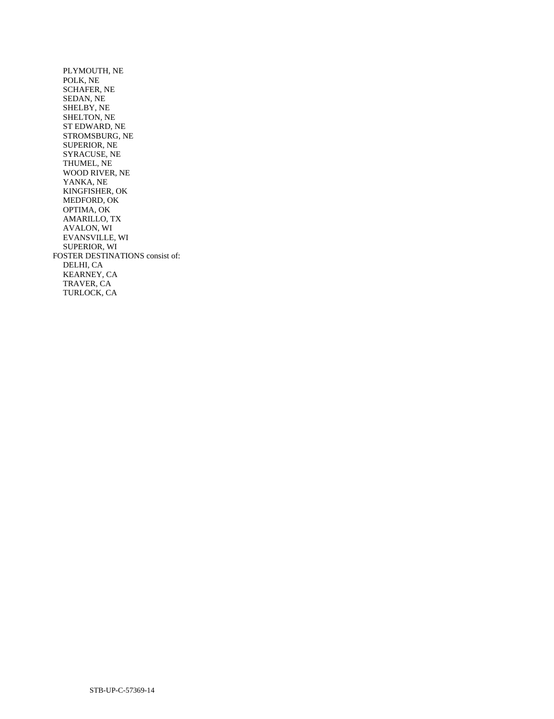PLYMOUTH, NE POLK, NE SCHAFER, NE SEDAN, NE SHELBY, NE SHELTON, NE ST EDWARD, NE STROMSBURG, NE SUPERIOR, NE SYRACUSE, NE THUMEL, NE WOOD RIVER, NE YANKA, NE KINGFISHER, OK MEDFORD, OK OPTIMA, OK AMARILLO, TX AVALON, WI EVANSVILLE, WI SUPERIOR, WI FOSTER DESTINATIONS consist of: DELHI, CA KEARNEY, CA TRAVER, CA TURLOCK, CA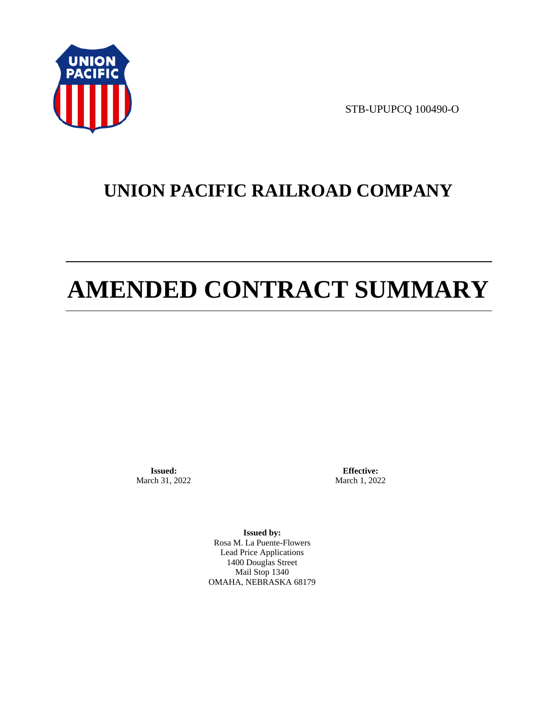

STB-UPUPCQ 100490-O

# **UNION PACIFIC RAILROAD COMPANY**

# **AMENDED CONTRACT SUMMARY**

**Issued:**  March 31, 2022

**Effective:** March 1, 2022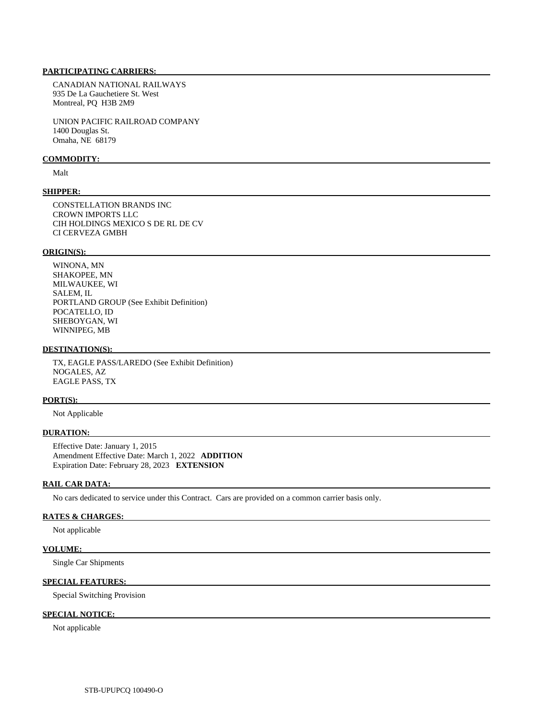CANADIAN NATIONAL RAILWAYS 935 De La Gauchetiere St. West Montreal, PQ H3B 2M9

 UNION PACIFIC RAILROAD COMPANY 1400 Douglas St. Omaha, NE 68179

#### **COMMODITY:**

Malt

#### **SHIPPER:**

 CONSTELLATION BRANDS INC CROWN IMPORTS LLC CIH HOLDINGS MEXICO S DE RL DE CV CI CERVEZA GMBH

#### **ORIGIN(S):**

 WINONA, MN SHAKOPEE, MN MILWAUKEE, WI SALEM, IL PORTLAND GROUP (See Exhibit Definition) POCATELLO, ID SHEBOYGAN, WI WINNIPEG, MB

#### **DESTINATION(S):**

 TX, EAGLE PASS/LAREDO (See Exhibit Definition) NOGALES, AZ EAGLE PASS, TX

#### **PORT(S):**

Not Applicable

#### **DURATION:**

 Effective Date: January 1, 2015 Amendment Effective Date: March 1, 2022 **ADDITION**  Expiration Date: February 28, 2023 **EXTENSION** 

#### **RAIL CAR DATA:**

No cars dedicated to service under this Contract. Cars are provided on a common carrier basis only.

#### **RATES & CHARGES:**

Not applicable

#### **VOLUME:**

Single Car Shipments

#### **SPECIAL FEATURES:**

Special Switching Provision

## **SPECIAL NOTICE:**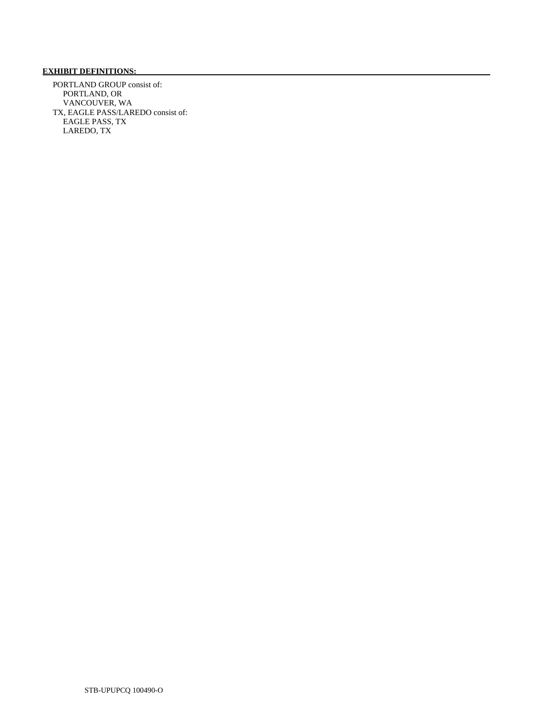## **EXHIBIT DEFINITIONS:**

 PORTLAND GROUP consist of: PORTLAND, OR VANCOUVER, WA TX, EAGLE PASS/LAREDO consist of: EAGLE PASS, TX LAREDO, TX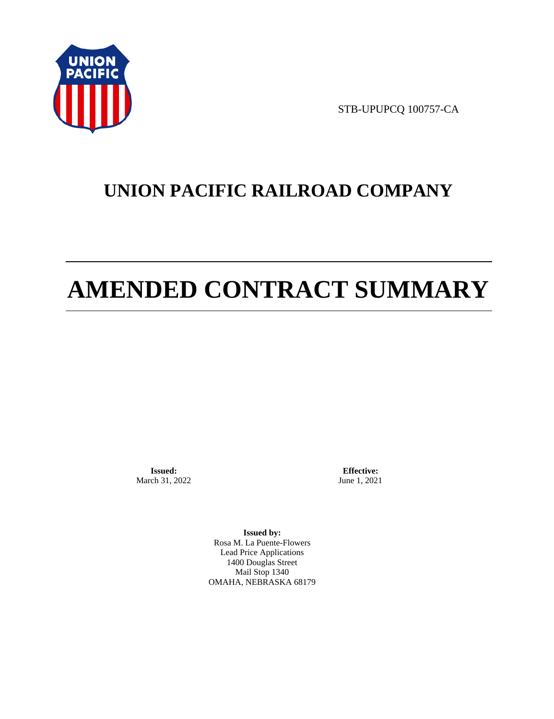

STB-UPUPCQ 100757-CA

# **UNION PACIFIC RAILROAD COMPANY**

# **AMENDED CONTRACT SUMMARY**

**Issued:**  March 31, 2022

**Effective:** June 1, 2021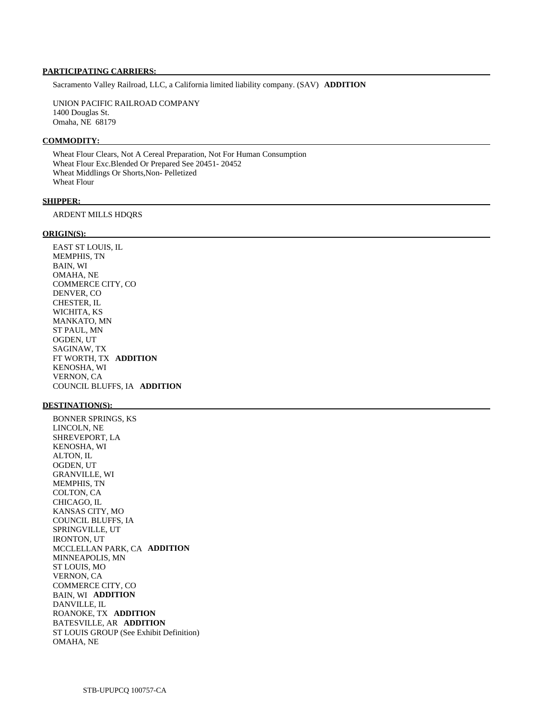Sacramento Valley Railroad, LLC, a California limited liability company. (SAV) **ADDITION** 

 UNION PACIFIC RAILROAD COMPANY 1400 Douglas St. Omaha, NE 68179

#### **COMMODITY:**

 Wheat Flour Clears, Not A Cereal Preparation, Not For Human Consumption Wheat Flour Exc.Blended Or Prepared See 20451- 20452 Wheat Middlings Or Shorts,Non- Pelletized Wheat Flour

#### **SHIPPER:**

ARDENT MILLS HDQRS

#### **ORIGIN(S):**

 EAST ST LOUIS, IL MEMPHIS, TN BAIN, WI OMAHA, NE COMMERCE CITY, CO DENVER, CO CHESTER, IL WICHITA, KS MANKATO, MN ST PAUL, MN OGDEN, UT SAGINAW, TX FT WORTH, TX **ADDITION**  KENOSHA, WI VERNON, CA COUNCIL BLUFFS, IA **ADDITION** 

#### **DESTINATION(S):**

 BONNER SPRINGS, KS LINCOLN, NE SHREVEPORT, LA KENOSHA, WI ALTON, IL OGDEN, UT GRANVILLE, WI MEMPHIS, TN COLTON, CA CHICAGO, IL KANSAS CITY, MO COUNCIL BLUFFS, IA SPRINGVILLE, UT IRONTON, UT MCCLELLAN PARK, CA **ADDITION**  MINNEAPOLIS, MN ST LOUIS, MO VERNON, CA COMMERCE CITY, CO BAIN, WI **ADDITION**  DANVILLE, IL ROANOKE, TX **ADDITION**  BATESVILLE, AR **ADDITION**  ST LOUIS GROUP (See Exhibit Definition) OMAHA, NE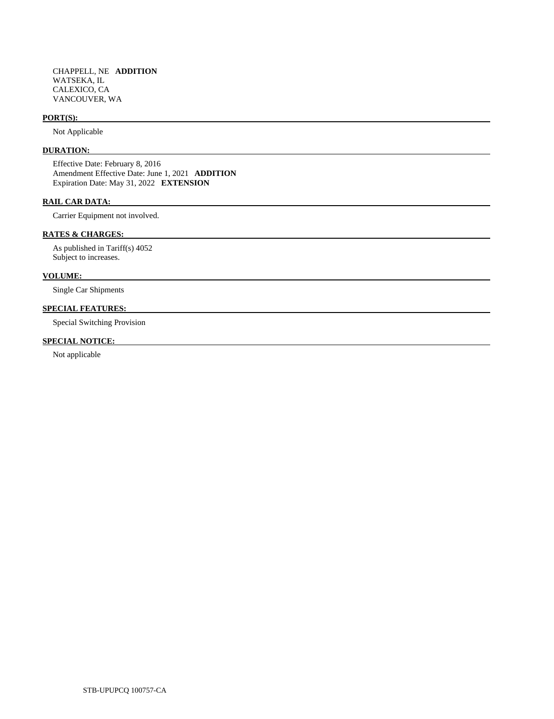#### **PORT(S):**

Not Applicable

#### **DURATION:**

 Effective Date: February 8, 2016 Amendment Effective Date: June 1, 2021 **ADDITION**  Expiration Date: May 31, 2022 **EXTENSION** 

#### **RAIL CAR DATA:**

Carrier Equipment not involved.

#### **RATES & CHARGES:**

 As published in Tariff(s) 4052 Subject to increases.

#### **VOLUME:**

Single Car Shipments

### **SPECIAL FEATURES:**

Special Switching Provision

## **SPECIAL NOTICE:**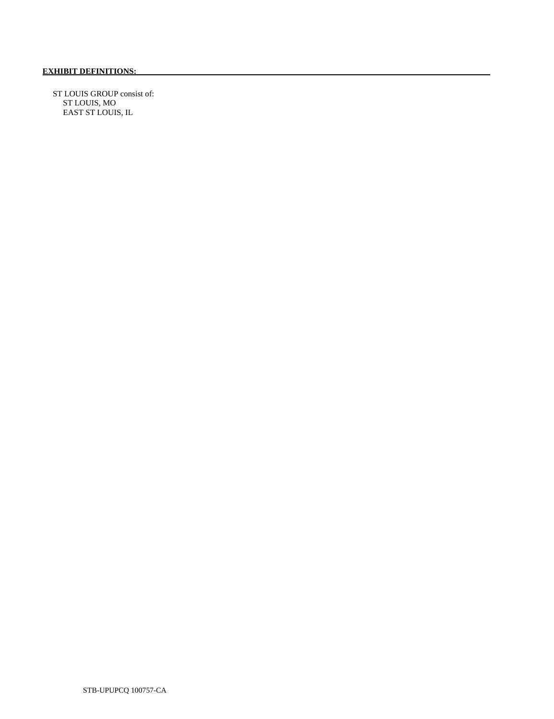ST LOUIS GROUP consist of: ST LOUIS, MO EAST ST LOUIS, IL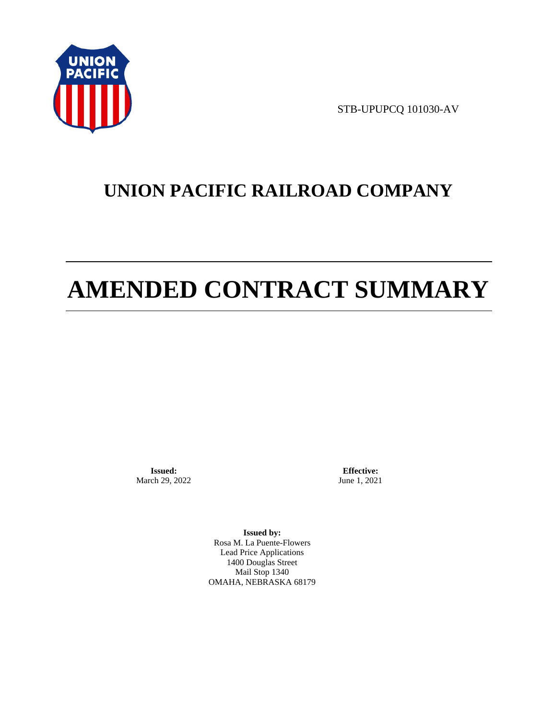

STB-UPUPCQ 101030-AV

# **UNION PACIFIC RAILROAD COMPANY**

# **AMENDED CONTRACT SUMMARY**

**Issued:**  March 29, 2022

**Effective:** June 1, 2021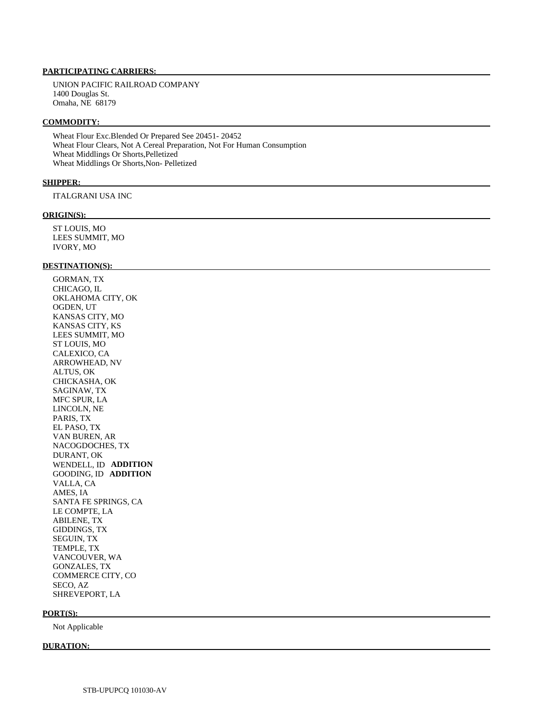UNION PACIFIC RAILROAD COMPANY 1400 Douglas St. Omaha, NE 68179

#### **COMMODITY:**

 Wheat Flour Exc.Blended Or Prepared See 20451- 20452 Wheat Flour Clears, Not A Cereal Preparation, Not For Human Consumption Wheat Middlings Or Shorts,Pelletized Wheat Middlings Or Shorts,Non- Pelletized

#### **SHIPPER:**

ITALGRANI USA INC

#### **ORIGIN(S):**

 ST LOUIS, MO LEES SUMMIT, MO IVORY, MO

#### **DESTINATION(S):**

 GORMAN, TX CHICAGO, IL OKLAHOMA CITY, OK OGDEN, UT KANSAS CITY, MO KANSAS CITY, KS LEES SUMMIT, MO ST LOUIS, MO CALEXICO, CA ARROWHEAD, NV ALTUS, OK CHICKASHA, OK SAGINAW, TX MFC SPUR, LA LINCOLN, NE PARIS, TX EL PASO, TX VAN BUREN, AR NACOGDOCHES, TX DURANT, OK WENDELL, ID **ADDITION**  GOODING, ID **ADDITION**  VALLA, CA AMES, IA SANTA FE SPRINGS, CA LE COMPTE, LA ABILENE, TX GIDDINGS, TX SEGUIN, TX TEMPLE, TX VANCOUVER, WA GONZALES, TX COMMERCE CITY, CO SECO, AZ SHREVEPORT, LA

#### **PORT(S):**

Not Applicable

#### **DURATION:**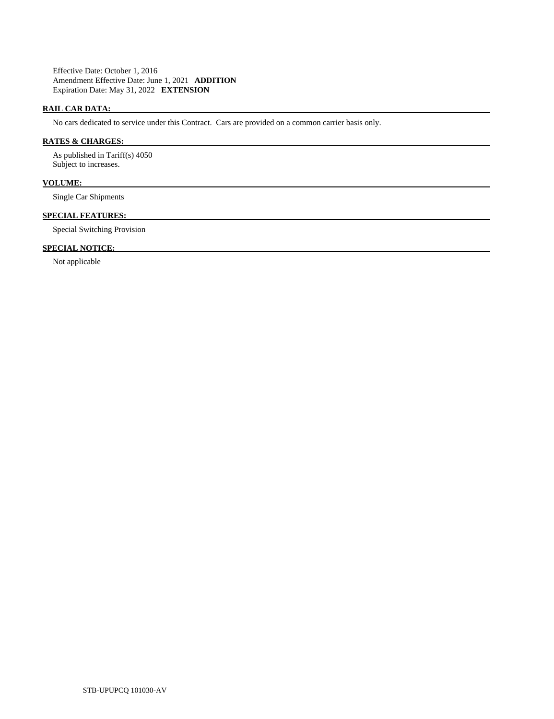Effective Date: October 1, 2016 Amendment Effective Date: June 1, 2021 **ADDITION**  Expiration Date: May 31, 2022 **EXTENSION** 

## **RAIL CAR DATA:**

No cars dedicated to service under this Contract. Cars are provided on a common carrier basis only.

## **RATES & CHARGES:**

 As published in Tariff(s) 4050 Subject to increases.

## **VOLUME:**

Single Car Shipments

## **SPECIAL FEATURES:**

Special Switching Provision

# **SPECIAL NOTICE:**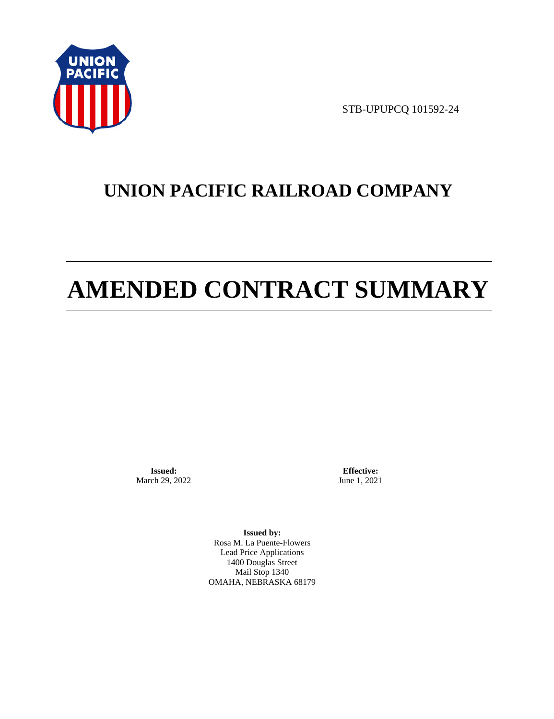

STB-UPUPCQ 101592-24

# **UNION PACIFIC RAILROAD COMPANY**

# **AMENDED CONTRACT SUMMARY**

**Issued:**  March 29, 2022

**Effective:** June 1, 2021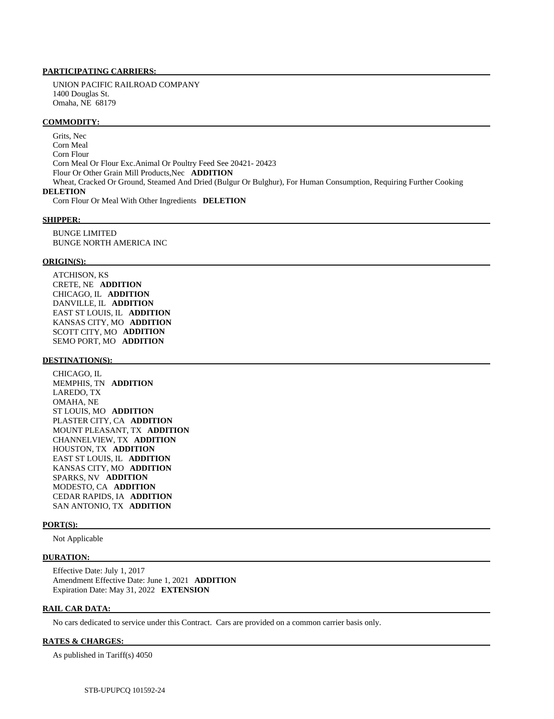UNION PACIFIC RAILROAD COMPANY 1400 Douglas St. Omaha, NE 68179

#### **COMMODITY:**

 Grits, Nec Corn Meal Corn Flour Corn Meal Or Flour Exc.Animal Or Poultry Feed See 20421- 20423 Flour Or Other Grain Mill Products,Nec **ADDITION**  Wheat, Cracked Or Ground, Steamed And Dried (Bulgur Or Bulghur), For Human Consumption, Requiring Further Cooking **DELETION**  Corn Flour Or Meal With Other Ingredients **DELETION** 

#### **SHIPPER:**

 BUNGE LIMITED BUNGE NORTH AMERICA INC

#### **ORIGIN(S):**

 ATCHISON, KS CRETE, NE **ADDITION**  CHICAGO, IL **ADDITION**  DANVILLE, IL **ADDITION**  EAST ST LOUIS, IL **ADDITION**  KANSAS CITY, MO **ADDITION**  SCOTT CITY, MO **ADDITION**  SEMO PORT, MO **ADDITION** 

#### **DESTINATION(S):**

 CHICAGO, IL MEMPHIS, TN **ADDITION**  LAREDO, TX OMAHA, NE ST LOUIS, MO **ADDITION**  PLASTER CITY, CA **ADDITION**  MOUNT PLEASANT, TX **ADDITION**  CHANNELVIEW, TX **ADDITION**  HOUSTON, TX **ADDITION**  EAST ST LOUIS, IL **ADDITION**  KANSAS CITY, MO **ADDITION**  SPARKS, NV **ADDITION**  MODESTO, CA **ADDITION**  CEDAR RAPIDS, IA **ADDITION**  SAN ANTONIO, TX **ADDITION** 

#### **PORT(S):**

Not Applicable

#### **DURATION:**

 Effective Date: July 1, 2017 Amendment Effective Date: June 1, 2021 **ADDITION**  Expiration Date: May 31, 2022 **EXTENSION** 

### **RAIL CAR DATA:**

No cars dedicated to service under this Contract. Cars are provided on a common carrier basis only.

#### **RATES & CHARGES:**

As published in Tariff(s) 4050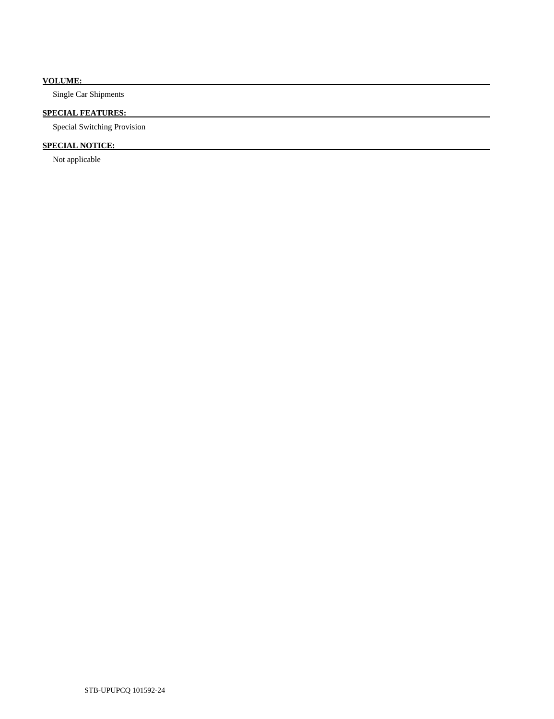## **VOLUME:**

Single Car Shipments

# **SPECIAL FEATURES:**

Special Switching Provision

# **SPECIAL NOTICE:**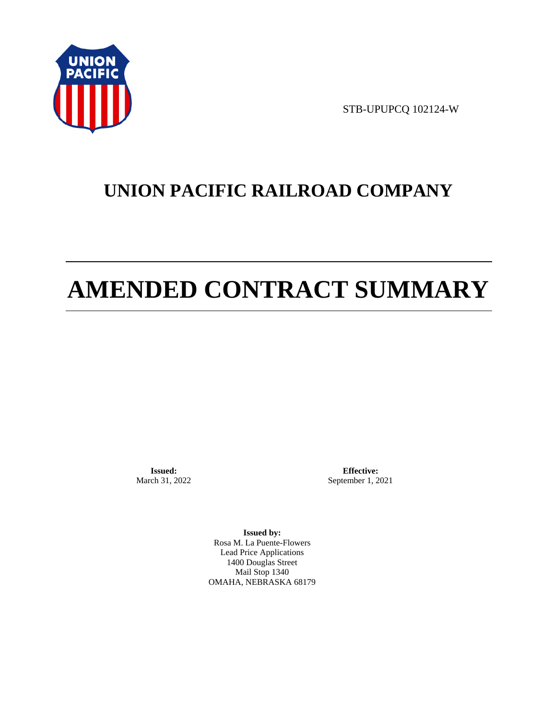

STB-UPUPCQ 102124-W

# **UNION PACIFIC RAILROAD COMPANY**

# **AMENDED CONTRACT SUMMARY**

**Issued:**  March 31, 2022

**Effective:** September 1, 2021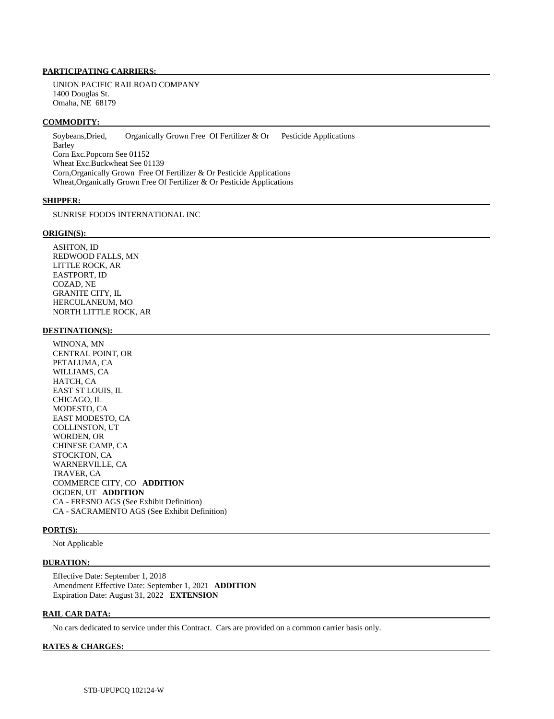UNION PACIFIC RAILROAD COMPANY 1400 Douglas St. Omaha, NE 68179

#### **COMMODITY:**

 Soybeans,Dried, Organically Grown Free Of Fertilizer & Or Pesticide Applications Barley Corn Exc.Popcorn See 01152 Wheat Exc.Buckwheat See 01139 Corn,Organically Grown Free Of Fertilizer & Or Pesticide Applications Wheat,Organically Grown Free Of Fertilizer & Or Pesticide Applications

#### **SHIPPER:**

SUNRISE FOODS INTERNATIONAL INC

#### **ORIGIN(S):**

 ASHTON, ID REDWOOD FALLS, MN LITTLE ROCK, AR EASTPORT, ID COZAD, NE GRANITE CITY, IL HERCULANEUM, MO NORTH LITTLE ROCK, AR

#### **DESTINATION(S):**

 WINONA, MN CENTRAL POINT, OR PETALUMA, CA WILLIAMS, CA HATCH, CA EAST ST LOUIS, IL CHICAGO, IL MODESTO, CA EAST MODESTO, CA COLLINSTON, UT WORDEN, OR CHINESE CAMP, CA STOCKTON, CA WARNERVILLE, CA TRAVER, CA COMMERCE CITY, CO **ADDITION**  OGDEN, UT **ADDITION**  CA - FRESNO AGS (See Exhibit Definition) CA - SACRAMENTO AGS (See Exhibit Definition)

#### **PORT(S):**

Not Applicable

#### **DURATION:**

 Effective Date: September 1, 2018 Amendment Effective Date: September 1, 2021 **ADDITION**  Expiration Date: August 31, 2022 **EXTENSION** 

#### **RAIL CAR DATA:**

No cars dedicated to service under this Contract. Cars are provided on a common carrier basis only.

#### **RATES & CHARGES:**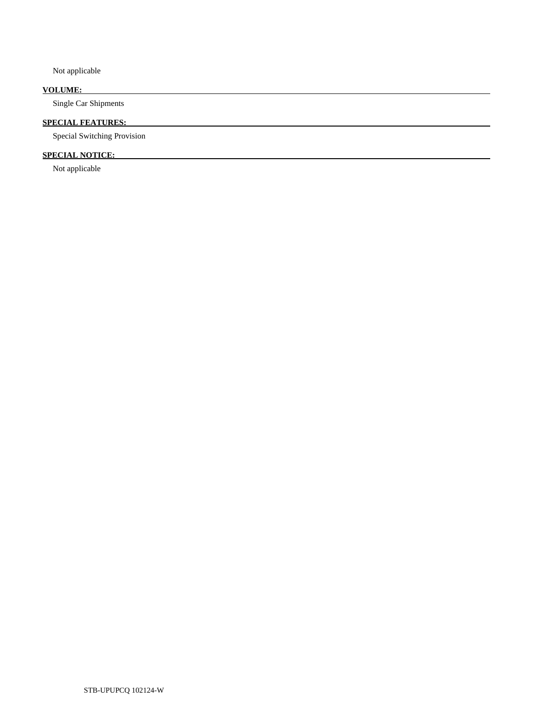Not applicable

# **VOLUME:**

Single Car Shipments

# **SPECIAL FEATURES:**

Special Switching Provision

# **SPECIAL NOTICE:**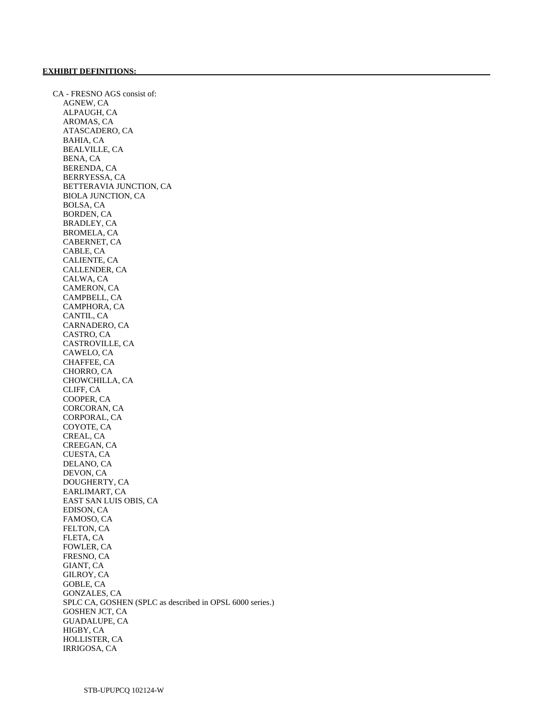CA - FRESNO AGS consist of: AGNEW, CA ALPAUGH, CA AROMAS, CA ATASCADERO, CA BAHIA, CA BEALVILLE, CA BENA, CA BERENDA, CA BERRYESSA, CA BETTERAVIA JUNCTION, CA BIOLA JUNCTION, CA BOLSA, CA BORDEN, CA BRADLEY, CA BROMELA, CA CABERNET, CA CABLE, CA CALIENTE, CA CALLENDER, CA CALWA, CA CAMERON, CA CAMPBELL, CA CAMPHORA, CA CANTIL, CA CARNADERO, CA CASTRO, CA CASTROVILLE, CA CAWELO, CA CHAFFEE, CA CHORRO, CA CHOWCHILLA, CA CLIFF, CA COOPER, CA CORCORAN, CA CORPORAL, CA COYOTE, CA CREAL, CA CREEGAN, CA CUESTA, CA DELANO, CA DEVON, CA DOUGHERTY, CA EARLIMART, CA EAST SAN LUIS OBIS, CA EDISON, CA FAMOSO, CA FELTON, CA FLETA, CA FOWLER, CA FRESNO, CA GIANT, CA GILROY, CA GOBLE, CA GONZALES, CA SPLC CA, GOSHEN (SPLC as described in OPSL 6000 series.) GOSHEN JCT, CA GUADALUPE, CA HIGBY, CA HOLLISTER, CA IRRIGOSA, CA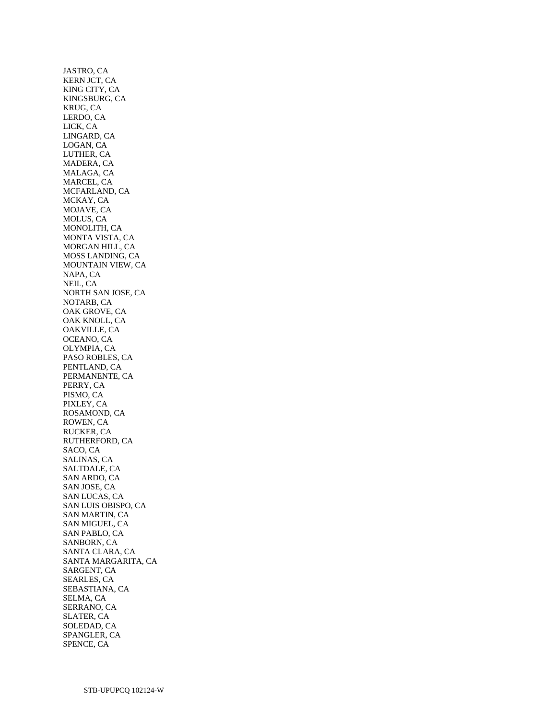JASTRO, CA KERN JCT, CA KING CITY, CA KINGSBURG, CA KRUG, CA LERDO, CA LICK, CA LINGARD, CA LOGAN, CA LUTHER, CA MADERA, CA MALAGA, CA MARCEL, CA MCFARLAND, CA MCKAY, CA MOJAVE, CA MOLUS, CA MONOLITH, CA MONTA VISTA, CA MORGAN HILL, CA MOSS LANDING, CA MOUNTAIN VIEW, CA NAPA, CA NEIL, CA NORTH SAN JOSE, CA NOTARB, CA OAK GROVE, CA OAK KNOLL, CA OAKVILLE, CA OCEANO, CA OLYMPIA, CA PASO ROBLES, CA PENTLAND, CA PERMANENTE, CA PERRY, CA PISMO, CA PIXLEY, CA ROSAMOND, CA ROWEN, CA RUCKER, CA RUTHERFORD, CA SACO, CA SALINAS, CA SALTDALE, CA SAN ARDO, CA SAN JOSE, CA SAN LUCAS, CA SAN LUIS OBISPO, CA SAN MARTIN, CA SAN MIGUEL, CA SAN PABLO, CA SANBORN, CA SANTA CLARA, CA SANTA MARGARITA, CA SARGENT, CA SEARLES, CA SEBASTIANA, CA SELMA, CA SERRANO, CA SLATER, CA SOLEDAD, CA SPANGLER, CA SPENCE, CA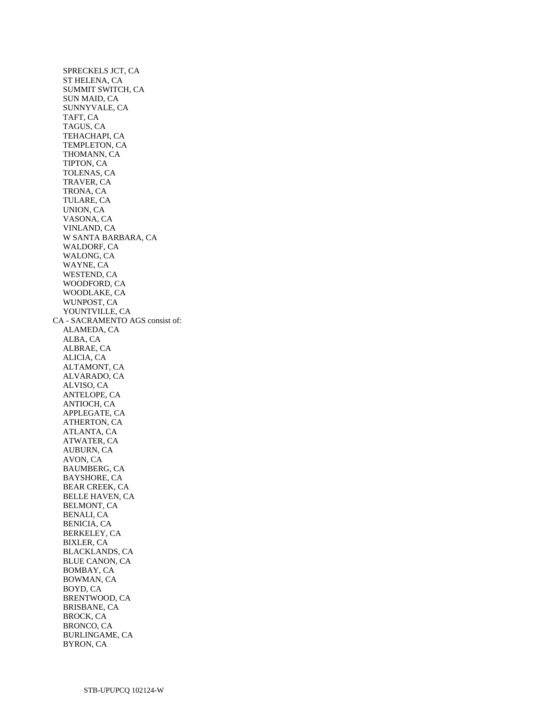SPRECKELS JCT, CA ST HELENA, CA SUMMIT SWITCH, CA SUN MAID, CA SUNNYVALE, CA TAFT, CA TAGUS, CA TEHACHAPI, CA TEMPLETON, CA THOMANN, CA TIPTON, CA TOLENAS, CA TRAVER, CA TRONA, CA TULARE, CA UNION, CA VASONA, CA VINLAND, CA W SANTA BARBARA, CA WALDORF, CA WALONG, CA WAYNE, CA WESTEND, CA WOODFORD, CA WOODLAKE, CA WUNPOST, CA YOUNTVILLE, CA CA - SACRAMENTO AGS consist of: ALAMEDA, CA ALBA, CA ALBRAE, CA ALICIA, CA ALTAMONT, CA ALVARADO, CA ALVISO, CA ANTELOPE, CA ANTIOCH, CA APPLEGATE, CA ATHERTON, CA ATLANTA, CA ATWATER, CA AUBURN, CA AVON, CA BAUMBERG, CA BAYSHORE, CA BEAR CREEK, CA BELLE HAVEN, CA BELMONT, CA BENALI, CA BENICIA, CA BERKELEY, CA BIXLER, CA BLACKLANDS, CA BLUE CANON, CA BOMBAY, CA BOWMAN, CA BOYD, CA BRENTWOOD, CA BRISBANE, CA BROCK, CA BRONCO, CA BURLINGAME, CA BYRON, CA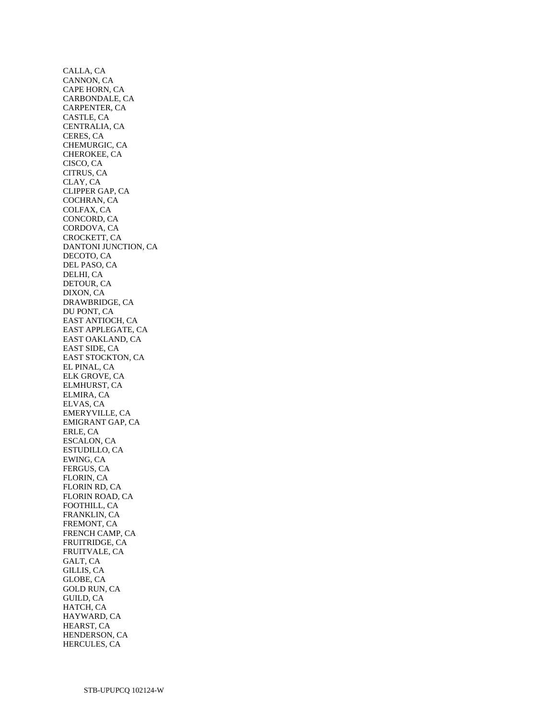CALLA, CA CANNON, CA CAPE HORN, CA CARBONDALE, CA CARPENTER, CA CASTLE, CA CENTRALIA, CA CERES, CA CHEMURGIC, CA CHEROKEE, CA CISCO, CA CITRUS, CA CLAY, CA CLIPPER GAP, CA COCHRAN, CA COLFAX, CA CONCORD, CA CORDOVA, CA CROCKETT, CA DANTONI JUNCTION, CA DECOTO, CA DEL PASO, CA DELHI, CA DETOUR, CA DIXON, CA DRAWBRIDGE, CA DU PONT, CA EAST ANTIOCH, CA EAST APPLEGATE, CA EAST OAKLAND, CA EAST SIDE, CA EAST STOCKTON, CA EL PINAL, CA ELK GROVE, CA ELMHURST, CA ELMIRA, CA ELVAS, CA EMERYVILLE, CA EMIGRANT GAP, CA ERLE, CA ESCALON, CA ESTUDILLO, CA EWING, CA FERGUS, CA FLORIN, CA FLORIN RD, CA FLORIN ROAD, CA FOOTHILL, CA FRANKLIN, CA FREMONT, CA FRENCH CAMP, CA FRUITRIDGE, CA FRUITVALE, CA GALT, CA GILLIS, CA GLOBE, CA GOLD RUN, CA GUILD, CA HATCH, CA HAYWARD, CA HEARST, CA HENDERSON, CA HERCULES, CA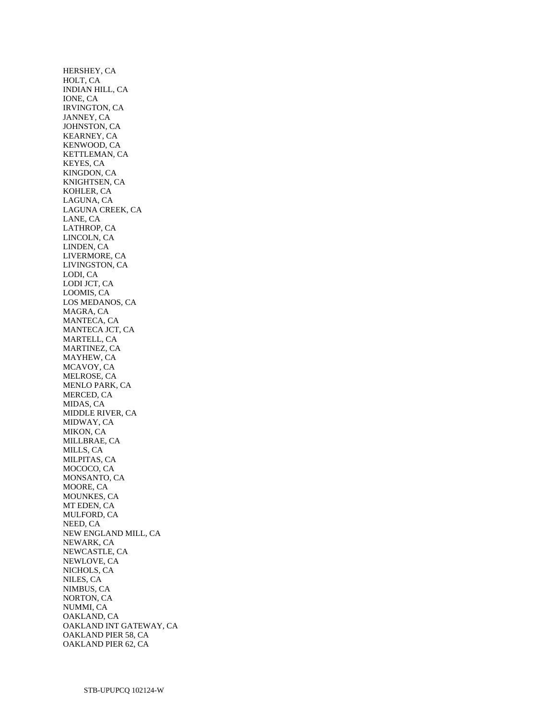HERSHEY, CA HOLT, CA INDIAN HILL, CA IONE, CA IRVINGTON, CA JANNEY, CA JOHNSTON, CA KEARNEY, CA KENWOOD, CA KETTLEMAN, CA KEYES, CA KINGDON, CA KNIGHTSEN, CA KOHLER, CA LAGUNA, CA LAGUNA CREEK, CA LANE, CA LATHROP, CA LINCOLN, CA LINDEN, CA LIVERMORE, CA LIVINGSTON, CA LODI, CA LODI JCT, CA LOOMIS, CA LOS MEDANOS, CA MAGRA, CA MANTECA, CA MANTECA JCT, CA MARTELL, CA MARTINEZ, CA MAYHEW, CA MCAVOY, CA MELROSE, CA MENLO PARK, CA MERCED, CA MIDAS, CA MIDDLE RIVER, CA MIDWAY, CA MIKON, CA MILLBRAE, CA MILLS, CA MILPITAS, CA MOCOCO, CA MONSANTO, CA MOORE, CA MOUNKES, CA MT EDEN, CA MULFORD, CA NEED, CA NEW ENGLAND MILL, CA NEWARK, CA NEWCASTLE, CA NEWLOVE, CA NICHOLS, CA NILES, CA NIMBUS, CA NORTON, CA NUMMI, CA OAKLAND, CA OAKLAND INT GATEWAY, CA OAKLAND PIER 58, CA OAKLAND PIER 62, CA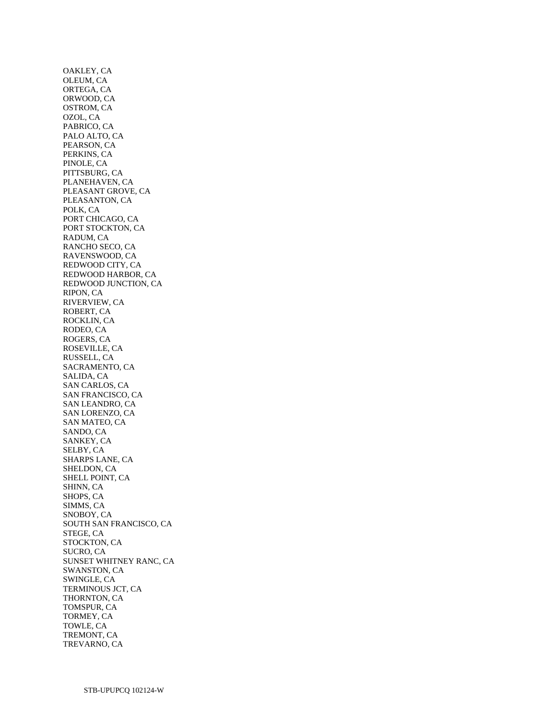OAKLEY, CA OLEUM, CA ORTEGA, CA ORWOOD, CA OSTROM, CA OZOL, CA PABRICO, CA PALO ALTO, CA PEARSON, CA PERKINS, CA PINOLE, CA PITTSBURG, CA PLANEHAVEN, CA PLEASANT GROVE, CA PLEASANTON, CA POLK, CA PORT CHICAGO, CA PORT STOCKTON, CA RADUM, CA RANCHO SECO, CA RAVENSWOOD, CA REDWOOD CITY, CA REDWOOD HARBOR, CA REDWOOD JUNCTION, CA RIPON, CA RIVERVIEW, CA ROBERT, CA ROCKLIN, CA RODEO, CA ROGERS, CA ROSEVILLE, CA RUSSELL, CA SACRAMENTO, CA SALIDA, CA SAN CARLOS, CA SAN FRANCISCO, CA SAN LEANDRO, CA SAN LORENZO, CA SAN MATEO, CA SANDO, CA SANKEY, CA SELBY, CA SHARPS LANE, CA SHELDON, CA SHELL POINT, CA SHINN, CA SHOPS, CA SIMMS, CA SNOBOY, CA SOUTH SAN FRANCISCO, CA STEGE, CA STOCKTON, CA SUCRO, CA SUNSET WHITNEY RANC, CA SWANSTON, CA SWINGLE, CA TERMINOUS JCT, CA THORNTON, CA TOMSPUR, CA TORMEY, CA TOWLE, CA TREMONT, CA TREVARNO, CA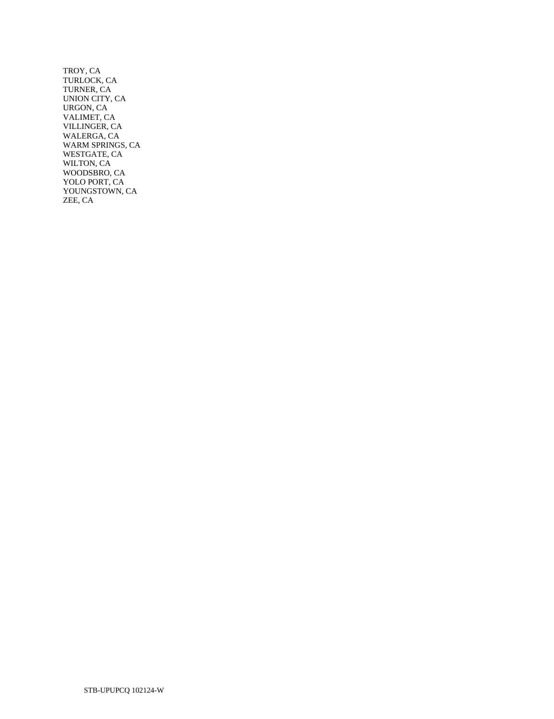TROY, CA TURLOCK, CA TURNER, CA UNION CITY, CA URGON, CA VALIMET, CA VILLINGER, CA WALERGA, CA WARM SPRINGS, CA WESTGATE, CA WILTON, CA WOODSBRO, CA YOLO PORT, CA YOUNGSTOWN, CA ZEE, CA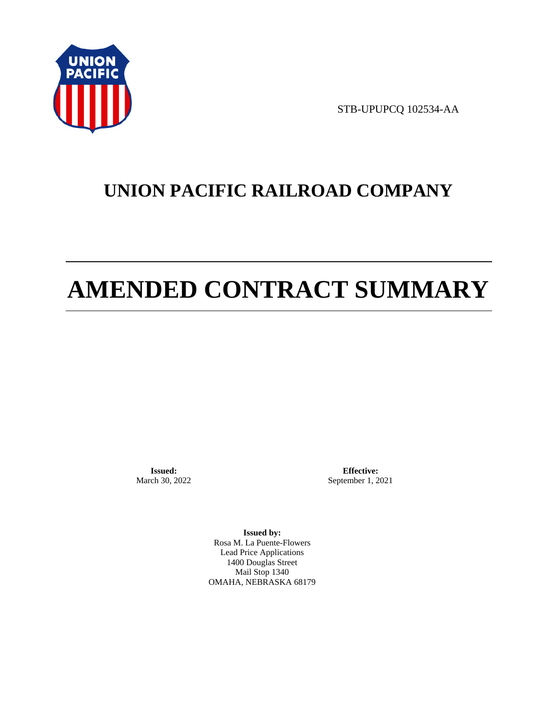

STB-UPUPCQ 102534-AA

# **UNION PACIFIC RAILROAD COMPANY**

# **AMENDED CONTRACT SUMMARY**

**Issued:**  March 30, 2022

**Effective:** September 1, 2021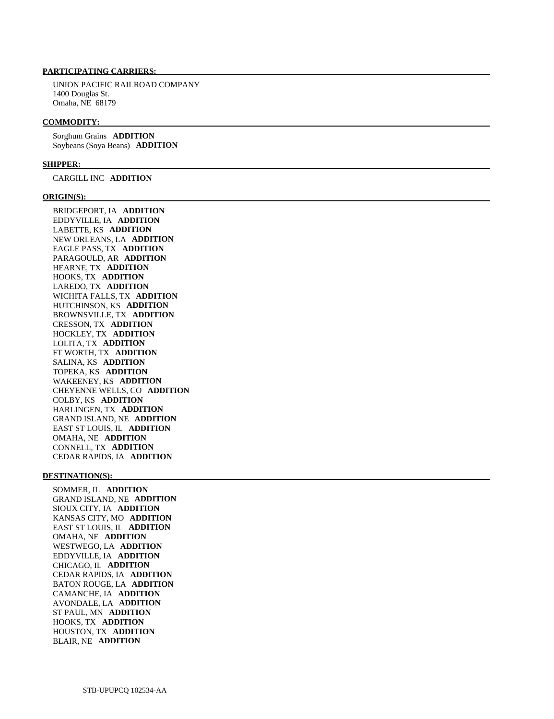UNION PACIFIC RAILROAD COMPANY 1400 Douglas St. Omaha, NE 68179

#### **COMMODITY:**

 Sorghum Grains **ADDITION**  Soybeans (Soya Beans) **ADDITION** 

#### **SHIPPER:**

CARGILL INC **ADDITION** 

#### **ORIGIN(S):**

 BRIDGEPORT, IA **ADDITION**  EDDYVILLE, IA **ADDITION**  LABETTE, KS **ADDITION**  NEW ORLEANS, LA **ADDITION**  EAGLE PASS, TX **ADDITION**  PARAGOULD, AR **ADDITION**  HEARNE, TX **ADDITION**  HOOKS, TX **ADDITION**  LAREDO, TX **ADDITION**  WICHITA FALLS, TX **ADDITION**  HUTCHINSON, KS **ADDITION**  BROWNSVILLE, TX **ADDITION**  CRESSON, TX **ADDITION**  HOCKLEY, TX **ADDITION**  LOLITA, TX **ADDITION**  FT WORTH, TX **ADDITION**  SALINA, KS **ADDITION**  TOPEKA, KS **ADDITION**  WAKEENEY, KS **ADDITION**  CHEYENNE WELLS, CO **ADDITION**  COLBY, KS **ADDITION**  HARLINGEN, TX **ADDITION**  GRAND ISLAND, NE **ADDITION**  EAST ST LOUIS, IL **ADDITION**  OMAHA, NE **ADDITION**  CONNELL, TX **ADDITION**  CEDAR RAPIDS, IA **ADDITION** 

#### **DESTINATION(S):**

 SOMMER, IL **ADDITION**  GRAND ISLAND, NE **ADDITION**  SIOUX CITY, IA **ADDITION**  KANSAS CITY, MO **ADDITION**  EAST ST LOUIS, IL **ADDITION**  OMAHA, NE **ADDITION**  WESTWEGO, LA **ADDITION**  EDDYVILLE, IA **ADDITION**  CHICAGO, IL **ADDITION**  CEDAR RAPIDS, IA **ADDITION**  BATON ROUGE, LA **ADDITION**  CAMANCHE, IA **ADDITION**  AVONDALE, LA **ADDITION**  ST PAUL, MN **ADDITION**  HOOKS, TX **ADDITION**  HOUSTON, TX **ADDITION**  BLAIR, NE **ADDITION**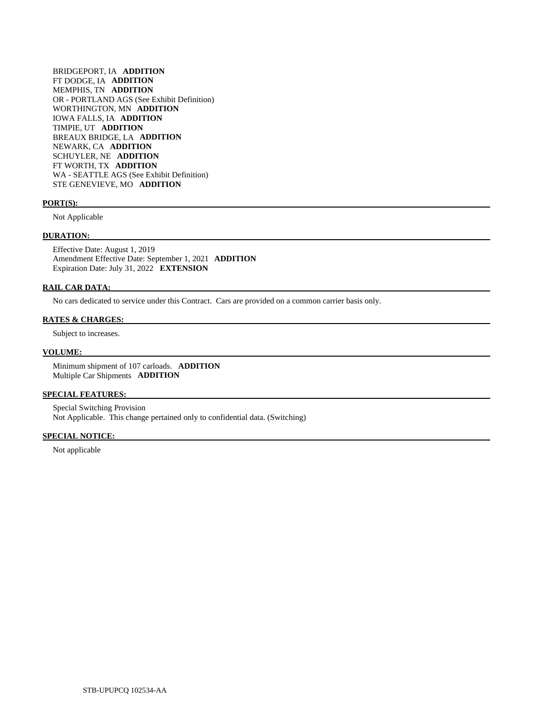BRIDGEPORT, IA **ADDITION**  FT DODGE, IA **ADDITION**  MEMPHIS, TN **ADDITION**  OR - PORTLAND AGS (See Exhibit Definition) WORTHINGTON, MN **ADDITION**  IOWA FALLS, IA **ADDITION**  TIMPIE, UT **ADDITION**  BREAUX BRIDGE, LA **ADDITION**  NEWARK, CA **ADDITION**  SCHUYLER, NE **ADDITION**  FT WORTH, TX **ADDITION**  WA - SEATTLE AGS (See Exhibit Definition) STE GENEVIEVE, MO **ADDITION** 

#### **PORT(S):**

Not Applicable

#### **DURATION:**

 Effective Date: August 1, 2019 Amendment Effective Date: September 1, 2021 **ADDITION**  Expiration Date: July 31, 2022 **EXTENSION** 

#### **RAIL CAR DATA:**

No cars dedicated to service under this Contract. Cars are provided on a common carrier basis only.

## **RATES & CHARGES:**

Subject to increases.

#### **VOLUME:**

 Minimum shipment of 107 carloads. **ADDITION**  Multiple Car Shipments **ADDITION** 

#### **SPECIAL FEATURES:**

 Special Switching Provision Not Applicable. This change pertained only to confidential data. (Switching)

## **SPECIAL NOTICE:**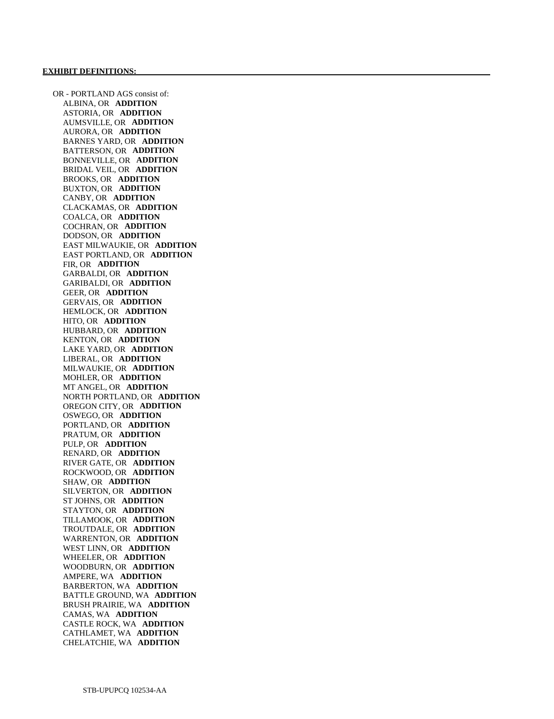OR - PORTLAND AGS consist of: ALBINA, OR **ADDITION**  ASTORIA, OR **ADDITION**  AUMSVILLE, OR **ADDITION**  AURORA, OR **ADDITION**  BARNES YARD, OR **ADDITION**  BATTERSON, OR **ADDITION**  BONNEVILLE, OR **ADDITION**  BRIDAL VEIL, OR **ADDITION**  BROOKS, OR **ADDITION**  BUXTON, OR **ADDITION**  CANBY, OR **ADDITION**  CLACKAMAS, OR **ADDITION**  COALCA, OR **ADDITION**  COCHRAN, OR **ADDITION**  DODSON, OR **ADDITION**  EAST MILWAUKIE, OR **ADDITION**  EAST PORTLAND, OR **ADDITION**  FIR, OR **ADDITION**  GARBALDI, OR **ADDITION**  GARIBALDI, OR **ADDITION**  GEER, OR **ADDITION**  GERVAIS, OR **ADDITION**  HEMLOCK, OR **ADDITION**  HITO, OR **ADDITION**  HUBBARD, OR **ADDITION**  KENTON, OR **ADDITION**  LAKE YARD, OR **ADDITION**  LIBERAL, OR **ADDITION**  MILWAUKIE, OR **ADDITION**  MOHLER, OR **ADDITION**  MT ANGEL, OR **ADDITION**  NORTH PORTLAND, OR **ADDITION**  OREGON CITY, OR **ADDITION**  OSWEGO, OR **ADDITION**  PORTLAND, OR **ADDITION**  PRATUM, OR **ADDITION**  PULP, OR **ADDITION**  RENARD, OR **ADDITION**  RIVER GATE, OR **ADDITION**  ROCKWOOD, OR **ADDITION**  SHAW, OR **ADDITION**  SILVERTON, OR **ADDITION**  ST JOHNS, OR **ADDITION**  STAYTON, OR **ADDITION**  TILLAMOOK, OR **ADDITION**  TROUTDALE, OR **ADDITION**  WARRENTON, OR **ADDITION**  WEST LINN, OR **ADDITION**  WHEELER, OR **ADDITION**  WOODBURN, OR **ADDITION**  AMPERE, WA **ADDITION**  BARBERTON, WA **ADDITION**  BATTLE GROUND, WA **ADDITION**  BRUSH PRAIRIE, WA **ADDITION**  CAMAS, WA **ADDITION**  CASTLE ROCK, WA **ADDITION**  CATHLAMET, WA **ADDITION**  CHELATCHIE, WA **ADDITION**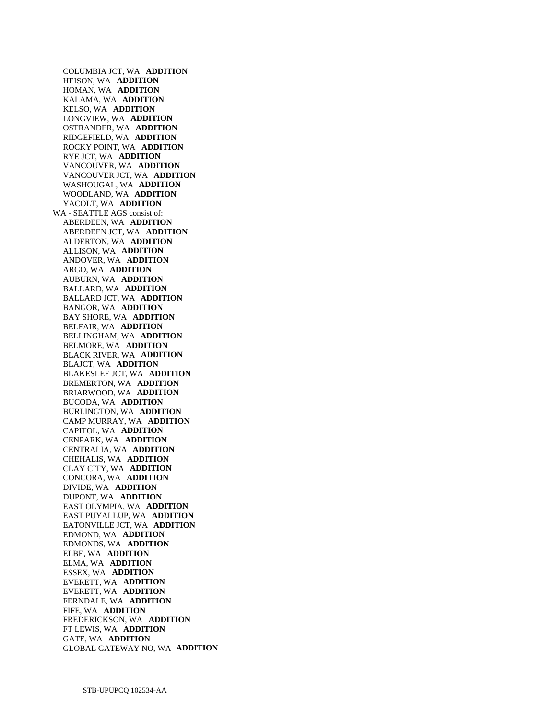COLUMBIA JCT, WA **ADDITION**  HEISON, WA **ADDITION**  HOMAN, WA **ADDITION**  KALAMA, WA **ADDITION**  KELSO, WA **ADDITION**  LONGVIEW, WA **ADDITION**  OSTRANDER, WA **ADDITION**  RIDGEFIELD, WA **ADDITION**  ROCKY POINT, WA **ADDITION**  RYE JCT, WA **ADDITION**  VANCOUVER, WA **ADDITION**  VANCOUVER JCT, WA **ADDITION**  WASHOUGAL, WA **ADDITION**  WOODLAND, WA **ADDITION**  YACOLT, WA **ADDITION**  WA - SEATTLE AGS consist of: ABERDEEN, WA **ADDITION**  ABERDEEN JCT, WA **ADDITION**  ALDERTON, WA **ADDITION**  ALLISON, WA **ADDITION**  ANDOVER, WA **ADDITION**  ARGO, WA **ADDITION**  AUBURN, WA **ADDITION**  BALLARD, WA **ADDITION**  BALLARD JCT, WA **ADDITION**  BANGOR, WA **ADDITION**  BAY SHORE, WA **ADDITION**  BELFAIR, WA **ADDITION**  BELLINGHAM, WA **ADDITION**  BELMORE, WA **ADDITION**  BLACK RIVER, WA **ADDITION**  BLAJCT, WA **ADDITION**  BLAKESLEE JCT, WA **ADDITION**  BREMERTON, WA **ADDITION**  BRIARWOOD, WA **ADDITION**  BUCODA, WA **ADDITION**  BURLINGTON, WA **ADDITION**  CAMP MURRAY, WA **ADDITION**  CAPITOL, WA **ADDITION**  CENPARK, WA **ADDITION**  CENTRALIA, WA **ADDITION**  CHEHALIS, WA **ADDITION**  CLAY CITY, WA **ADDITION**  CONCORA, WA **ADDITION**  DIVIDE, WA **ADDITION**  DUPONT, WA **ADDITION**  EAST OLYMPIA, WA **ADDITION**  EAST PUYALLUP, WA **ADDITION**  EATONVILLE JCT, WA **ADDITION**  EDMOND, WA **ADDITION**  EDMONDS, WA **ADDITION**  ELBE, WA **ADDITION**  ELMA, WA **ADDITION**  ESSEX, WA **ADDITION**  EVERETT, WA **ADDITION**  EVERETT, WA **ADDITION**  FERNDALE, WA **ADDITION**  FIFE, WA **ADDITION**  FREDERICKSON, WA **ADDITION**  FT LEWIS, WA **ADDITION**  GATE, WA **ADDITION**  GLOBAL GATEWAY NO, WA **ADDITION**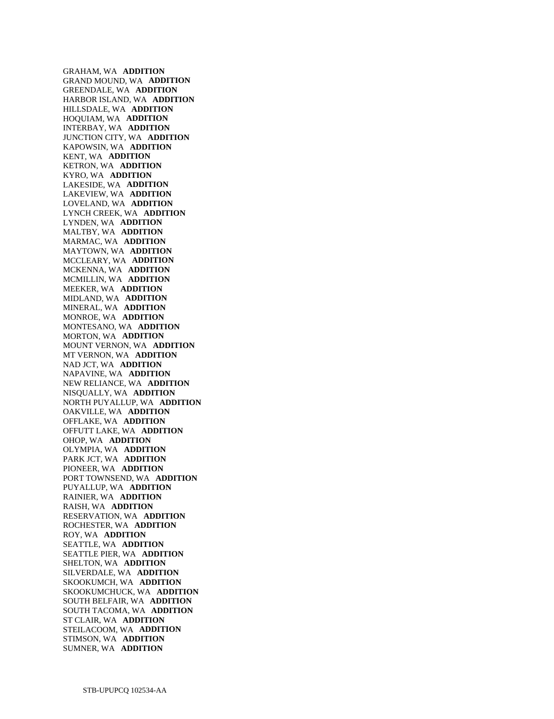GRAHAM, WA **ADDITION**  GRAND MOUND, WA **ADDITION**  GREENDALE, WA **ADDITION**  HARBOR ISLAND, WA **ADDITION**  HILLSDALE, WA **ADDITION**  HOQUIAM, WA **ADDITION**  INTERBAY, WA **ADDITION**  JUNCTION CITY, WA **ADDITION**  KAPOWSIN, WA **ADDITION**  KENT, WA **ADDITION**  KETRON, WA **ADDITION**  KYRO, WA **ADDITION**  LAKESIDE, WA **ADDITION**  LAKEVIEW, WA **ADDITION**  LOVELAND, WA **ADDITION**  LYNCH CREEK, WA **ADDITION**  LYNDEN, WA **ADDITION**  MALTBY, WA **ADDITION**  MARMAC, WA **ADDITION**  MAYTOWN, WA **ADDITION**  MCCLEARY, WA **ADDITION**  MCKENNA, WA **ADDITION**  MCMILLIN, WA **ADDITION**  MEEKER, WA **ADDITION**  MIDLAND, WA **ADDITION**  MINERAL, WA **ADDITION**  MONROE, WA **ADDITION**  MONTESANO, WA **ADDITION**  MORTON, WA **ADDITION**  MOUNT VERNON, WA **ADDITION**  MT VERNON, WA **ADDITION**  NAD JCT, WA **ADDITION**  NAPAVINE, WA **ADDITION**  NEW RELIANCE, WA **ADDITION**  NISQUALLY, WA **ADDITION**  NORTH PUYALLUP, WA **ADDITION**  OAKVILLE, WA **ADDITION**  OFFLAKE, WA **ADDITION**  OFFUTT LAKE, WA **ADDITION**  OHOP, WA **ADDITION**  OLYMPIA, WA **ADDITION**  PARK JCT, WA **ADDITION**  PIONEER, WA **ADDITION**  PORT TOWNSEND, WA **ADDITION**  PUYALLUP, WA **ADDITION**  RAINIER, WA **ADDITION**  RAISH, WA **ADDITION**  RESERVATION, WA **ADDITION**  ROCHESTER, WA **ADDITION**  ROY, WA **ADDITION**  SEATTLE, WA **ADDITION**  SEATTLE PIER, WA **ADDITION**  SHELTON, WA **ADDITION**  SILVERDALE, WA **ADDITION**  SKOOKUMCH, WA **ADDITION**  SKOOKUMCHUCK, WA **ADDITION**  SOUTH BELFAIR, WA **ADDITION**  SOUTH TACOMA, WA **ADDITION**  ST CLAIR, WA **ADDITION**  STEILACOOM, WA **ADDITION**  STIMSON, WA **ADDITION**  SUMNER, WA **ADDITION**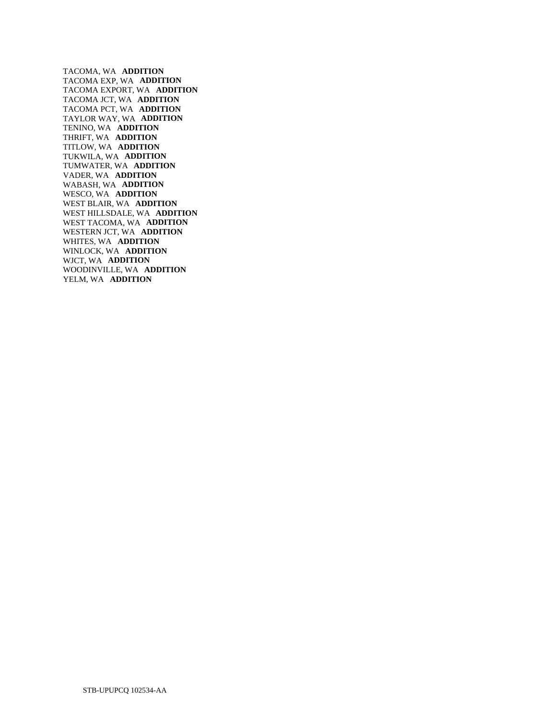TACOMA, WA **ADDITION**  TACOMA EXP, WA **ADDITION**  TACOMA EXPORT, WA **ADDITION**  TACOMA JCT, WA **ADDITION**  TACOMA PCT, WA **ADDITION**  TAYLOR WAY, WA **ADDITION**  TENINO, WA **ADDITION**  THRIFT, WA **ADDITION**  TITLOW, WA **ADDITION**  TUKWILA, WA **ADDITION**  TUMWATER, WA **ADDITION**  VADER, WA **ADDITION**  WABASH, WA **ADDITION**  WESCO, WA **ADDITION**  WEST BLAIR, WA **ADDITION**  WEST HILLSDALE, WA **ADDITION**  WEST TACOMA, WA **ADDITION**  WESTERN JCT, WA **ADDITION**  WHITES, WA **ADDITION**  WINLOCK, WA **ADDITION**  WJCT, WA **ADDITION**  WOODINVILLE, WA **ADDITION**  YELM, WA **ADDITION**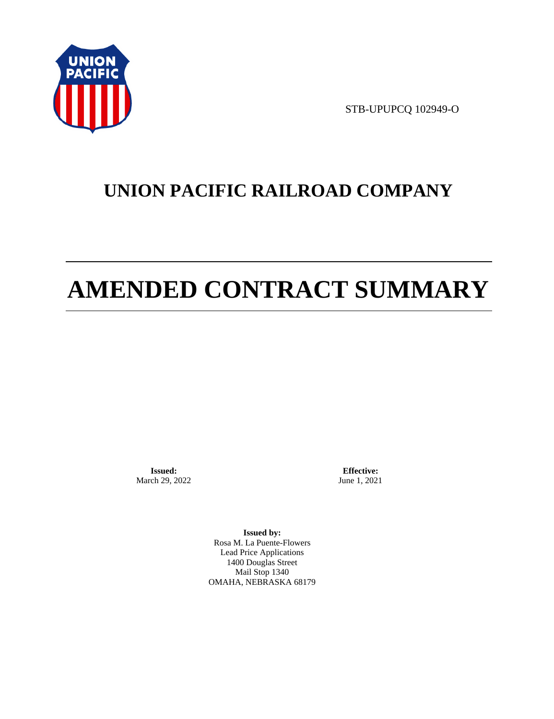

STB-UPUPCQ 102949-O

# **UNION PACIFIC RAILROAD COMPANY**

# **AMENDED CONTRACT SUMMARY**

**Issued:**  March 29, 2022

**Effective:** June 1, 2021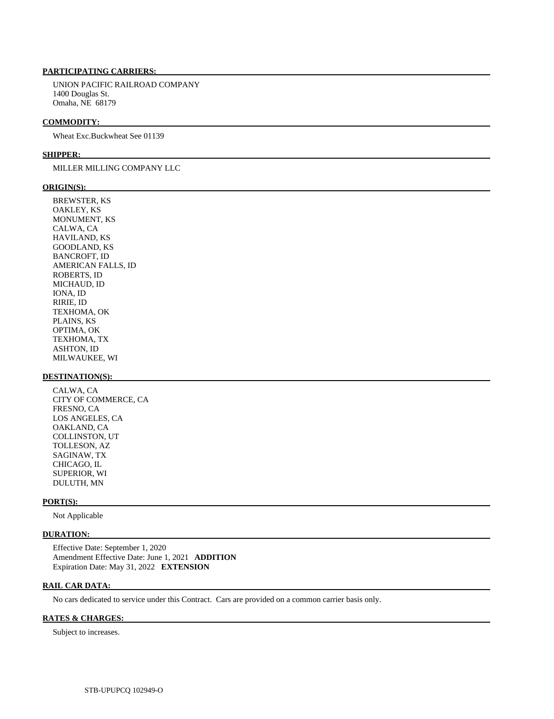UNION PACIFIC RAILROAD COMPANY 1400 Douglas St. Omaha, NE 68179

#### **COMMODITY:**

Wheat Exc.Buckwheat See 01139

#### **SHIPPER:**

### MILLER MILLING COMPANY LLC

#### **ORIGIN(S):**

 BREWSTER, KS OAKLEY, KS MONUMENT, KS CALWA, CA HAVILAND, KS GOODLAND, KS BANCROFT, ID AMERICAN FALLS, ID ROBERTS, ID MICHAUD, ID IONA, ID RIRIE, ID TEXHOMA, OK PLAINS, KS OPTIMA, OK TEXHOMA, TX ASHTON, ID MILWAUKEE, WI

#### **DESTINATION(S):**

 CALWA, CA CITY OF COMMERCE, CA FRESNO, CA LOS ANGELES, CA OAKLAND, CA COLLINSTON, UT TOLLESON, AZ SAGINAW, TX CHICAGO, IL SUPERIOR, WI DULUTH, MN

#### **PORT(S):**

Not Applicable

### **DURATION:**

 Effective Date: September 1, 2020 Amendment Effective Date: June 1, 2021 **ADDITION**  Expiration Date: May 31, 2022 **EXTENSION** 

#### **RAIL CAR DATA:**

No cars dedicated to service under this Contract. Cars are provided on a common carrier basis only.

#### **RATES & CHARGES:**

Subject to increases.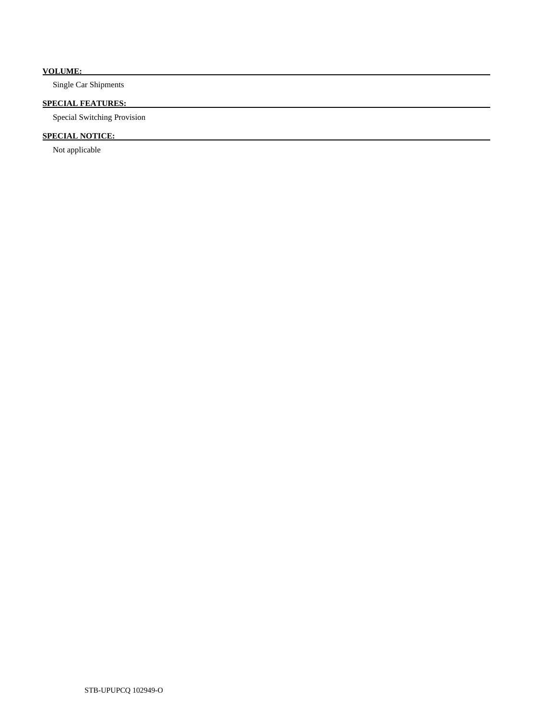# **VOLUME:**

Single Car Shipments

## **SPECIAL FEATURES:**

Special Switching Provision

# **SPECIAL NOTICE:**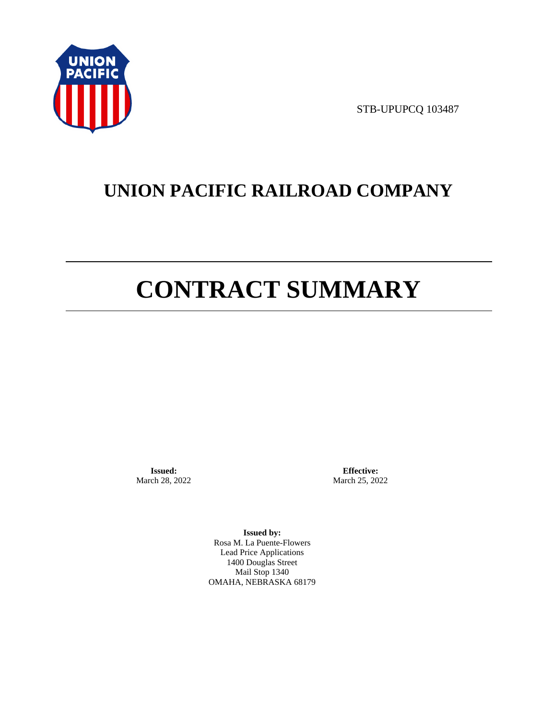

STB-UPUPCQ 103487

# **UNION PACIFIC RAILROAD COMPANY**

# **CONTRACT SUMMARY**

**Issued:**  March 28, 2022

**Effective:** March 25, 2022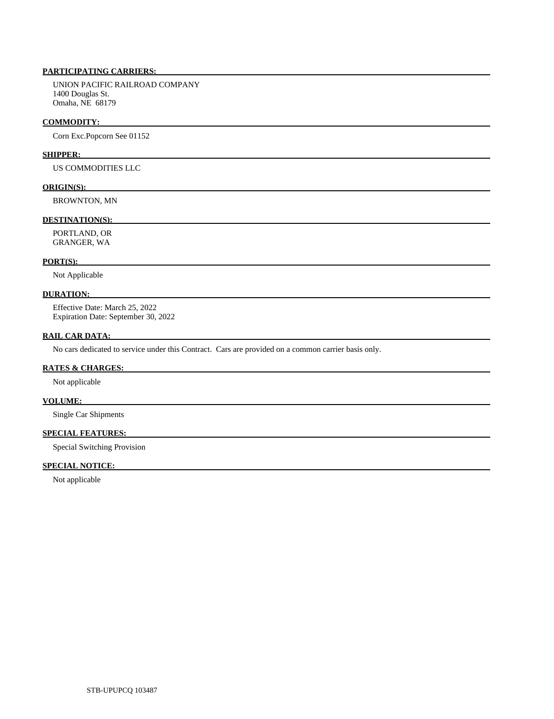UNION PACIFIC RAILROAD COMPANY 1400 Douglas St. Omaha, NE 68179

#### **COMMODITY:**

Corn Exc.Popcorn See 01152

#### **SHIPPER:**

US COMMODITIES LLC

#### **ORIGIN(S):**

BROWNTON, MN

#### **DESTINATION(S):**

 PORTLAND, OR GRANGER, WA

#### **PORT(S):**

Not Applicable

### **DURATION:**

 Effective Date: March 25, 2022 Expiration Date: September 30, 2022

#### **RAIL CAR DATA:**

No cars dedicated to service under this Contract. Cars are provided on a common carrier basis only.

### **RATES & CHARGES:**

Not applicable

#### **VOLUME:**

Single Car Shipments

# **SPECIAL FEATURES:**

Special Switching Provision

## **SPECIAL NOTICE:**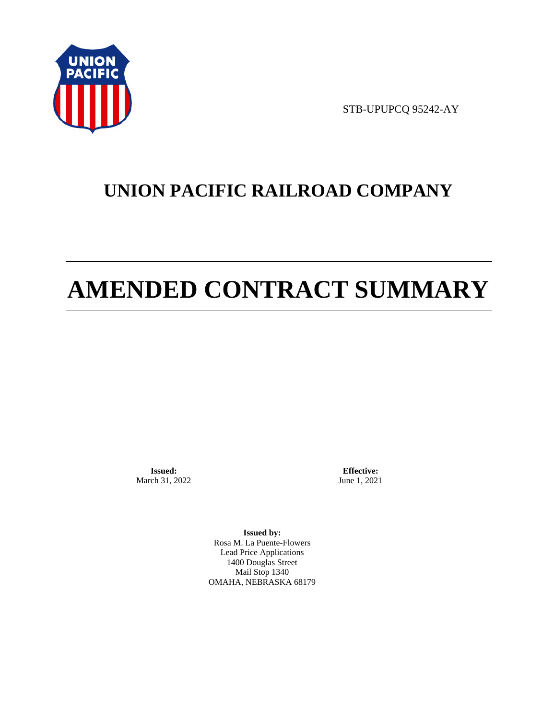

STB-UPUPCQ 95242-AY

# **UNION PACIFIC RAILROAD COMPANY**

# **AMENDED CONTRACT SUMMARY**

**Issued:**  March 31, 2022

**Effective:** June 1, 2021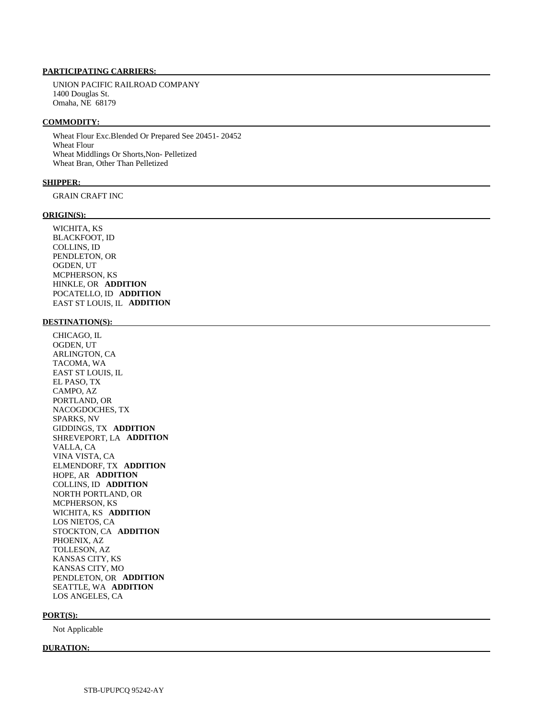#### **PARTICIPATING CARRIERS:**

 UNION PACIFIC RAILROAD COMPANY 1400 Douglas St. Omaha, NE 68179

#### **COMMODITY:**

 Wheat Flour Exc.Blended Or Prepared See 20451- 20452 Wheat Flour Wheat Middlings Or Shorts,Non- Pelletized Wheat Bran, Other Than Pelletized

#### **SHIPPER:**

GRAIN CRAFT INC

#### **ORIGIN(S):**

 WICHITA, KS BLACKFOOT, ID COLLINS, ID PENDLETON, OR OGDEN, UT MCPHERSON, KS HINKLE, OR **ADDITION**  POCATELLO, ID **ADDITION**  EAST ST LOUIS, IL **ADDITION** 

#### **DESTINATION(S):**

 CHICAGO, IL OGDEN, UT ARLINGTON, CA TACOMA, WA EAST ST LOUIS, IL EL PASO, TX CAMPO, AZ PORTLAND, OR NACOGDOCHES, TX SPARKS, NV GIDDINGS, TX **ADDITION**  SHREVEPORT, LA **ADDITION**  VALLA, CA VINA VISTA, CA ELMENDORF, TX **ADDITION**  HOPE, AR **ADDITION**  COLLINS, ID **ADDITION**  NORTH PORTLAND, OR MCPHERSON, KS WICHITA, KS **ADDITION**  LOS NIETOS, CA STOCKTON, CA **ADDITION**  PHOENIX, AZ TOLLESON, AZ KANSAS CITY, KS KANSAS CITY, MO PENDLETON, OR **ADDITION**  SEATTLE, WA **ADDITION**  LOS ANGELES, CA

#### **PORT(S):**

Not Applicable

#### **DURATION:**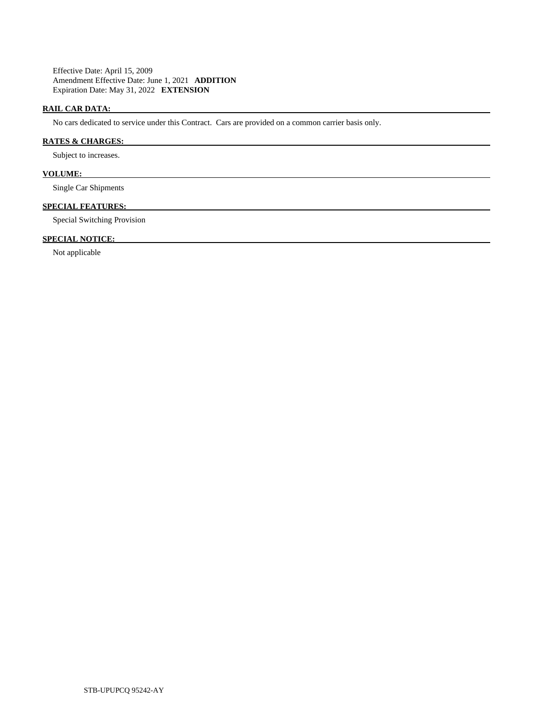Effective Date: April 15, 2009 Amendment Effective Date: June 1, 2021 **ADDITION**  Expiration Date: May 31, 2022 **EXTENSION** 

# **RAIL CAR DATA:**

No cars dedicated to service under this Contract. Cars are provided on a common carrier basis only.

# **RATES & CHARGES:**

Subject to increases.

# **VOLUME:**

Single Car Shipments

#### **SPECIAL FEATURES:**

Special Switching Provision

# **SPECIAL NOTICE:**

Not applicable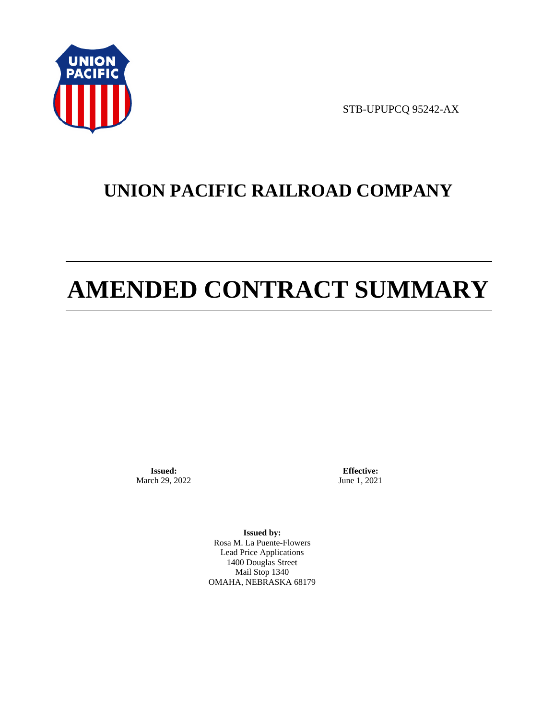

STB-UPUPCQ 95242-AX

# **UNION PACIFIC RAILROAD COMPANY**

# **AMENDED CONTRACT SUMMARY**

**Issued:**  March 29, 2022

**Effective:** June 1, 2021

**Issued by:**  Rosa M. La Puente-Flowers Lead Price Applications 1400 Douglas Street Mail Stop 1340 OMAHA, NEBRASKA 68179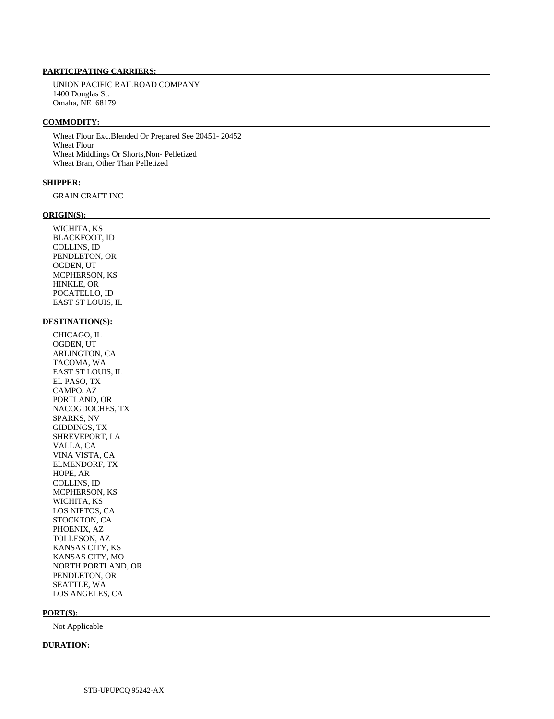#### **PARTICIPATING CARRIERS:**

 UNION PACIFIC RAILROAD COMPANY 1400 Douglas St. Omaha, NE 68179

#### **COMMODITY:**

 Wheat Flour Exc.Blended Or Prepared See 20451- 20452 Wheat Flour Wheat Middlings Or Shorts,Non- Pelletized Wheat Bran, Other Than Pelletized

#### **SHIPPER:**

GRAIN CRAFT INC

#### **ORIGIN(S):**

 WICHITA, KS BLACKFOOT, ID COLLINS, ID PENDLETON, OR OGDEN, UT MCPHERSON, KS HINKLE, OR POCATELLO, ID EAST ST LOUIS, IL

# **DESTINATION(S):**

 CHICAGO, IL OGDEN, UT ARLINGTON, CA TACOMA, WA EAST ST LOUIS, IL EL PASO, TX CAMPO, AZ PORTLAND, OR NACOGDOCHES, TX SPARKS, NV GIDDINGS, TX SHREVEPORT, LA VALLA, CA VINA VISTA, CA ELMENDORF, TX HOPE, AR COLLINS, ID MCPHERSON, KS WICHITA, KS LOS NIETOS, CA STOCKTON, CA PHOENIX, AZ TOLLESON, AZ KANSAS CITY, KS KANSAS CITY, MO NORTH PORTLAND, OR PENDLETON, OR SEATTLE, WA LOS ANGELES, CA

#### **PORT(S):**

Not Applicable

#### **DURATION:**